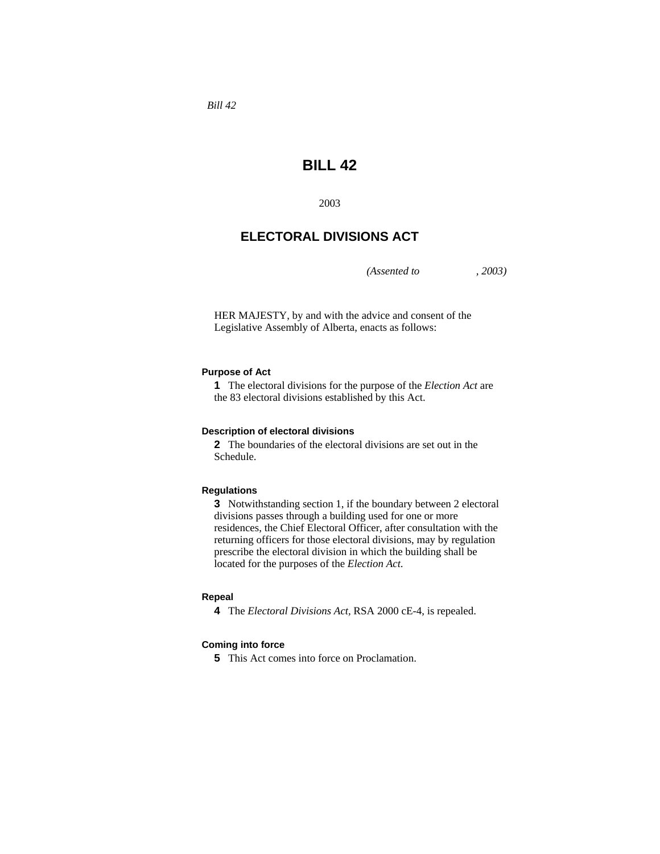*Bill 42* 

# **BILL 42**

2003

# **ELECTORAL DIVISIONS ACT**

*(Assented to , 2003)* 

HER MAJESTY, by and with the advice and consent of the Legislative Assembly of Alberta, enacts as follows:

# **Purpose of Act**

**1** The electoral divisions for the purpose of the *Election Act* are the 83 electoral divisions established by this Act.

#### **Description of electoral divisions**

**2** The boundaries of the electoral divisions are set out in the Schedule.

#### **Regulations**

**3** Notwithstanding section 1, if the boundary between 2 electoral divisions passes through a building used for one or more residences, the Chief Electoral Officer, after consultation with the returning officers for those electoral divisions, may by regulation prescribe the electoral division in which the building shall be located for the purposes of the *Election Act*.

#### **Repeal**

**4** The *Electoral Divisions Act,* RSA 2000 cE-4, is repealed.

#### **Coming into force**

**5** This Act comes into force on Proclamation.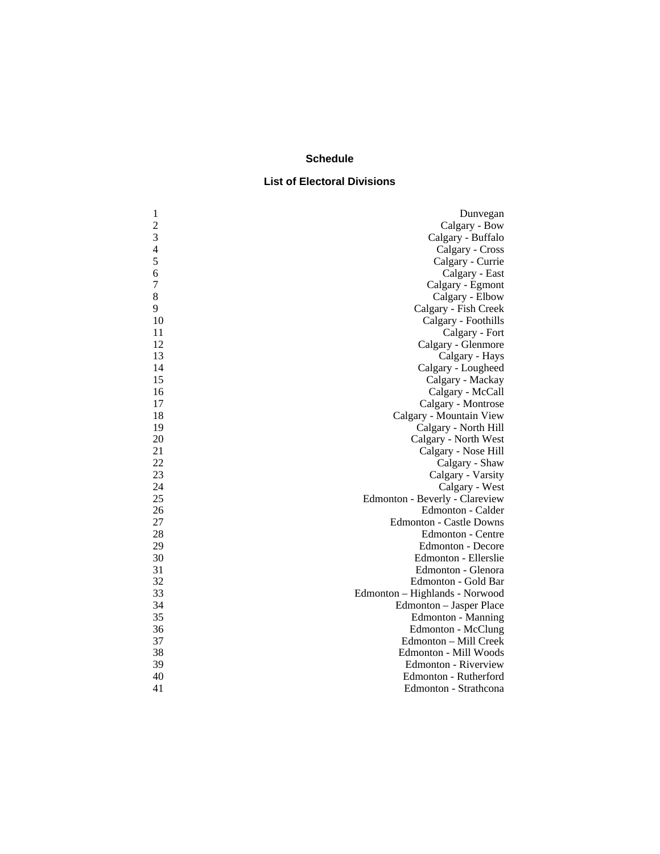# **Schedule**

# **List of Electoral Divisions**

| $\mathbf{1}$   | Dunvegan                       |
|----------------|--------------------------------|
| $\overline{c}$ | Calgary - Bow                  |
| 3              | Calgary - Buffalo              |
| 4              | Calgary - Cross                |
| 5              | Calgary - Currie               |
| 6              | Calgary - East                 |
| $\overline{7}$ | Calgary - Egmont               |
| 8              | Calgary - Elbow                |
| 9              | Calgary - Fish Creek           |
| 10             | Calgary - Foothills            |
| 11             | Calgary - Fort                 |
| 12             | Calgary - Glenmore             |
| 13             | Calgary - Hays                 |
| 14             | Calgary - Lougheed             |
| 15             | Calgary - Mackay               |
| 16             | Calgary - McCall               |
| 17             | Calgary - Montrose             |
| 18             | Calgary - Mountain View        |
| 19             | Calgary - North Hill           |
| 20             | Calgary - North West           |
| 21             | Calgary - Nose Hill            |
| 22             | Calgary - Shaw                 |
| 23             | Calgary - Varsity              |
| 24             | Calgary - West                 |
| 25             | Edmonton - Beverly - Clareview |
| 26             | Edmonton - Calder              |
| 27             | <b>Edmonton - Castle Downs</b> |
| 28             | Edmonton - Centre              |
| 29             | <b>Edmonton - Decore</b>       |
| 30             | Edmonton - Ellerslie           |
| 31             | Edmonton - Glenora             |
| 32             | Edmonton - Gold Bar            |
| 33             | Edmonton - Highlands - Norwood |
| 34             | Edmonton - Jasper Place        |
| 35             | Edmonton - Manning             |
| 36             | Edmonton - McClung             |
| 37             | Edmonton - Mill Creek          |
| 38             | Edmonton - Mill Woods          |
| 39             | Edmonton - Riverview           |
| 40             | Edmonton - Rutherford          |
| 41             | Edmonton - Strathcona          |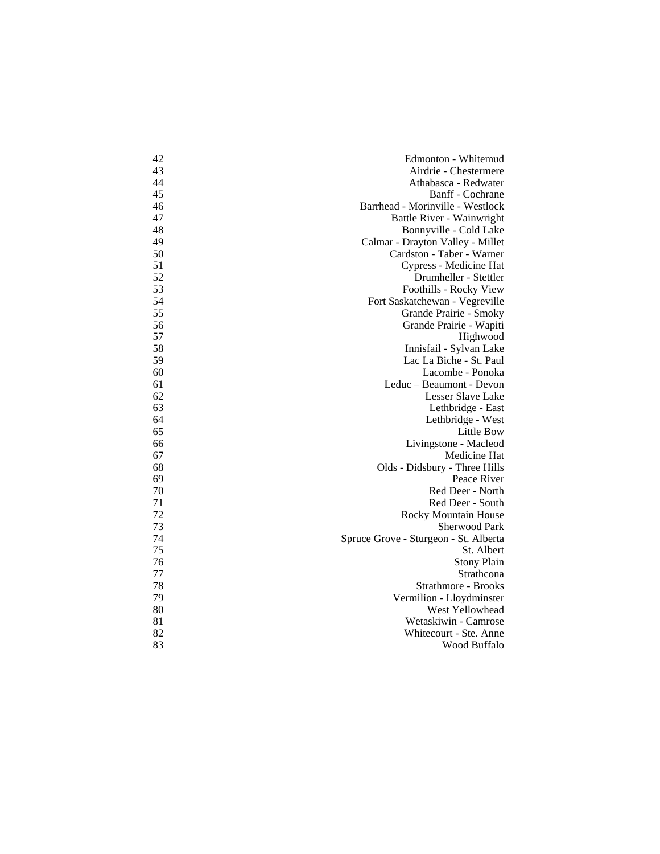| 42 | Edmonton - Whitemud                   |
|----|---------------------------------------|
| 43 | Airdrie - Chestermere                 |
| 44 | Athabasca - Redwater                  |
| 45 | Banff - Cochrane                      |
| 46 | Barrhead - Morinville - Westlock      |
| 47 | Battle River - Wainwright             |
| 48 | Bonnyville - Cold Lake                |
| 49 | Calmar - Drayton Valley - Millet      |
| 50 | Cardston - Taber - Warner             |
| 51 | Cypress - Medicine Hat                |
| 52 | Drumheller - Stettler                 |
| 53 | Foothills - Rocky View                |
| 54 | Fort Saskatchewan - Vegreville        |
| 55 | Grande Prairie - Smoky                |
| 56 | Grande Prairie - Wapiti               |
| 57 | Highwood                              |
| 58 | Innisfail - Sylvan Lake               |
| 59 | Lac La Biche - St. Paul               |
| 60 | Lacombe - Ponoka                      |
| 61 | Leduc - Beaumont - Devon              |
| 62 | Lesser Slave Lake                     |
| 63 | Lethbridge - East                     |
| 64 | Lethbridge - West                     |
| 65 | Little Bow                            |
| 66 | Livingstone - Macleod                 |
| 67 | Medicine Hat                          |
| 68 | Olds - Didsbury - Three Hills         |
| 69 | Peace River                           |
| 70 | Red Deer - North                      |
| 71 | Red Deer - South                      |
| 72 | Rocky Mountain House                  |
| 73 | Sherwood Park                         |
| 74 | Spruce Grove - Sturgeon - St. Alberta |
| 75 | St. Albert                            |
| 76 | <b>Stony Plain</b>                    |
| 77 | Strathcona                            |
| 78 | Strathmore - Brooks                   |
| 79 | Vermilion - Lloydminster              |
| 80 | West Yellowhead                       |
| 81 | Wetaskiwin - Camrose                  |
| 82 | Whitecourt - Ste. Anne                |
| 83 | Wood Buffalo                          |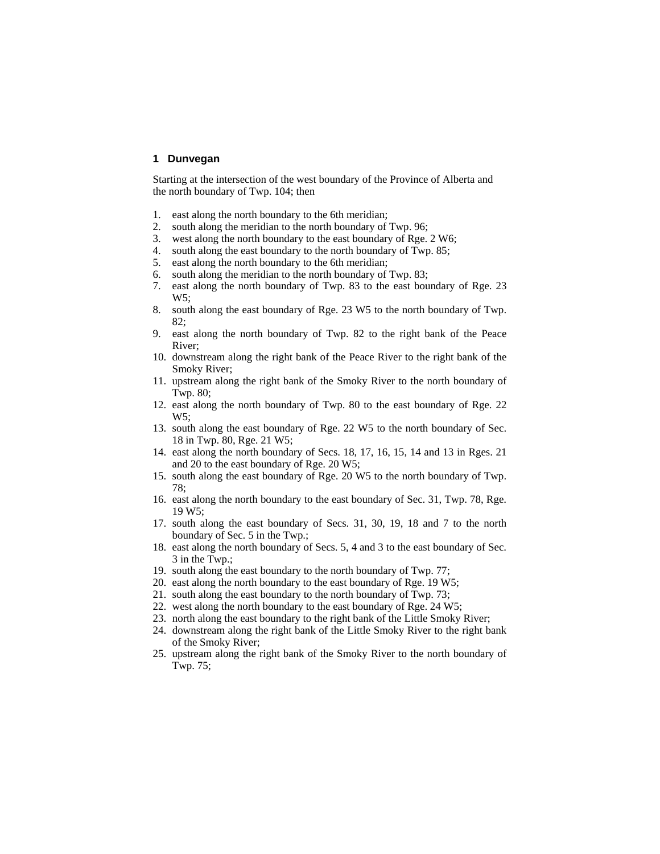## **1 Dunvegan**

Starting at the intersection of the west boundary of the Province of Alberta and the north boundary of Twp. 104; then

- 1. east along the north boundary to the 6th meridian;
- 2. south along the meridian to the north boundary of Twp. 96;
- 3. west along the north boundary to the east boundary of Rge. 2 W6;
- 4. south along the east boundary to the north boundary of Twp. 85;
- 5. east along the north boundary to the 6th meridian;
- 6. south along the meridian to the north boundary of Twp. 83;
- 7. east along the north boundary of Twp. 83 to the east boundary of Rge. 23 W5;
- 8. south along the east boundary of Rge. 23 W5 to the north boundary of Twp. 82;
- 9. east along the north boundary of Twp. 82 to the right bank of the Peace River;
- 10. downstream along the right bank of the Peace River to the right bank of the Smoky River;
- 11. upstream along the right bank of the Smoky River to the north boundary of Twp. 80;
- 12. east along the north boundary of Twp. 80 to the east boundary of Rge. 22 W5;
- 13. south along the east boundary of Rge. 22 W5 to the north boundary of Sec. 18 in Twp. 80, Rge. 21 W5;
- 14. east along the north boundary of Secs. 18, 17, 16, 15, 14 and 13 in Rges. 21 and 20 to the east boundary of Rge. 20 W5;
- 15. south along the east boundary of Rge. 20 W5 to the north boundary of Twp. 78;
- 16. east along the north boundary to the east boundary of Sec. 31, Twp. 78, Rge. 19 W5;
- 17. south along the east boundary of Secs. 31, 30, 19, 18 and 7 to the north boundary of Sec. 5 in the Twp.;
- 18. east along the north boundary of Secs. 5, 4 and 3 to the east boundary of Sec. 3 in the Twp.;
- 19. south along the east boundary to the north boundary of Twp. 77;
- 20. east along the north boundary to the east boundary of Rge. 19 W5;
- 21. south along the east boundary to the north boundary of Twp. 73;
- 22. west along the north boundary to the east boundary of Rge. 24 W5;
- 23. north along the east boundary to the right bank of the Little Smoky River;
- 24. downstream along the right bank of the Little Smoky River to the right bank of the Smoky River;
- 25. upstream along the right bank of the Smoky River to the north boundary of Twp. 75;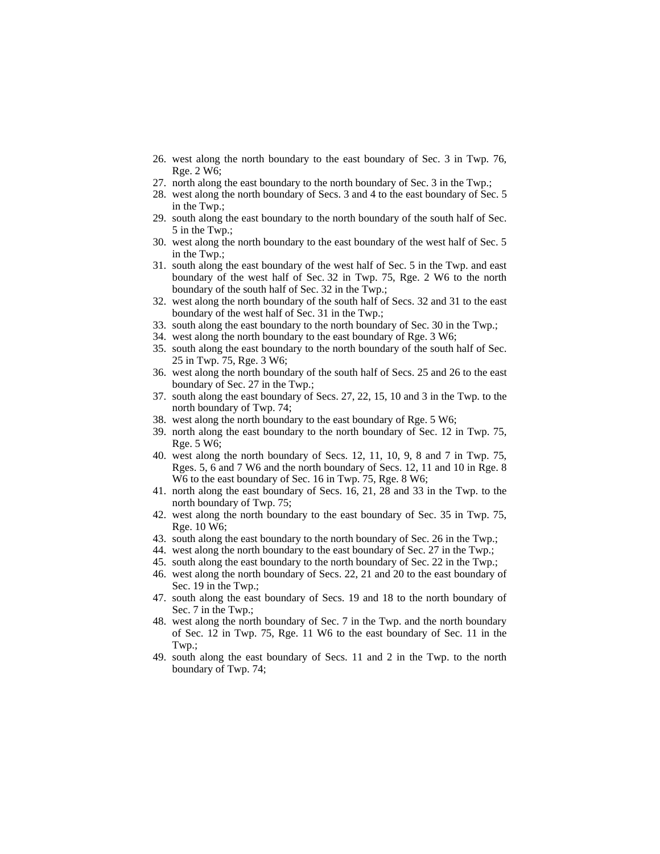- 26. west along the north boundary to the east boundary of Sec. 3 in Twp. 76, Rge. 2 W6;
- 27. north along the east boundary to the north boundary of Sec. 3 in the Twp.;
- 28. west along the north boundary of Secs. 3 and 4 to the east boundary of Sec. 5 in the Twp.;
- 29. south along the east boundary to the north boundary of the south half of Sec. 5 in the Twp.;
- 30. west along the north boundary to the east boundary of the west half of Sec. 5 in the Twp.;
- 31. south along the east boundary of the west half of Sec. 5 in the Twp. and east boundary of the west half of Sec. 32 in Twp. 75, Rge. 2 W6 to the north boundary of the south half of Sec. 32 in the Twp.;
- 32. west along the north boundary of the south half of Secs. 32 and 31 to the east boundary of the west half of Sec. 31 in the Twp.;
- 33. south along the east boundary to the north boundary of Sec. 30 in the Twp.;
- 34. west along the north boundary to the east boundary of Rge. 3 W6;
- 35. south along the east boundary to the north boundary of the south half of Sec. 25 in Twp. 75, Rge. 3 W6;
- 36. west along the north boundary of the south half of Secs. 25 and 26 to the east boundary of Sec. 27 in the Twp.;
- 37. south along the east boundary of Secs. 27, 22, 15, 10 and 3 in the Twp. to the north boundary of Twp. 74;
- 38. west along the north boundary to the east boundary of Rge. 5 W6;
- 39. north along the east boundary to the north boundary of Sec. 12 in Twp. 75, Rge. 5 W6;
- 40. west along the north boundary of Secs. 12, 11, 10, 9, 8 and 7 in Twp. 75, Rges. 5, 6 and 7 W6 and the north boundary of Secs. 12, 11 and 10 in Rge. 8 W6 to the east boundary of Sec. 16 in Twp. 75, Rge. 8 W6;
- 41. north along the east boundary of Secs. 16, 21, 28 and 33 in the Twp. to the north boundary of Twp. 75;
- 42. west along the north boundary to the east boundary of Sec. 35 in Twp. 75, Rge. 10 W6;
- 43. south along the east boundary to the north boundary of Sec. 26 in the Twp.;
- 44. west along the north boundary to the east boundary of Sec. 27 in the Twp.;
- 45. south along the east boundary to the north boundary of Sec. 22 in the Twp.;
- 46. west along the north boundary of Secs. 22, 21 and 20 to the east boundary of Sec. 19 in the Twp.;
- 47. south along the east boundary of Secs. 19 and 18 to the north boundary of Sec. 7 in the Twp.;
- 48. west along the north boundary of Sec. 7 in the Twp. and the north boundary of Sec. 12 in Twp. 75, Rge. 11 W6 to the east boundary of Sec. 11 in the Twp.;
- 49. south along the east boundary of Secs. 11 and 2 in the Twp. to the north boundary of Twp. 74;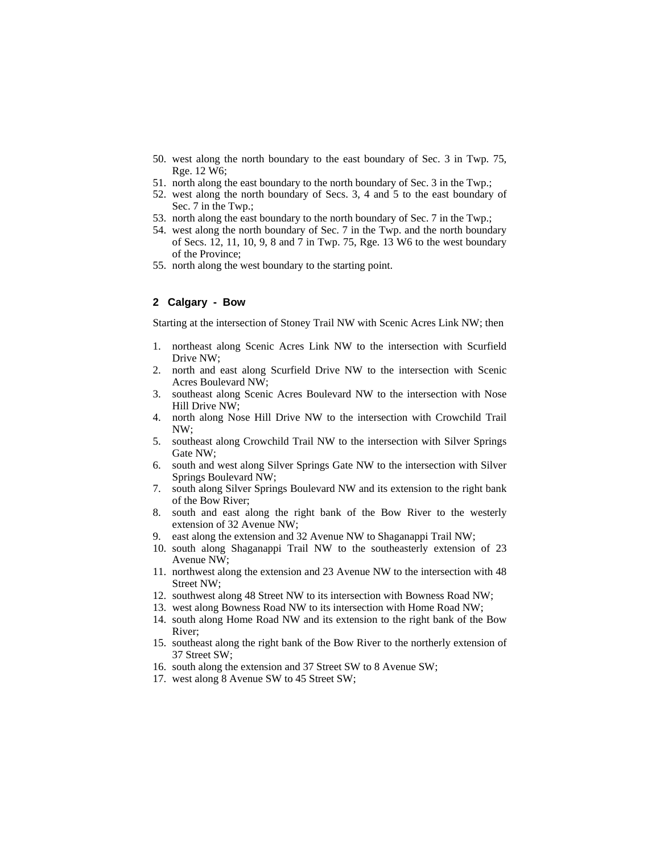- 50. west along the north boundary to the east boundary of Sec. 3 in Twp. 75, Rge. 12 W6;
- 51. north along the east boundary to the north boundary of Sec. 3 in the Twp.;
- 52. west along the north boundary of Secs. 3, 4 and 5 to the east boundary of Sec. 7 in the Twp.;
- 53. north along the east boundary to the north boundary of Sec. 7 in the Twp.;
- 54. west along the north boundary of Sec. 7 in the Twp. and the north boundary of Secs. 12, 11, 10, 9, 8 and 7 in Twp. 75, Rge. 13 W6 to the west boundary of the Province;
- 55. north along the west boundary to the starting point.

## **2 Calgary - Bow**

Starting at the intersection of Stoney Trail NW with Scenic Acres Link NW; then

- 1. northeast along Scenic Acres Link NW to the intersection with Scurfield Drive NW;
- 2. north and east along Scurfield Drive NW to the intersection with Scenic Acres Boulevard NW;
- 3. southeast along Scenic Acres Boulevard NW to the intersection with Nose Hill Drive NW;
- 4. north along Nose Hill Drive NW to the intersection with Crowchild Trail NW;
- 5. southeast along Crowchild Trail NW to the intersection with Silver Springs Gate NW;
- 6. south and west along Silver Springs Gate NW to the intersection with Silver Springs Boulevard NW;
- 7. south along Silver Springs Boulevard NW and its extension to the right bank of the Bow River;
- 8. south and east along the right bank of the Bow River to the westerly extension of 32 Avenue NW;
- 9. east along the extension and 32 Avenue NW to Shaganappi Trail NW;
- 10. south along Shaganappi Trail NW to the southeasterly extension of 23 Avenue NW;
- 11. northwest along the extension and 23 Avenue NW to the intersection with 48 Street NW;
- 12. southwest along 48 Street NW to its intersection with Bowness Road NW;
- 13. west along Bowness Road NW to its intersection with Home Road NW;
- 14. south along Home Road NW and its extension to the right bank of the Bow River;
- 15. southeast along the right bank of the Bow River to the northerly extension of 37 Street SW;
- 16. south along the extension and 37 Street SW to 8 Avenue SW;
- 17. west along 8 Avenue SW to 45 Street SW;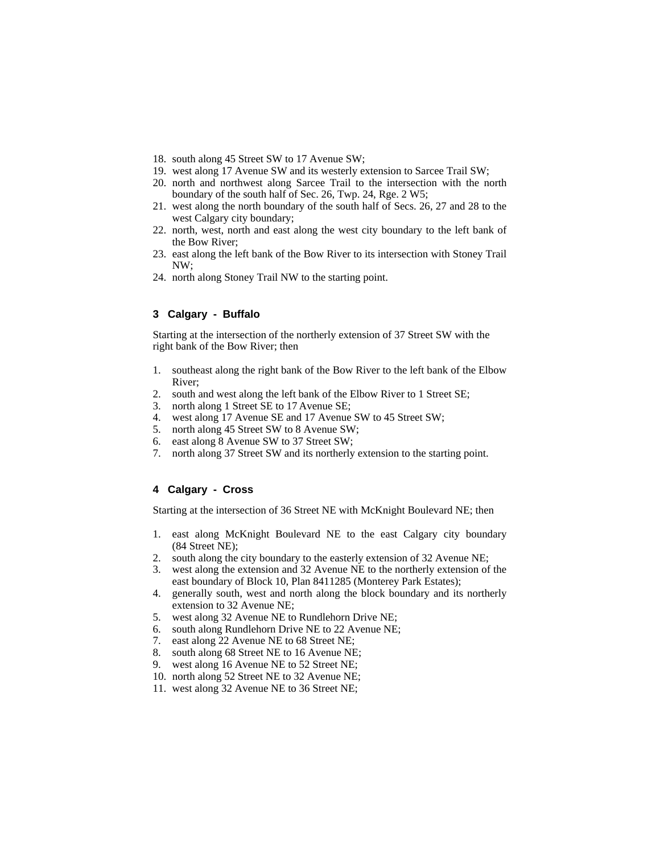- 18. south along 45 Street SW to 17 Avenue SW;
- 19. west along 17 Avenue SW and its westerly extension to Sarcee Trail SW;
- 20. north and northwest along Sarcee Trail to the intersection with the north boundary of the south half of Sec. 26, Twp. 24, Rge. 2 W5;
- 21. west along the north boundary of the south half of Secs. 26, 27 and 28 to the west Calgary city boundary;
- 22. north, west, north and east along the west city boundary to the left bank of the Bow River;
- 23. east along the left bank of the Bow River to its intersection with Stoney Trail NW;
- 24. north along Stoney Trail NW to the starting point.

# **3 Calgary - Buffalo**

Starting at the intersection of the northerly extension of 37 Street SW with the right bank of the Bow River; then

- 1. southeast along the right bank of the Bow River to the left bank of the Elbow River;
- 2. south and west along the left bank of the Elbow River to 1 Street SE;
- 3. north along 1 Street SE to 17 Avenue SE;
- 4. west along 17 Avenue SE and 17 Avenue SW to 45 Street SW;
- 5. north along 45 Street SW to 8 Avenue SW;
- 6. east along 8 Avenue SW to 37 Street SW;
- 7. north along 37 Street SW and its northerly extension to the starting point.

# **4 Calgary - Cross**

Starting at the intersection of 36 Street NE with McKnight Boulevard NE; then

- 1. east along McKnight Boulevard NE to the east Calgary city boundary (84 Street NE);
- 2. south along the city boundary to the easterly extension of 32 Avenue NE;
- 3. west along the extension and 32 Avenue NE to the northerly extension of the east boundary of Block 10, Plan 8411285 (Monterey Park Estates);
- 4. generally south, west and north along the block boundary and its northerly extension to 32 Avenue NE;
- 5. west along 32 Avenue NE to Rundlehorn Drive NE;
- 6. south along Rundlehorn Drive NE to 22 Avenue NE;
- 7. east along 22 Avenue NE to 68 Street NE;
- 8. south along 68 Street NE to 16 Avenue NE;
- 9. west along 16 Avenue NE to 52 Street NE;
- 10. north along 52 Street NE to 32 Avenue NE;
- 11. west along 32 Avenue NE to 36 Street NE;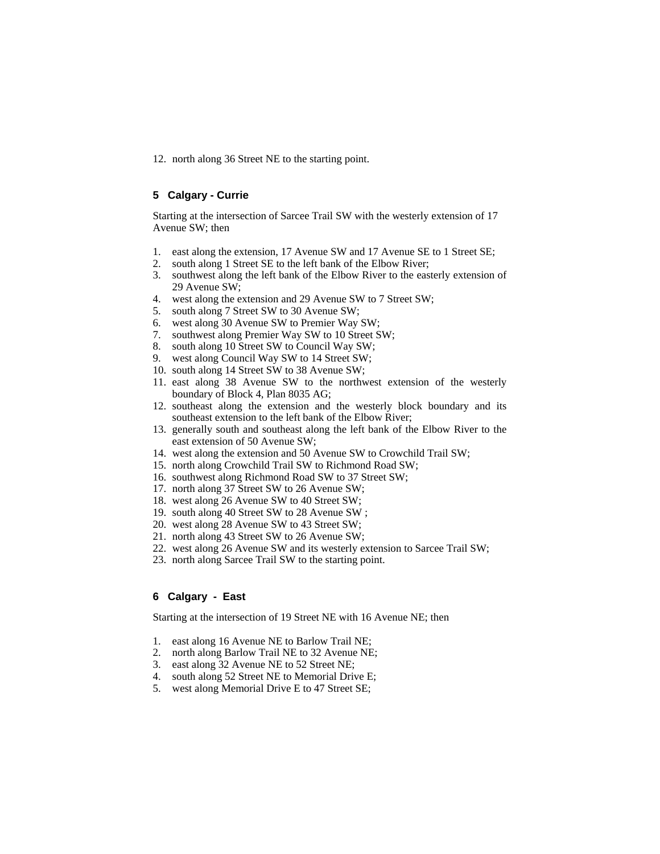12. north along 36 Street NE to the starting point.

# **5 Calgary - Currie**

Starting at the intersection of Sarcee Trail SW with the westerly extension of 17 Avenue SW; then

- 1. east along the extension, 17 Avenue SW and 17 Avenue SE to 1 Street SE;
- 2. south along 1 Street SE to the left bank of the Elbow River;
- 3. southwest along the left bank of the Elbow River to the easterly extension of 29 Avenue SW;
- 4. west along the extension and 29 Avenue SW to 7 Street SW;
- 5. south along 7 Street SW to 30 Avenue SW;
- 6. west along 30 Avenue SW to Premier Way SW;
- 7. southwest along Premier Way SW to 10 Street SW;
- 8. south along 10 Street SW to Council Way SW;
- 9. west along Council Way SW to 14 Street SW;
- 10. south along 14 Street SW to 38 Avenue SW;
- 11. east along 38 Avenue SW to the northwest extension of the westerly boundary of Block 4, Plan 8035 AG;
- 12. southeast along the extension and the westerly block boundary and its southeast extension to the left bank of the Elbow River;
- 13. generally south and southeast along the left bank of the Elbow River to the east extension of 50 Avenue SW;
- 14. west along the extension and 50 Avenue SW to Crowchild Trail SW;
- 15. north along Crowchild Trail SW to Richmond Road SW;
- 16. southwest along Richmond Road SW to 37 Street SW;
- 17. north along 37 Street SW to 26 Avenue SW;
- 18. west along 26 Avenue SW to 40 Street SW;
- 19. south along 40 Street SW to 28 Avenue SW ;
- 20. west along 28 Avenue SW to 43 Street SW;
- 21. north along 43 Street SW to 26 Avenue SW;
- 22. west along 26 Avenue SW and its westerly extension to Sarcee Trail SW;
- 23. north along Sarcee Trail SW to the starting point.

# **6 Calgary - East**

Starting at the intersection of 19 Street NE with 16 Avenue NE; then

- 1. east along 16 Avenue NE to Barlow Trail NE;
- 2. north along Barlow Trail NE to 32 Avenue NE;
- 3. east along 32 Avenue NE to 52 Street NE;
- 4. south along 52 Street NE to Memorial Drive E;
- 5. west along Memorial Drive E to 47 Street SE;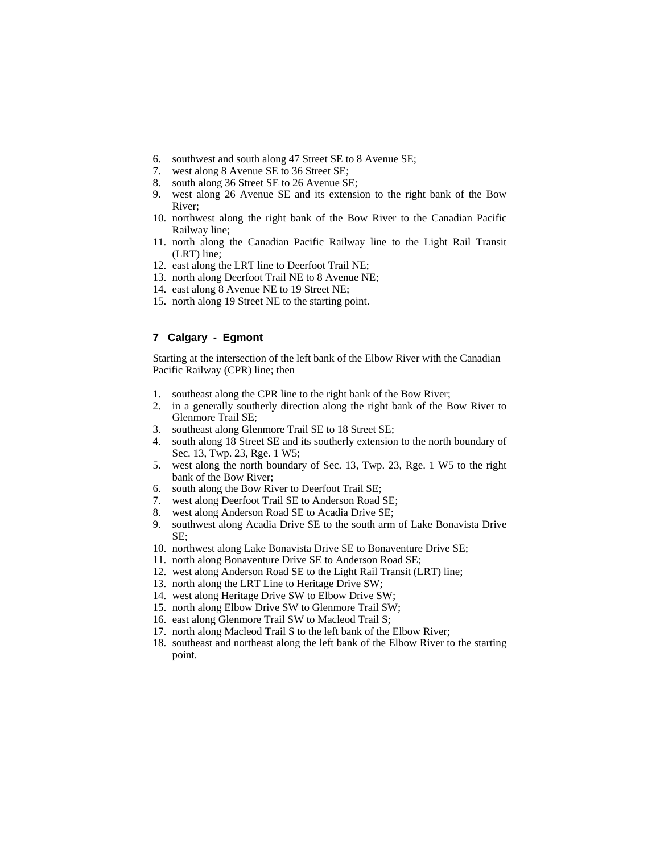- 6. southwest and south along 47 Street SE to 8 Avenue SE;
- 7. west along 8 Avenue SE to 36 Street SE;
- 8. south along 36 Street SE to 26 Avenue SE;
- 9. west along 26 Avenue SE and its extension to the right bank of the Bow River;
- 10. northwest along the right bank of the Bow River to the Canadian Pacific Railway line;
- 11. north along the Canadian Pacific Railway line to the Light Rail Transit (LRT) line;
- 12. east along the LRT line to Deerfoot Trail NE;
- 13. north along Deerfoot Trail NE to 8 Avenue NE;
- 14. east along 8 Avenue NE to 19 Street NE;
- 15. north along 19 Street NE to the starting point.

# **7 Calgary - Egmont**

Starting at the intersection of the left bank of the Elbow River with the Canadian Pacific Railway (CPR) line; then

- 1. southeast along the CPR line to the right bank of the Bow River;
- 2. in a generally southerly direction along the right bank of the Bow River to Glenmore Trail SE;
- 3. southeast along Glenmore Trail SE to 18 Street SE;
- 4. south along 18 Street SE and its southerly extension to the north boundary of Sec. 13, Twp. 23, Rge. 1 W5;
- 5. west along the north boundary of Sec. 13, Twp. 23, Rge. 1 W5 to the right bank of the Bow River;
- 6. south along the Bow River to Deerfoot Trail SE;
- 7. west along Deerfoot Trail SE to Anderson Road SE;
- 8. west along Anderson Road SE to Acadia Drive SE;
- 9. southwest along Acadia Drive SE to the south arm of Lake Bonavista Drive SE;
- 10. northwest along Lake Bonavista Drive SE to Bonaventure Drive SE;
- 11. north along Bonaventure Drive SE to Anderson Road SE;
- 12. west along Anderson Road SE to the Light Rail Transit (LRT) line;
- 13. north along the LRT Line to Heritage Drive SW;
- 14. west along Heritage Drive SW to Elbow Drive SW;
- 15. north along Elbow Drive SW to Glenmore Trail SW;
- 16. east along Glenmore Trail SW to Macleod Trail S;
- 17. north along Macleod Trail S to the left bank of the Elbow River;
- 18. southeast and northeast along the left bank of the Elbow River to the starting point.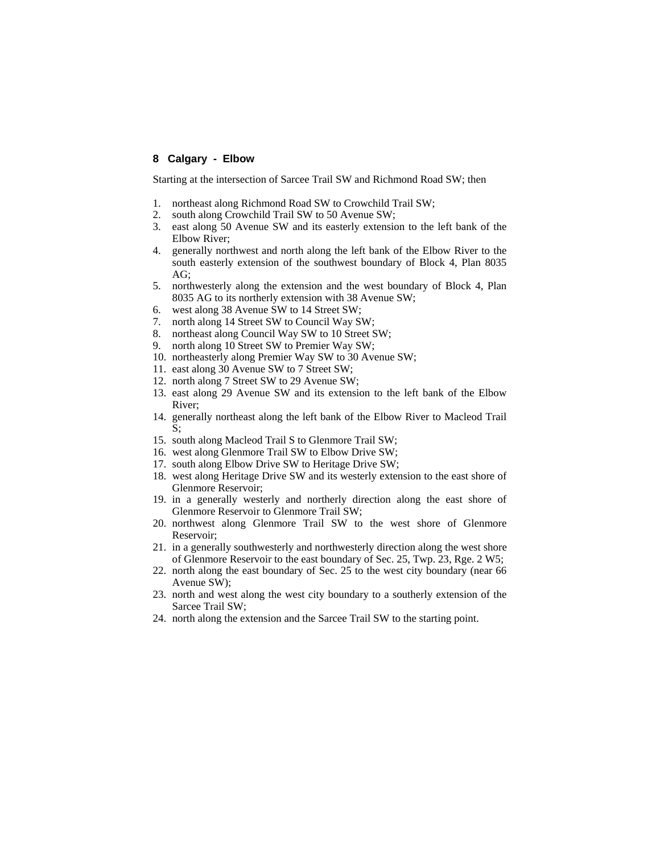## **8 Calgary - Elbow**

Starting at the intersection of Sarcee Trail SW and Richmond Road SW; then

- 1. northeast along Richmond Road SW to Crowchild Trail SW;
- 2. south along Crowchild Trail SW to 50 Avenue SW;
- 3. east along 50 Avenue SW and its easterly extension to the left bank of the Elbow River;
- 4. generally northwest and north along the left bank of the Elbow River to the south easterly extension of the southwest boundary of Block 4, Plan 8035 AG;
- 5. northwesterly along the extension and the west boundary of Block 4, Plan 8035 AG to its northerly extension with 38 Avenue SW;
- 6. west along 38 Avenue SW to 14 Street SW;
- 7. north along 14 Street SW to Council Way SW;
- 8. northeast along Council Way SW to 10 Street SW;
- 9. north along 10 Street SW to Premier Way SW;
- 10. northeasterly along Premier Way SW to 30 Avenue SW;
- 11. east along 30 Avenue SW to 7 Street SW;
- 12. north along 7 Street SW to 29 Avenue SW;
- 13. east along 29 Avenue SW and its extension to the left bank of the Elbow River;
- 14. generally northeast along the left bank of the Elbow River to Macleod Trail S;
- 15. south along Macleod Trail S to Glenmore Trail SW;
- 16. west along Glenmore Trail SW to Elbow Drive SW;
- 17. south along Elbow Drive SW to Heritage Drive SW;
- 18. west along Heritage Drive SW and its westerly extension to the east shore of Glenmore Reservoir;
- 19. in a generally westerly and northerly direction along the east shore of Glenmore Reservoir to Glenmore Trail SW;
- 20. northwest along Glenmore Trail SW to the west shore of Glenmore Reservoir;
- 21. in a generally southwesterly and northwesterly direction along the west shore of Glenmore Reservoir to the east boundary of Sec. 25, Twp. 23, Rge. 2 W5;
- 22. north along the east boundary of Sec. 25 to the west city boundary (near 66 Avenue SW);
- 23. north and west along the west city boundary to a southerly extension of the Sarcee Trail SW;
- 24. north along the extension and the Sarcee Trail SW to the starting point.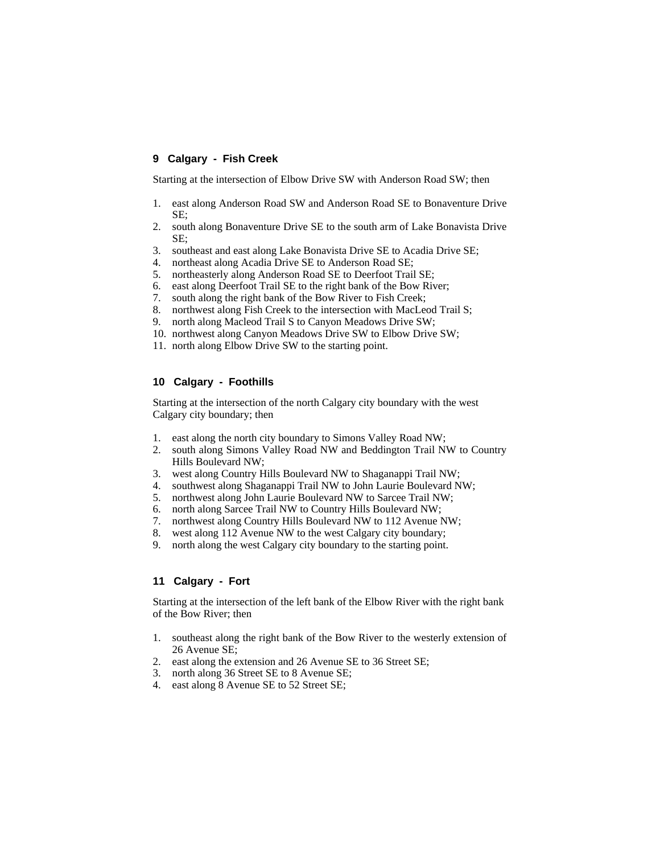# **9 Calgary - Fish Creek**

Starting at the intersection of Elbow Drive SW with Anderson Road SW; then

- 1. east along Anderson Road SW and Anderson Road SE to Bonaventure Drive SE;
- 2. south along Bonaventure Drive SE to the south arm of Lake Bonavista Drive SE;
- 3. southeast and east along Lake Bonavista Drive SE to Acadia Drive SE;
- 4. northeast along Acadia Drive SE to Anderson Road SE;
- 5. northeasterly along Anderson Road SE to Deerfoot Trail SE;
- 6. east along Deerfoot Trail SE to the right bank of the Bow River;
- 7. south along the right bank of the Bow River to Fish Creek;
- 8. northwest along Fish Creek to the intersection with MacLeod Trail S;
- 9. north along Macleod Trail S to Canyon Meadows Drive SW;
- 10. northwest along Canyon Meadows Drive SW to Elbow Drive SW;
- 11. north along Elbow Drive SW to the starting point.

# **10 Calgary - Foothills**

Starting at the intersection of the north Calgary city boundary with the west Calgary city boundary; then

- 1. east along the north city boundary to Simons Valley Road NW;
- 2. south along Simons Valley Road NW and Beddington Trail NW to Country Hills Boulevard NW;
- 3. west along Country Hills Boulevard NW to Shaganappi Trail NW;
- 4. southwest along Shaganappi Trail NW to John Laurie Boulevard NW;
- 5. northwest along John Laurie Boulevard NW to Sarcee Trail NW;
- 6. north along Sarcee Trail NW to Country Hills Boulevard NW;
- 7. northwest along Country Hills Boulevard NW to 112 Avenue NW;
- 8. west along 112 Avenue NW to the west Calgary city boundary;
- 9. north along the west Calgary city boundary to the starting point.

# **11 Calgary - Fort**

Starting at the intersection of the left bank of the Elbow River with the right bank of the Bow River; then

- 1. southeast along the right bank of the Bow River to the westerly extension of 26 Avenue SE;
- 2. east along the extension and 26 Avenue SE to 36 Street SE;
- 3. north along 36 Street SE to 8 Avenue SE;
- 4. east along 8 Avenue SE to 52 Street SE;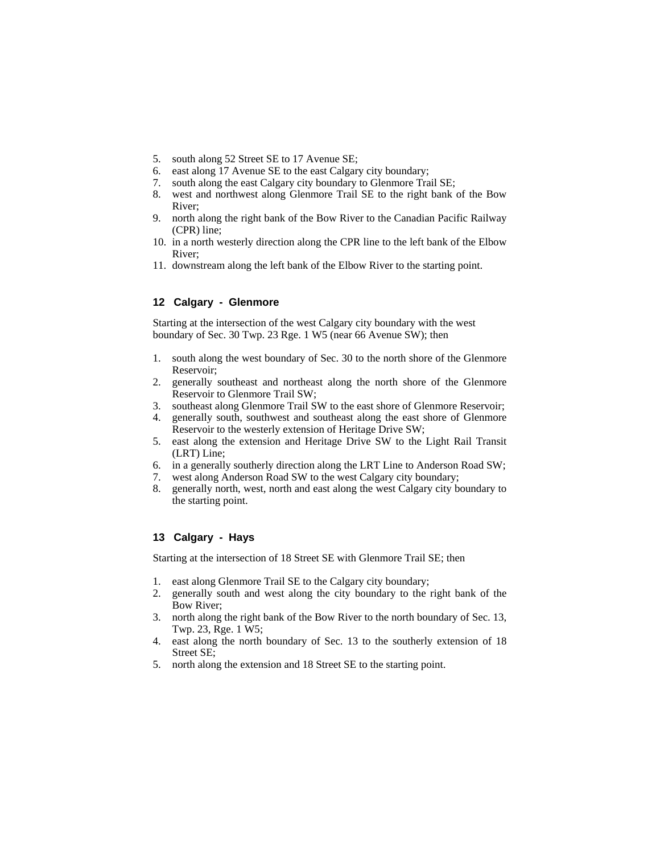- 5. south along 52 Street SE to 17 Avenue SE;
- 6. east along 17 Avenue SE to the east Calgary city boundary;
- 7. south along the east Calgary city boundary to Glenmore Trail SE;
- 8. west and northwest along Glenmore Trail SE to the right bank of the Bow River;
- 9. north along the right bank of the Bow River to the Canadian Pacific Railway (CPR) line;
- 10. in a north westerly direction along the CPR line to the left bank of the Elbow River;
- 11. downstream along the left bank of the Elbow River to the starting point.

## **12 Calgary - Glenmore**

Starting at the intersection of the west Calgary city boundary with the west boundary of Sec. 30 Twp. 23 Rge. 1 W5 (near 66 Avenue SW); then

- 1. south along the west boundary of Sec. 30 to the north shore of the Glenmore Reservoir;
- 2. generally southeast and northeast along the north shore of the Glenmore Reservoir to Glenmore Trail SW;
- 3. southeast along Glenmore Trail SW to the east shore of Glenmore Reservoir;
- 4. generally south, southwest and southeast along the east shore of Glenmore Reservoir to the westerly extension of Heritage Drive SW;
- 5. east along the extension and Heritage Drive SW to the Light Rail Transit (LRT) Line;
- 6. in a generally southerly direction along the LRT Line to Anderson Road SW;
- 7. west along Anderson Road SW to the west Calgary city boundary;
- 8. generally north, west, north and east along the west Calgary city boundary to the starting point.

#### **13 Calgary - Hays**

Starting at the intersection of 18 Street SE with Glenmore Trail SE; then

- 1. east along Glenmore Trail SE to the Calgary city boundary;
- 2. generally south and west along the city boundary to the right bank of the Bow River;
- 3. north along the right bank of the Bow River to the north boundary of Sec. 13, Twp. 23, Rge. 1 W5;
- 4. east along the north boundary of Sec. 13 to the southerly extension of 18 Street SE;
- 5. north along the extension and 18 Street SE to the starting point.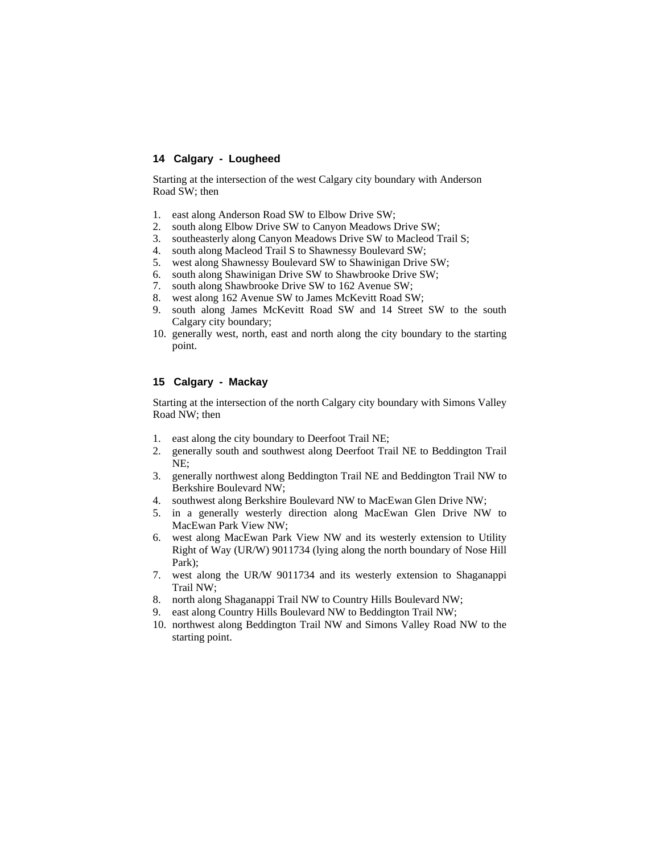#### **14 Calgary - Lougheed**

Starting at the intersection of the west Calgary city boundary with Anderson Road SW; then

- 1. east along Anderson Road SW to Elbow Drive SW;
- 2. south along Elbow Drive SW to Canyon Meadows Drive SW;
- 3. southeasterly along Canyon Meadows Drive SW to Macleod Trail S;
- 4. south along Macleod Trail S to Shawnessy Boulevard SW;
- 5. west along Shawnessy Boulevard SW to Shawinigan Drive SW;
- 6. south along Shawinigan Drive SW to Shawbrooke Drive SW;
- 7. south along Shawbrooke Drive SW to 162 Avenue SW;
- 8. west along 162 Avenue SW to James McKevitt Road SW;
- 9. south along James McKevitt Road SW and 14 Street SW to the south Calgary city boundary;
- 10. generally west, north, east and north along the city boundary to the starting point.

## **15 Calgary - Mackay**

Starting at the intersection of the north Calgary city boundary with Simons Valley Road NW; then

- 1. east along the city boundary to Deerfoot Trail NE;
- 2. generally south and southwest along Deerfoot Trail NE to Beddington Trail NE;
- 3. generally northwest along Beddington Trail NE and Beddington Trail NW to Berkshire Boulevard NW;
- 4. southwest along Berkshire Boulevard NW to MacEwan Glen Drive NW;
- 5. in a generally westerly direction along MacEwan Glen Drive NW to MacEwan Park View NW;
- 6. west along MacEwan Park View NW and its westerly extension to Utility Right of Way (UR/W) 9011734 (lying along the north boundary of Nose Hill Park);
- 7. west along the UR/W 9011734 and its westerly extension to Shaganappi Trail NW;
- 8. north along Shaganappi Trail NW to Country Hills Boulevard NW;
- 9. east along Country Hills Boulevard NW to Beddington Trail NW;
- 10. northwest along Beddington Trail NW and Simons Valley Road NW to the starting point.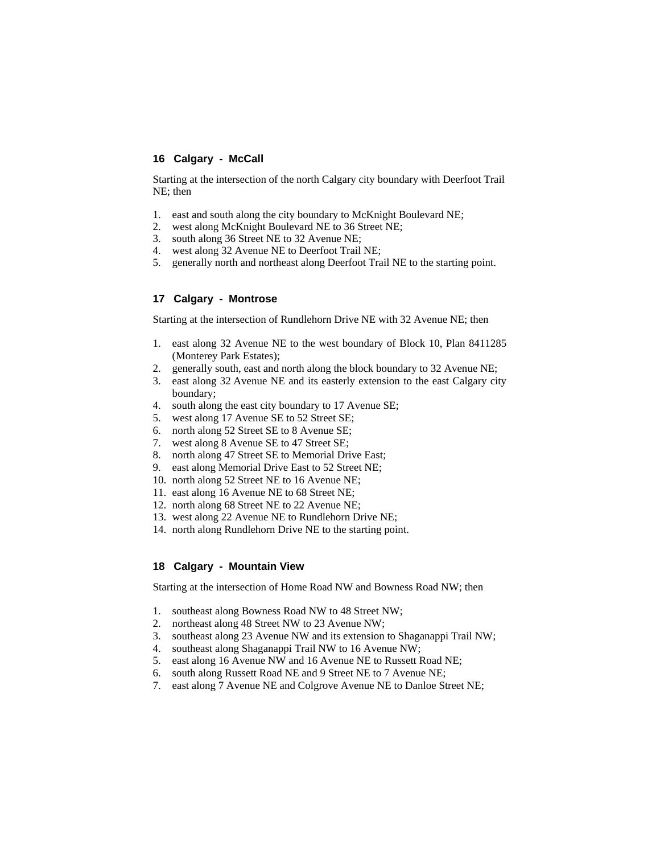#### **16 Calgary - McCall**

Starting at the intersection of the north Calgary city boundary with Deerfoot Trail NE; then

- 1. east and south along the city boundary to McKnight Boulevard NE;
- 2. west along McKnight Boulevard NE to 36 Street NE;
- 3. south along 36 Street NE to 32 Avenue NE;
- 4. west along 32 Avenue NE to Deerfoot Trail NE;
- 5. generally north and northeast along Deerfoot Trail NE to the starting point.

#### **17 Calgary - Montrose**

Starting at the intersection of Rundlehorn Drive NE with 32 Avenue NE; then

- 1. east along 32 Avenue NE to the west boundary of Block 10, Plan 8411285 (Monterey Park Estates);
- 2. generally south, east and north along the block boundary to 32 Avenue NE;
- 3. east along 32 Avenue NE and its easterly extension to the east Calgary city boundary;
- 4. south along the east city boundary to 17 Avenue SE;
- 5. west along 17 Avenue SE to 52 Street SE;
- 6. north along 52 Street SE to 8 Avenue SE;
- 7. west along 8 Avenue SE to 47 Street SE;
- 8. north along 47 Street SE to Memorial Drive East;
- 9. east along Memorial Drive East to 52 Street NE;
- 10. north along 52 Street NE to 16 Avenue NE;
- 11. east along 16 Avenue NE to 68 Street NE;
- 12. north along 68 Street NE to 22 Avenue NE;
- 13. west along 22 Avenue NE to Rundlehorn Drive NE;
- 14. north along Rundlehorn Drive NE to the starting point.

#### **18 Calgary - Mountain View**

Starting at the intersection of Home Road NW and Bowness Road NW; then

- 1. southeast along Bowness Road NW to 48 Street NW;
- 2. northeast along 48 Street NW to 23 Avenue NW;
- 3. southeast along 23 Avenue NW and its extension to Shaganappi Trail NW;
- 4. southeast along Shaganappi Trail NW to 16 Avenue NW;
- 5. east along 16 Avenue NW and 16 Avenue NE to Russett Road NE;
- 6. south along Russett Road NE and 9 Street NE to 7 Avenue NE;
- 7. east along 7 Avenue NE and Colgrove Avenue NE to Danloe Street NE;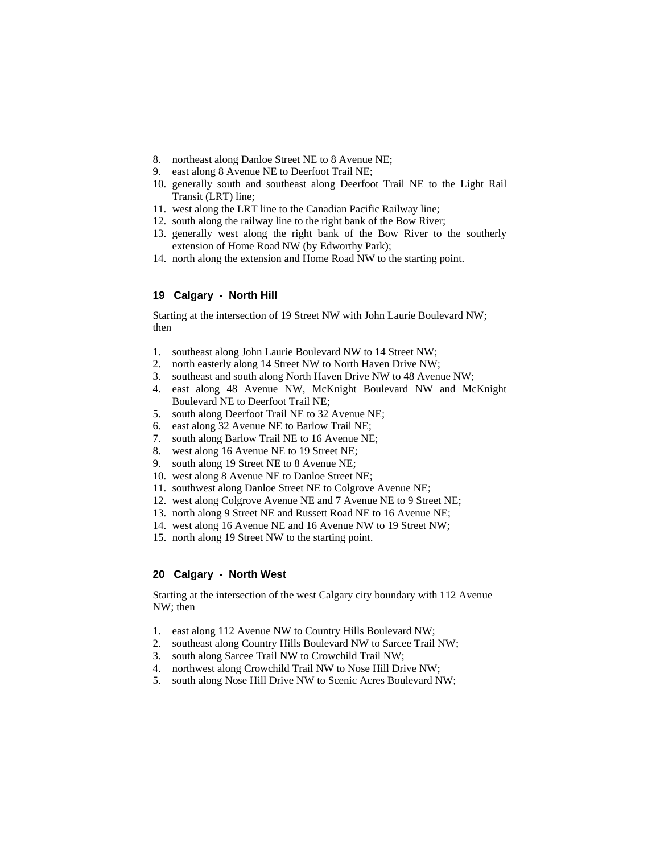- 8. northeast along Danloe Street NE to 8 Avenue NE;
- 9. east along 8 Avenue NE to Deerfoot Trail NE;
- 10. generally south and southeast along Deerfoot Trail NE to the Light Rail Transit (LRT) line;
- 11. west along the LRT line to the Canadian Pacific Railway line;
- 12. south along the railway line to the right bank of the Bow River;
- 13. generally west along the right bank of the Bow River to the southerly extension of Home Road NW (by Edworthy Park);
- 14. north along the extension and Home Road NW to the starting point.

# **19 Calgary - North Hill**

Starting at the intersection of 19 Street NW with John Laurie Boulevard NW; then

- 1. southeast along John Laurie Boulevard NW to 14 Street NW;
- 2. north easterly along 14 Street NW to North Haven Drive NW;
- 3. southeast and south along North Haven Drive NW to 48 Avenue NW;
- 4. east along 48 Avenue NW, McKnight Boulevard NW and McKnight Boulevard NE to Deerfoot Trail NE;
- 5. south along Deerfoot Trail NE to 32 Avenue NE;
- 6. east along 32 Avenue NE to Barlow Trail NE;
- 7. south along Barlow Trail NE to 16 Avenue NE;
- 8. west along 16 Avenue NE to 19 Street NE;
- 9. south along 19 Street NE to 8 Avenue NE;
- 10. west along 8 Avenue NE to Danloe Street NE;
- 11. southwest along Danloe Street NE to Colgrove Avenue NE;
- 12. west along Colgrove Avenue NE and 7 Avenue NE to 9 Street NE;
- 13. north along 9 Street NE and Russett Road NE to 16 Avenue NE;
- 14. west along 16 Avenue NE and 16 Avenue NW to 19 Street NW;
- 15. north along 19 Street NW to the starting point.

#### **20 Calgary - North West**

Starting at the intersection of the west Calgary city boundary with 112 Avenue NW; then

- 1. east along 112 Avenue NW to Country Hills Boulevard NW;
- 2. southeast along Country Hills Boulevard NW to Sarcee Trail NW;
- 3. south along Sarcee Trail NW to Crowchild Trail NW;
- 4. northwest along Crowchild Trail NW to Nose Hill Drive NW;
- 5. south along Nose Hill Drive NW to Scenic Acres Boulevard NW;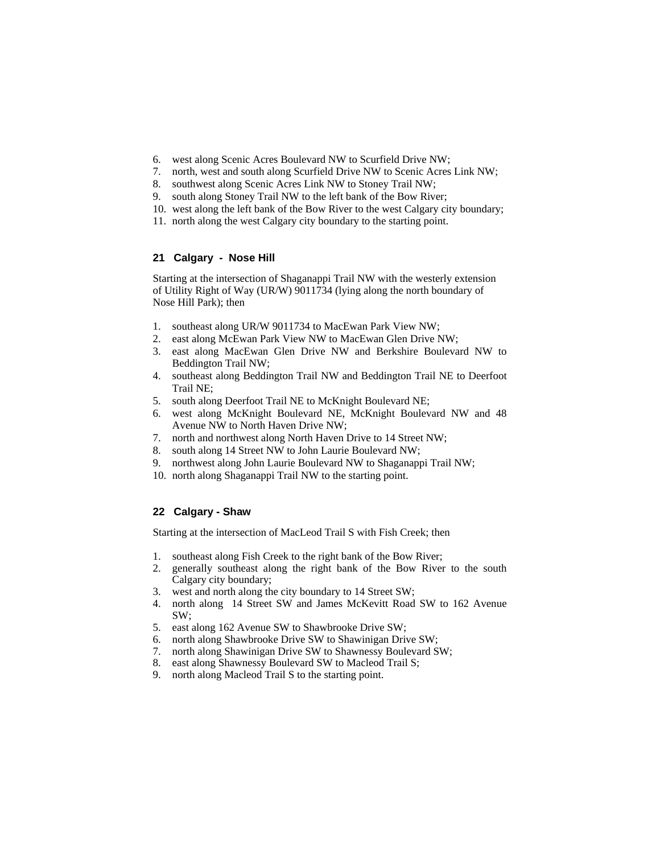- 6. west along Scenic Acres Boulevard NW to Scurfield Drive NW;
- 7. north, west and south along Scurfield Drive NW to Scenic Acres Link NW;
- 8. southwest along Scenic Acres Link NW to Stoney Trail NW;
- 9. south along Stoney Trail NW to the left bank of the Bow River;
- 10. west along the left bank of the Bow River to the west Calgary city boundary;
- 11. north along the west Calgary city boundary to the starting point.

# **21 Calgary - Nose Hill**

Starting at the intersection of Shaganappi Trail NW with the westerly extension of Utility Right of Way (UR/W) 9011734 (lying along the north boundary of Nose Hill Park); then

- 1. southeast along UR/W 9011734 to MacEwan Park View NW;
- 2. east along McEwan Park View NW to MacEwan Glen Drive NW;
- 3. east along MacEwan Glen Drive NW and Berkshire Boulevard NW to Beddington Trail NW;
- 4. southeast along Beddington Trail NW and Beddington Trail NE to Deerfoot Trail NE;
- 5. south along Deerfoot Trail NE to McKnight Boulevard NE;
- 6. west along McKnight Boulevard NE, McKnight Boulevard NW and 48 Avenue NW to North Haven Drive NW;
- 7. north and northwest along North Haven Drive to 14 Street NW;
- 8. south along 14 Street NW to John Laurie Boulevard NW;
- 9. northwest along John Laurie Boulevard NW to Shaganappi Trail NW;
- 10. north along Shaganappi Trail NW to the starting point.

# **22 Calgary - Shaw**

Starting at the intersection of MacLeod Trail S with Fish Creek; then

- 1. southeast along Fish Creek to the right bank of the Bow River;
- 2. generally southeast along the right bank of the Bow River to the south Calgary city boundary;
- 3. west and north along the city boundary to 14 Street SW;
- 4. north along 14 Street SW and James McKevitt Road SW to 162 Avenue SW;
- 5. east along 162 Avenue SW to Shawbrooke Drive SW;
- 6. north along Shawbrooke Drive SW to Shawinigan Drive SW;
- 7. north along Shawinigan Drive SW to Shawnessy Boulevard SW;
- 8. east along Shawnessy Boulevard SW to Macleod Trail S;
- 9. north along Macleod Trail S to the starting point.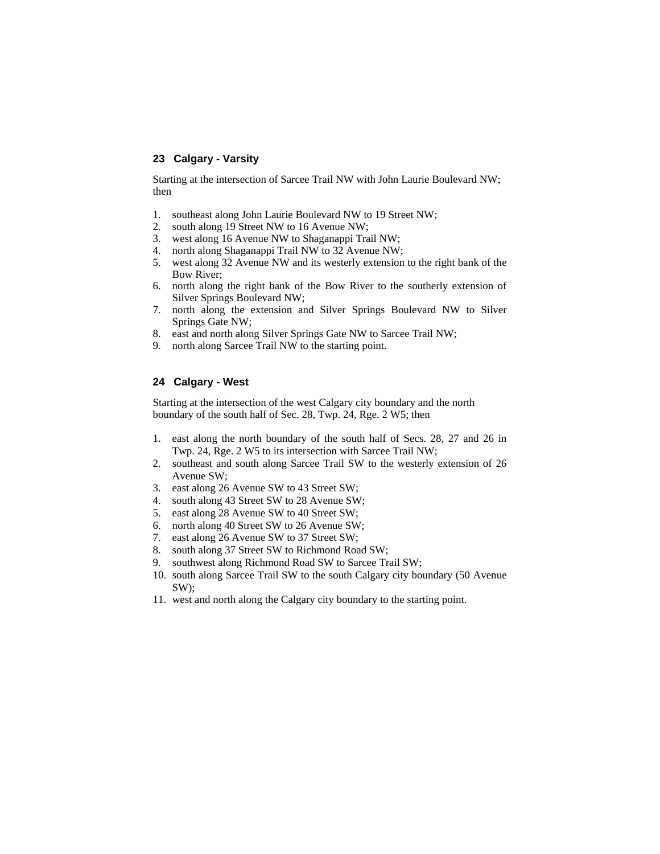## **23 Calgary - Varsity**

Starting at the intersection of Sarcee Trail NW with John Laurie Boulevard NW; then

- 1. southeast along John Laurie Boulevard NW to 19 Street NW;
- 2. south along 19 Street NW to 16 Avenue NW;
- 3. west along 16 Avenue NW to Shaganappi Trail NW;
- 4. north along Shaganappi Trail NW to 32 Avenue NW;
- 5. west along 32 Avenue NW and its westerly extension to the right bank of the Bow River;
- 6. north along the right bank of the Bow River to the southerly extension of Silver Springs Boulevard NW;
- 7. north along the extension and Silver Springs Boulevard NW to Silver Springs Gate NW;
- 8. east and north along Silver Springs Gate NW to Sarcee Trail NW;
- 9. north along Sarcee Trail NW to the starting point.

# **24 Calgary - West**

Starting at the intersection of the west Calgary city boundary and the north boundary of the south half of Sec. 28, Twp. 24, Rge. 2 W5; then

- 1. east along the north boundary of the south half of Secs. 28, 27 and 26 in Twp. 24, Rge. 2 W5 to its intersection with Sarcee Trail NW;
- 2. southeast and south along Sarcee Trail SW to the westerly extension of 26 Avenue SW;
- 3. east along 26 Avenue SW to 43 Street SW;
- 4. south along 43 Street SW to 28 Avenue SW;
- 5. east along 28 Avenue SW to 40 Street SW;
- 6. north along 40 Street SW to 26 Avenue SW;
- 7. east along 26 Avenue SW to 37 Street SW;
- 8. south along 37 Street SW to Richmond Road SW;
- 9. southwest along Richmond Road SW to Sarcee Trail SW;
- 10. south along Sarcee Trail SW to the south Calgary city boundary (50 Avenue SW);
- 11. west and north along the Calgary city boundary to the starting point.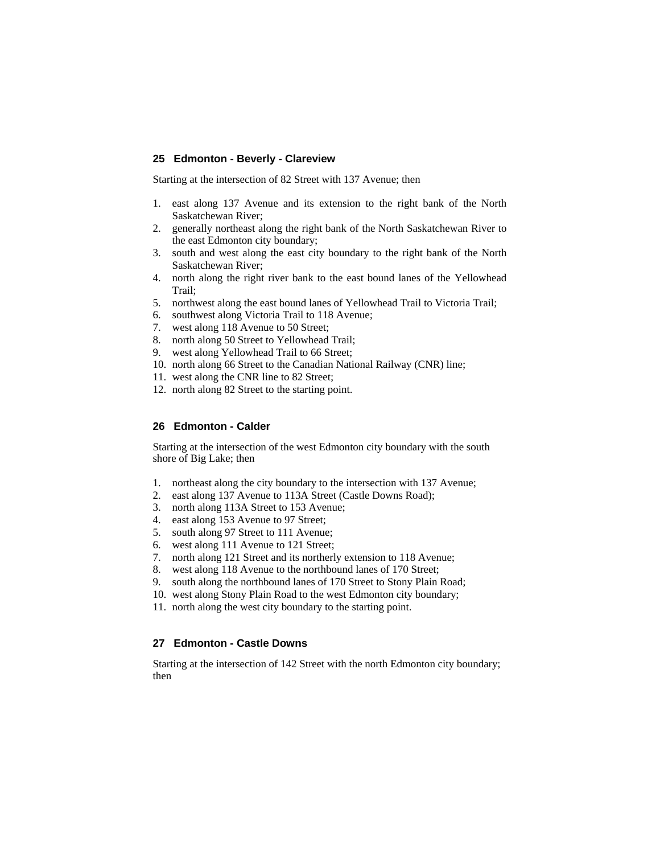#### **25 Edmonton - Beverly - Clareview**

Starting at the intersection of 82 Street with 137 Avenue; then

- 1. east along 137 Avenue and its extension to the right bank of the North Saskatchewan River;
- 2. generally northeast along the right bank of the North Saskatchewan River to the east Edmonton city boundary;
- 3. south and west along the east city boundary to the right bank of the North Saskatchewan River;
- 4. north along the right river bank to the east bound lanes of the Yellowhead Trail;
- 5. northwest along the east bound lanes of Yellowhead Trail to Victoria Trail;
- 6. southwest along Victoria Trail to 118 Avenue;
- 7. west along 118 Avenue to 50 Street;
- 8. north along 50 Street to Yellowhead Trail;
- 9. west along Yellowhead Trail to 66 Street;
- 10. north along 66 Street to the Canadian National Railway (CNR) line;
- 11. west along the CNR line to 82 Street;
- 12. north along 82 Street to the starting point.

#### **26 Edmonton - Calder**

Starting at the intersection of the west Edmonton city boundary with the south shore of Big Lake; then

- 1. northeast along the city boundary to the intersection with 137 Avenue;
- 2. east along 137 Avenue to 113A Street (Castle Downs Road);
- 3. north along 113A Street to 153 Avenue;
- 4. east along 153 Avenue to 97 Street;
- 5. south along 97 Street to 111 Avenue;
- 6. west along 111 Avenue to 121 Street;
- 7. north along 121 Street and its northerly extension to 118 Avenue;
- 8. west along 118 Avenue to the northbound lanes of 170 Street;
- 9. south along the northbound lanes of 170 Street to Stony Plain Road;
- 10. west along Stony Plain Road to the west Edmonton city boundary;
- 11. north along the west city boundary to the starting point.

# **27 Edmonton - Castle Downs**

Starting at the intersection of 142 Street with the north Edmonton city boundary; then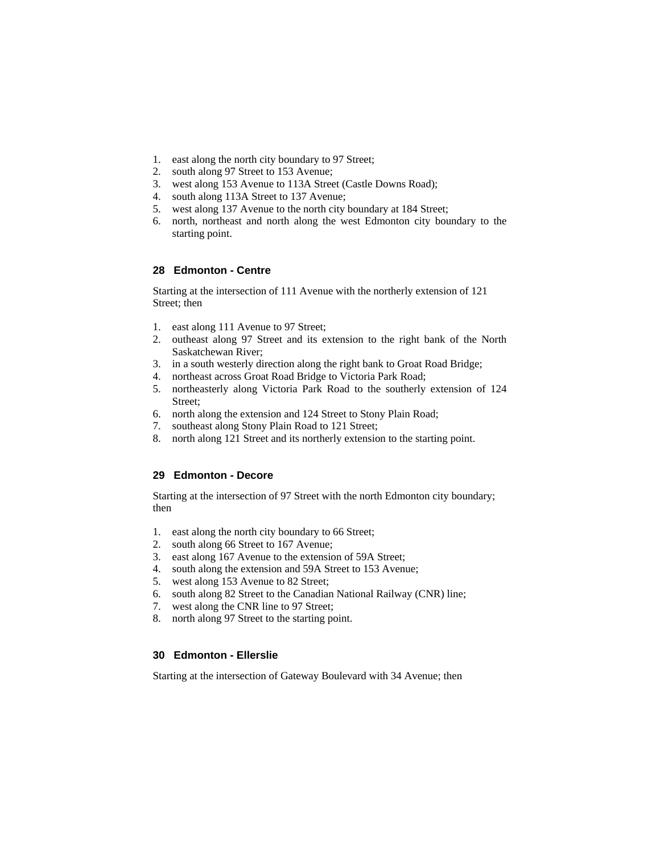- 1. east along the north city boundary to 97 Street;
- 2. south along 97 Street to 153 Avenue;
- 3. west along 153 Avenue to 113A Street (Castle Downs Road);
- 4. south along 113A Street to 137 Avenue;
- 5. west along 137 Avenue to the north city boundary at 184 Street;
- 6. north, northeast and north along the west Edmonton city boundary to the starting point.

#### **28 Edmonton - Centre**

Starting at the intersection of 111 Avenue with the northerly extension of 121 Street; then

- 1. east along 111 Avenue to 97 Street;
- 2. outheast along 97 Street and its extension to the right bank of the North Saskatchewan River;
- 3. in a south westerly direction along the right bank to Groat Road Bridge;
- 4. northeast across Groat Road Bridge to Victoria Park Road;
- 5. northeasterly along Victoria Park Road to the southerly extension of 124 Street;
- 6. north along the extension and 124 Street to Stony Plain Road;
- 7. southeast along Stony Plain Road to 121 Street;
- 8. north along 121 Street and its northerly extension to the starting point.

## **29 Edmonton - Decore**

Starting at the intersection of 97 Street with the north Edmonton city boundary; then

- 1. east along the north city boundary to 66 Street;
- 2. south along 66 Street to 167 Avenue;
- 3. east along 167 Avenue to the extension of 59A Street;
- 4. south along the extension and 59A Street to 153 Avenue;
- 5. west along 153 Avenue to 82 Street;
- 6. south along 82 Street to the Canadian National Railway (CNR) line;
- 7. west along the CNR line to 97 Street;
- 8. north along 97 Street to the starting point.

# **30 Edmonton - Ellerslie**

Starting at the intersection of Gateway Boulevard with 34 Avenue; then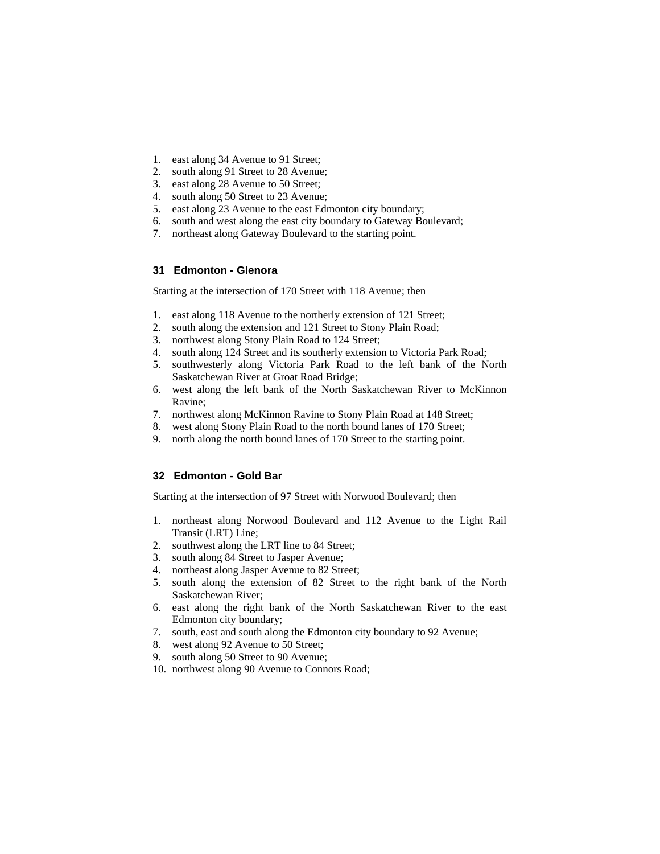- 1. east along 34 Avenue to 91 Street;
- 2. south along 91 Street to 28 Avenue;
- 3. east along 28 Avenue to 50 Street;
- 4. south along 50 Street to 23 Avenue;
- 5. east along 23 Avenue to the east Edmonton city boundary;
- 6. south and west along the east city boundary to Gateway Boulevard;
- 7. northeast along Gateway Boulevard to the starting point.

# **31 Edmonton - Glenora**

Starting at the intersection of 170 Street with 118 Avenue; then

- 1. east along 118 Avenue to the northerly extension of 121 Street;
- 2. south along the extension and 121 Street to Stony Plain Road;
- 3. northwest along Stony Plain Road to 124 Street;
- 4. south along 124 Street and its southerly extension to Victoria Park Road;
- 5. southwesterly along Victoria Park Road to the left bank of the North Saskatchewan River at Groat Road Bridge;
- 6. west along the left bank of the North Saskatchewan River to McKinnon Ravine;
- 7. northwest along McKinnon Ravine to Stony Plain Road at 148 Street;
- 8. west along Stony Plain Road to the north bound lanes of 170 Street;
- 9. north along the north bound lanes of 170 Street to the starting point.

## **32 Edmonton - Gold Bar**

Starting at the intersection of 97 Street with Norwood Boulevard; then

- 1. northeast along Norwood Boulevard and 112 Avenue to the Light Rail Transit (LRT) Line;
- 2. southwest along the LRT line to 84 Street;
- 3. south along 84 Street to Jasper Avenue;
- 4. northeast along Jasper Avenue to 82 Street;
- 5. south along the extension of 82 Street to the right bank of the North Saskatchewan River;
- 6. east along the right bank of the North Saskatchewan River to the east Edmonton city boundary;
- 7. south, east and south along the Edmonton city boundary to 92 Avenue;
- 8. west along 92 Avenue to 50 Street;
- 9. south along 50 Street to 90 Avenue;
- 10. northwest along 90 Avenue to Connors Road;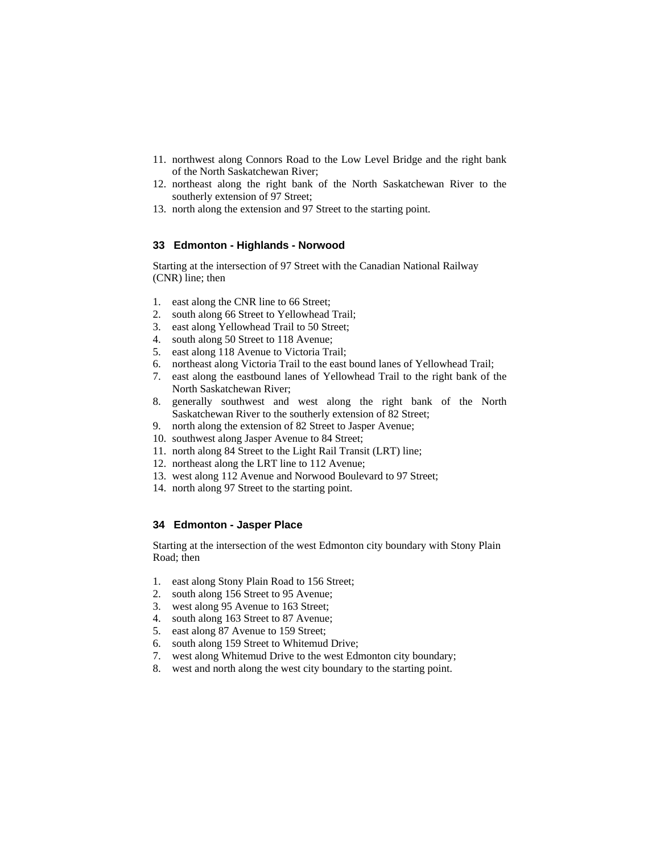- 11. northwest along Connors Road to the Low Level Bridge and the right bank of the North Saskatchewan River;
- 12. northeast along the right bank of the North Saskatchewan River to the southerly extension of 97 Street;
- 13. north along the extension and 97 Street to the starting point.

### **33 Edmonton - Highlands - Norwood**

Starting at the intersection of 97 Street with the Canadian National Railway (CNR) line; then

- 1. east along the CNR line to 66 Street;
- 2. south along 66 Street to Yellowhead Trail;
- 3. east along Yellowhead Trail to 50 Street;
- 4. south along 50 Street to 118 Avenue;
- 5. east along 118 Avenue to Victoria Trail;
- 6. northeast along Victoria Trail to the east bound lanes of Yellowhead Trail;
- 7. east along the eastbound lanes of Yellowhead Trail to the right bank of the North Saskatchewan River;
- 8. generally southwest and west along the right bank of the North Saskatchewan River to the southerly extension of 82 Street;
- 9. north along the extension of 82 Street to Jasper Avenue;
- 10. southwest along Jasper Avenue to 84 Street;
- 11. north along 84 Street to the Light Rail Transit (LRT) line;
- 12. northeast along the LRT line to 112 Avenue;
- 13. west along 112 Avenue and Norwood Boulevard to 97 Street;
- 14. north along 97 Street to the starting point.

# **34 Edmonton - Jasper Place**

Starting at the intersection of the west Edmonton city boundary with Stony Plain Road; then

- 1. east along Stony Plain Road to 156 Street;
- 2. south along 156 Street to 95 Avenue;
- 3. west along 95 Avenue to 163 Street;
- 4. south along 163 Street to 87 Avenue;
- 5. east along 87 Avenue to 159 Street;
- 6. south along 159 Street to Whitemud Drive;
- 7. west along Whitemud Drive to the west Edmonton city boundary;
- 8. west and north along the west city boundary to the starting point.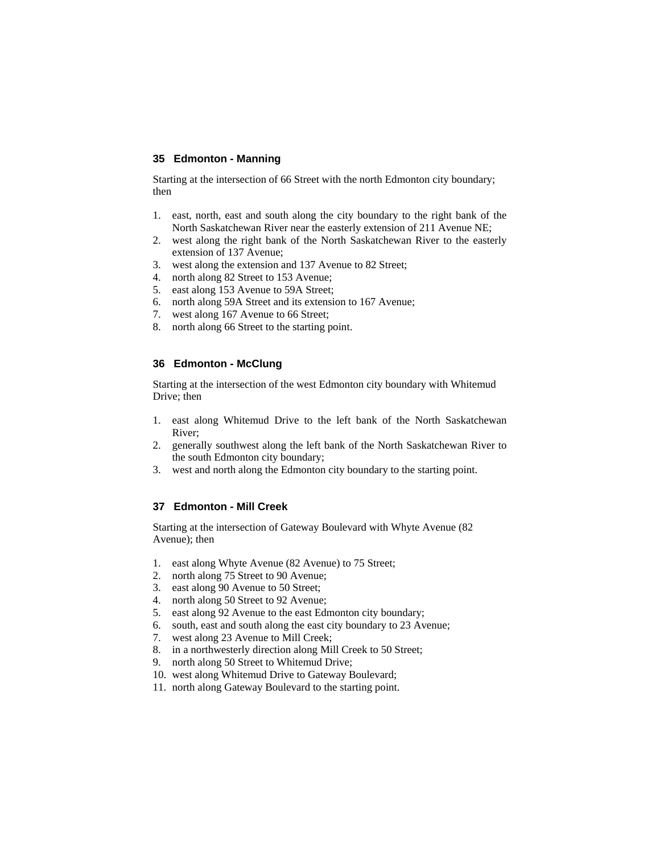#### **35 Edmonton - Manning**

Starting at the intersection of 66 Street with the north Edmonton city boundary; then

- 1. east, north, east and south along the city boundary to the right bank of the North Saskatchewan River near the easterly extension of 211 Avenue NE;
- 2. west along the right bank of the North Saskatchewan River to the easterly extension of 137 Avenue;
- 3. west along the extension and 137 Avenue to 82 Street;
- 4. north along 82 Street to 153 Avenue;
- 5. east along 153 Avenue to 59A Street;
- 6. north along 59A Street and its extension to 167 Avenue;
- 7. west along 167 Avenue to 66 Street;
- 8. north along 66 Street to the starting point.

#### **36 Edmonton - McClung**

Starting at the intersection of the west Edmonton city boundary with Whitemud Drive; then

- 1. east along Whitemud Drive to the left bank of the North Saskatchewan River;
- 2. generally southwest along the left bank of the North Saskatchewan River to the south Edmonton city boundary;
- 3. west and north along the Edmonton city boundary to the starting point.

#### **37 Edmonton - Mill Creek**

Starting at the intersection of Gateway Boulevard with Whyte Avenue (82 Avenue); then

- 1. east along Whyte Avenue (82 Avenue) to 75 Street;
- 2. north along 75 Street to 90 Avenue;
- 3. east along 90 Avenue to 50 Street;
- 4. north along 50 Street to 92 Avenue;
- 5. east along 92 Avenue to the east Edmonton city boundary;
- 6. south, east and south along the east city boundary to 23 Avenue;
- 7. west along 23 Avenue to Mill Creek;
- 8. in a northwesterly direction along Mill Creek to 50 Street;
- 9. north along 50 Street to Whitemud Drive;
- 10. west along Whitemud Drive to Gateway Boulevard;
- 11. north along Gateway Boulevard to the starting point.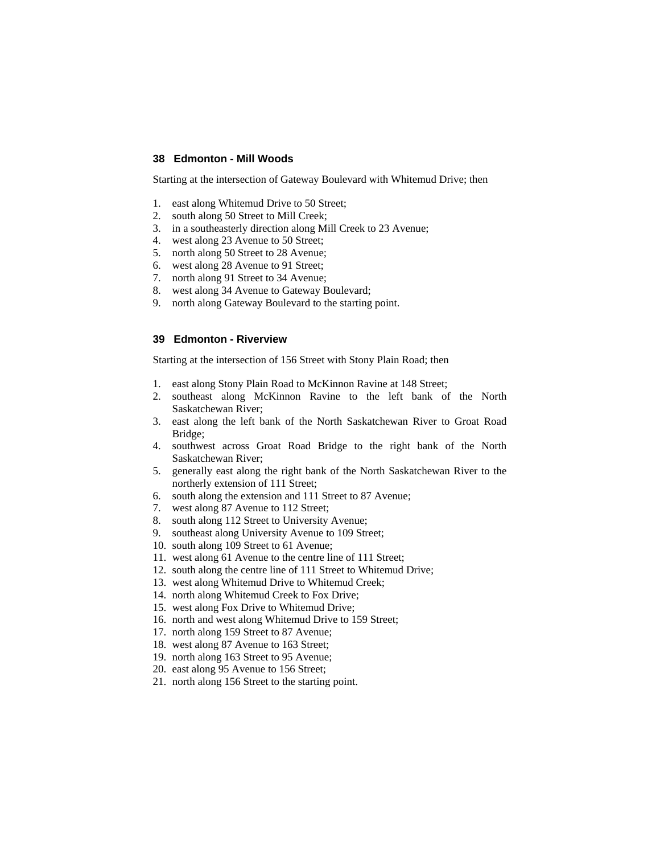#### **38 Edmonton - Mill Woods**

Starting at the intersection of Gateway Boulevard with Whitemud Drive; then

- 1. east along Whitemud Drive to 50 Street;
- 2. south along 50 Street to Mill Creek;
- 3. in a southeasterly direction along Mill Creek to 23 Avenue;
- 4. west along 23 Avenue to 50 Street;
- 5. north along 50 Street to 28 Avenue;
- 6. west along 28 Avenue to 91 Street;
- 7. north along 91 Street to 34 Avenue;
- 8. west along 34 Avenue to Gateway Boulevard;
- 9. north along Gateway Boulevard to the starting point.

### **39 Edmonton - Riverview**

Starting at the intersection of 156 Street with Stony Plain Road; then

- 1. east along Stony Plain Road to McKinnon Ravine at 148 Street;
- 2. southeast along McKinnon Ravine to the left bank of the North Saskatchewan River;
- 3. east along the left bank of the North Saskatchewan River to Groat Road Bridge;
- 4. southwest across Groat Road Bridge to the right bank of the North Saskatchewan River;
- 5. generally east along the right bank of the North Saskatchewan River to the northerly extension of 111 Street;
- 6. south along the extension and 111 Street to 87 Avenue;
- 7. west along 87 Avenue to 112 Street;
- 8. south along 112 Street to University Avenue;
- 9. southeast along University Avenue to 109 Street;
- 10. south along 109 Street to 61 Avenue;
- 11. west along 61 Avenue to the centre line of 111 Street;
- 12. south along the centre line of 111 Street to Whitemud Drive;
- 13. west along Whitemud Drive to Whitemud Creek;
- 14. north along Whitemud Creek to Fox Drive;
- 15. west along Fox Drive to Whitemud Drive;
- 16. north and west along Whitemud Drive to 159 Street;
- 17. north along 159 Street to 87 Avenue;
- 18. west along 87 Avenue to 163 Street;
- 19. north along 163 Street to 95 Avenue;
- 20. east along 95 Avenue to 156 Street;
- 21. north along 156 Street to the starting point.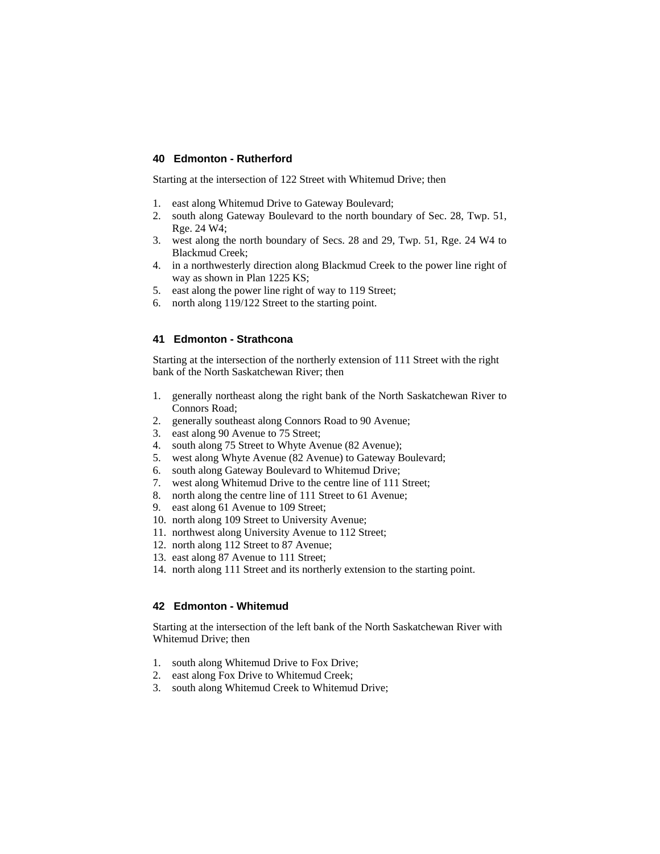#### **40 Edmonton - Rutherford**

Starting at the intersection of 122 Street with Whitemud Drive; then

- 1. east along Whitemud Drive to Gateway Boulevard;
- 2. south along Gateway Boulevard to the north boundary of Sec. 28, Twp. 51, Rge. 24 W4;
- 3. west along the north boundary of Secs. 28 and 29, Twp. 51, Rge. 24 W4 to Blackmud Creek;
- 4. in a northwesterly direction along Blackmud Creek to the power line right of way as shown in Plan 1225 KS;
- 5. east along the power line right of way to 119 Street;
- 6. north along 119/122 Street to the starting point.

### **41 Edmonton - Strathcona**

Starting at the intersection of the northerly extension of 111 Street with the right bank of the North Saskatchewan River; then

- 1. generally northeast along the right bank of the North Saskatchewan River to Connors Road;
- 2. generally southeast along Connors Road to 90 Avenue;
- 3. east along 90 Avenue to 75 Street;
- 4. south along 75 Street to Whyte Avenue (82 Avenue);
- 5. west along Whyte Avenue (82 Avenue) to Gateway Boulevard;
- 6. south along Gateway Boulevard to Whitemud Drive;
- 7. west along Whitemud Drive to the centre line of 111 Street;
- 8. north along the centre line of 111 Street to 61 Avenue;
- 9. east along 61 Avenue to 109 Street;
- 10. north along 109 Street to University Avenue;
- 11. northwest along University Avenue to 112 Street;
- 12. north along 112 Street to 87 Avenue;
- 13. east along 87 Avenue to 111 Street;
- 14. north along 111 Street and its northerly extension to the starting point.

#### **42 Edmonton - Whitemud**

Starting at the intersection of the left bank of the North Saskatchewan River with Whitemud Drive; then

- 1. south along Whitemud Drive to Fox Drive;
- 2. east along Fox Drive to Whitemud Creek;
- 3. south along Whitemud Creek to Whitemud Drive;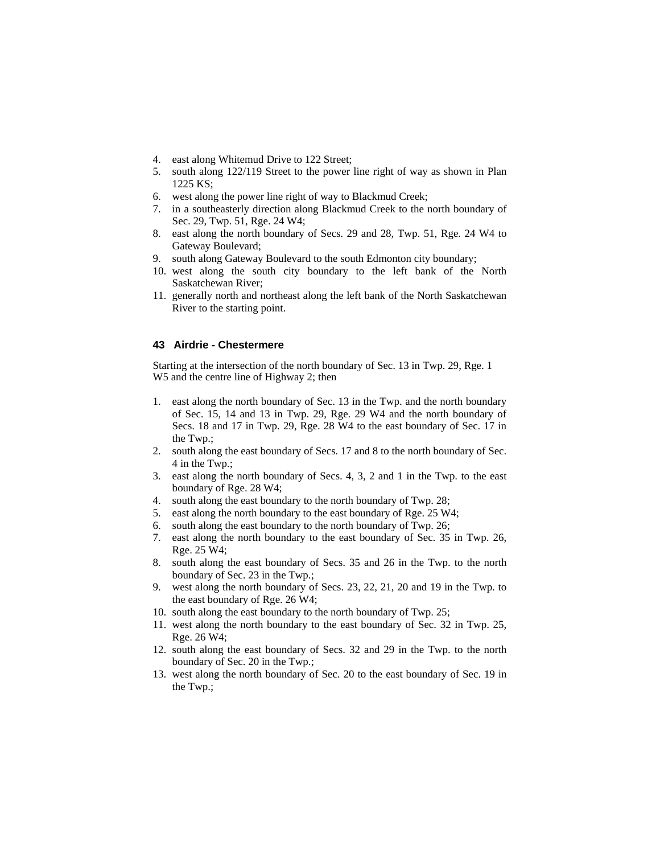- 4. east along Whitemud Drive to 122 Street;
- 5. south along 122/119 Street to the power line right of way as shown in Plan 1225 KS;
- 6. west along the power line right of way to Blackmud Creek;
- 7. in a southeasterly direction along Blackmud Creek to the north boundary of Sec. 29, Twp. 51, Rge. 24 W4;
- 8. east along the north boundary of Secs. 29 and 28, Twp. 51, Rge. 24 W4 to Gateway Boulevard;
- 9. south along Gateway Boulevard to the south Edmonton city boundary;
- 10. west along the south city boundary to the left bank of the North Saskatchewan River;
- 11. generally north and northeast along the left bank of the North Saskatchewan River to the starting point.

#### **43 Airdrie - Chestermere**

Starting at the intersection of the north boundary of Sec. 13 in Twp. 29, Rge. 1 W5 and the centre line of Highway 2; then

- 1. east along the north boundary of Sec. 13 in the Twp. and the north boundary of Sec. 15, 14 and 13 in Twp. 29, Rge. 29 W4 and the north boundary of Secs. 18 and 17 in Twp. 29, Rge. 28 W4 to the east boundary of Sec. 17 in the Twp.;
- 2. south along the east boundary of Secs. 17 and 8 to the north boundary of Sec. 4 in the Twp.;
- 3. east along the north boundary of Secs. 4, 3, 2 and 1 in the Twp. to the east boundary of Rge. 28 W4;
- 4. south along the east boundary to the north boundary of Twp. 28;
- 5. east along the north boundary to the east boundary of Rge. 25 W4;
- 6. south along the east boundary to the north boundary of Twp. 26;
- 7. east along the north boundary to the east boundary of Sec. 35 in Twp. 26, Rge. 25 W4;
- 8. south along the east boundary of Secs. 35 and 26 in the Twp. to the north boundary of Sec. 23 in the Twp.;
- 9. west along the north boundary of Secs. 23, 22, 21, 20 and 19 in the Twp. to the east boundary of Rge. 26 W4;
- 10. south along the east boundary to the north boundary of Twp. 25;
- 11. west along the north boundary to the east boundary of Sec. 32 in Twp. 25, Rge. 26 W4;
- 12. south along the east boundary of Secs. 32 and 29 in the Twp. to the north boundary of Sec. 20 in the Twp.;
- 13. west along the north boundary of Sec. 20 to the east boundary of Sec. 19 in the Twp.;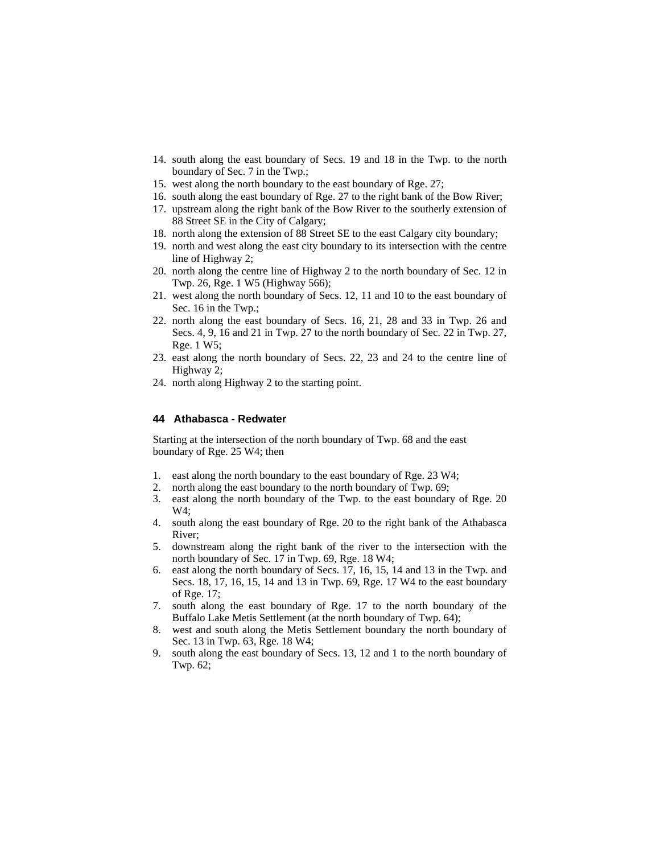- 14. south along the east boundary of Secs. 19 and 18 in the Twp. to the north boundary of Sec. 7 in the Twp.;
- 15. west along the north boundary to the east boundary of Rge. 27;
- 16. south along the east boundary of Rge. 27 to the right bank of the Bow River;
- 17. upstream along the right bank of the Bow River to the southerly extension of 88 Street SE in the City of Calgary;
- 18. north along the extension of 88 Street SE to the east Calgary city boundary;
- 19. north and west along the east city boundary to its intersection with the centre line of Highway 2;
- 20. north along the centre line of Highway 2 to the north boundary of Sec. 12 in Twp. 26, Rge. 1 W5 (Highway 566);
- 21. west along the north boundary of Secs. 12, 11 and 10 to the east boundary of Sec. 16 in the Twp.;
- 22. north along the east boundary of Secs. 16, 21, 28 and 33 in Twp. 26 and Secs. 4, 9, 16 and 21 in Twp. 27 to the north boundary of Sec. 22 in Twp. 27, Rge. 1 W5;
- 23. east along the north boundary of Secs. 22, 23 and 24 to the centre line of Highway 2;
- 24. north along Highway 2 to the starting point.

#### **44 Athabasca - Redwater**

Starting at the intersection of the north boundary of Twp. 68 and the east boundary of Rge. 25 W4; then

- 1. east along the north boundary to the east boundary of Rge. 23 W4;
- 2. north along the east boundary to the north boundary of Twp. 69;
- 3. east along the north boundary of the Twp. to the east boundary of Rge. 20 W4;
- 4. south along the east boundary of Rge. 20 to the right bank of the Athabasca River;
- 5. downstream along the right bank of the river to the intersection with the north boundary of Sec. 17 in Twp. 69, Rge. 18 W4;
- 6. east along the north boundary of Secs. 17, 16, 15, 14 and 13 in the Twp. and Secs. 18, 17, 16, 15, 14 and 13 in Twp. 69, Rge. 17 W4 to the east boundary of Rge. 17;
- 7. south along the east boundary of Rge. 17 to the north boundary of the Buffalo Lake Metis Settlement (at the north boundary of Twp. 64);
- 8. west and south along the Metis Settlement boundary the north boundary of Sec. 13 in Twp. 63, Rge. 18 W4;
- 9. south along the east boundary of Secs. 13, 12 and 1 to the north boundary of Twp. 62;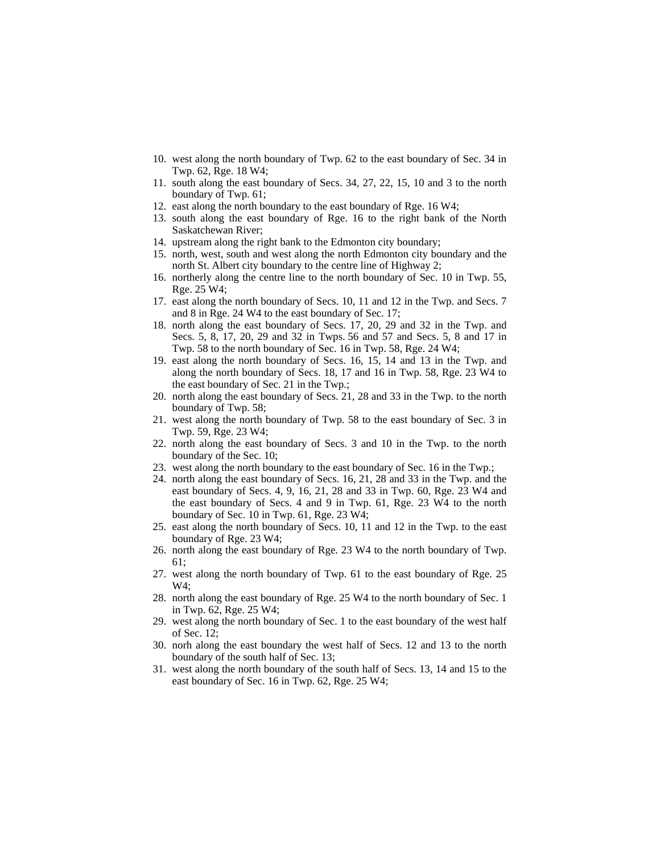- 10. west along the north boundary of Twp. 62 to the east boundary of Sec. 34 in Twp. 62, Rge. 18 W4;
- 11. south along the east boundary of Secs. 34, 27, 22, 15, 10 and 3 to the north boundary of Twp. 61;
- 12. east along the north boundary to the east boundary of Rge. 16 W4;
- 13. south along the east boundary of Rge. 16 to the right bank of the North Saskatchewan River;
- 14. upstream along the right bank to the Edmonton city boundary;
- 15. north, west, south and west along the north Edmonton city boundary and the north St. Albert city boundary to the centre line of Highway 2;
- 16. northerly along the centre line to the north boundary of Sec. 10 in Twp. 55, Rge. 25 W4;
- 17. east along the north boundary of Secs. 10, 11 and 12 in the Twp. and Secs. 7 and 8 in Rge. 24 W4 to the east boundary of Sec. 17;
- 18. north along the east boundary of Secs. 17, 20, 29 and 32 in the Twp. and Secs. 5, 8, 17, 20, 29 and 32 in Twps. 56 and 57 and Secs. 5, 8 and 17 in Twp. 58 to the north boundary of Sec. 16 in Twp. 58, Rge. 24 W4;
- 19. east along the north boundary of Secs. 16, 15, 14 and 13 in the Twp. and along the north boundary of Secs. 18, 17 and 16 in Twp. 58, Rge. 23 W4 to the east boundary of Sec. 21 in the Twp.;
- 20. north along the east boundary of Secs. 21, 28 and 33 in the Twp. to the north boundary of Twp. 58;
- 21. west along the north boundary of Twp. 58 to the east boundary of Sec. 3 in Twp. 59, Rge. 23 W4;
- 22. north along the east boundary of Secs. 3 and 10 in the Twp. to the north boundary of the Sec. 10;
- 23. west along the north boundary to the east boundary of Sec. 16 in the Twp.;
- 24. north along the east boundary of Secs. 16, 21, 28 and 33 in the Twp. and the east boundary of Secs. 4, 9, 16, 21, 28 and 33 in Twp. 60, Rge. 23 W4 and the east boundary of Secs. 4 and 9 in Twp. 61, Rge. 23 W4 to the north boundary of Sec. 10 in Twp. 61, Rge. 23 W4;
- 25. east along the north boundary of Secs. 10, 11 and 12 in the Twp. to the east boundary of Rge. 23 W4;
- 26. north along the east boundary of Rge. 23 W4 to the north boundary of Twp. 61;
- 27. west along the north boundary of Twp. 61 to the east boundary of Rge. 25  $W4:$
- 28. north along the east boundary of Rge. 25 W4 to the north boundary of Sec. 1 in Twp. 62, Rge. 25 W4;
- 29. west along the north boundary of Sec. 1 to the east boundary of the west half of Sec. 12;
- 30. norh along the east boundary the west half of Secs. 12 and 13 to the north boundary of the south half of Sec. 13;
- 31. west along the north boundary of the south half of Secs. 13, 14 and 15 to the east boundary of Sec. 16 in Twp. 62, Rge. 25 W4;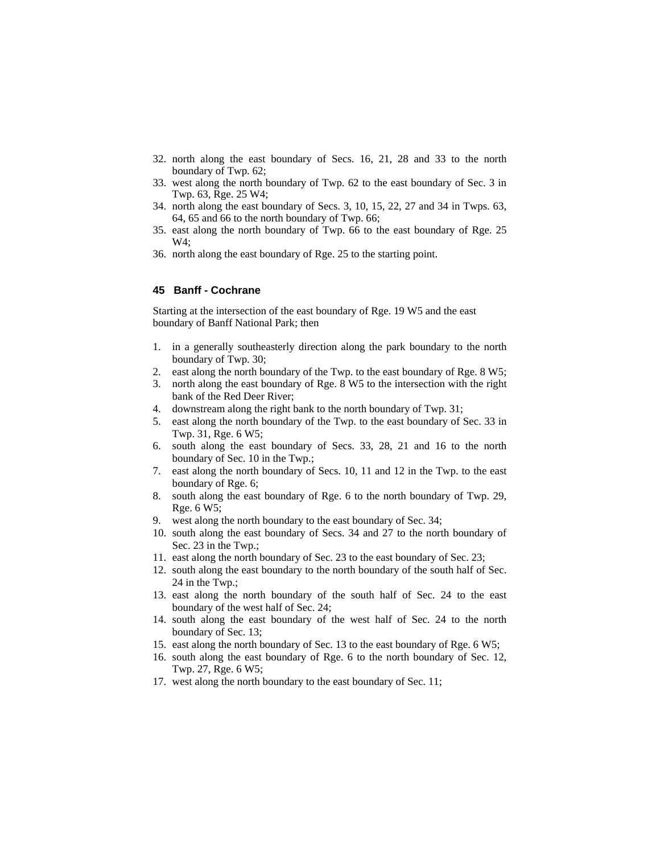- 32. north along the east boundary of Secs. 16, 21, 28 and 33 to the north boundary of Twp. 62;
- 33. west along the north boundary of Twp. 62 to the east boundary of Sec. 3 in Twp. 63, Rge. 25 W4;
- 34. north along the east boundary of Secs. 3, 10, 15, 22, 27 and 34 in Twps. 63, 64, 65 and 66 to the north boundary of Twp. 66;
- 35. east along the north boundary of Twp. 66 to the east boundary of Rge. 25 W4;
- 36. north along the east boundary of Rge. 25 to the starting point.

#### **45 Banff - Cochrane**

Starting at the intersection of the east boundary of Rge. 19 W5 and the east boundary of Banff National Park; then

- 1. in a generally southeasterly direction along the park boundary to the north boundary of Twp. 30;
- 2. east along the north boundary of the Twp. to the east boundary of Rge. 8 W5;
- 3. north along the east boundary of Rge. 8 W5 to the intersection with the right bank of the Red Deer River;
- 4. downstream along the right bank to the north boundary of Twp. 31;
- 5. east along the north boundary of the Twp. to the east boundary of Sec. 33 in Twp. 31, Rge. 6 W5;
- 6. south along the east boundary of Secs. 33, 28, 21 and 16 to the north boundary of Sec. 10 in the Twp.;
- 7. east along the north boundary of Secs. 10, 11 and 12 in the Twp. to the east boundary of Rge. 6;
- 8. south along the east boundary of Rge. 6 to the north boundary of Twp. 29, Rge. 6 W5;
- 9. west along the north boundary to the east boundary of Sec. 34;
- 10. south along the east boundary of Secs. 34 and 27 to the north boundary of Sec. 23 in the Twp.;
- 11. east along the north boundary of Sec. 23 to the east boundary of Sec. 23;
- 12. south along the east boundary to the north boundary of the south half of Sec. 24 in the Twp.;
- 13. east along the north boundary of the south half of Sec. 24 to the east boundary of the west half of Sec. 24;
- 14. south along the east boundary of the west half of Sec. 24 to the north boundary of Sec. 13;
- 15. east along the north boundary of Sec. 13 to the east boundary of Rge. 6 W5;
- 16. south along the east boundary of Rge. 6 to the north boundary of Sec. 12, Twp. 27, Rge. 6 W5;
- 17. west along the north boundary to the east boundary of Sec. 11;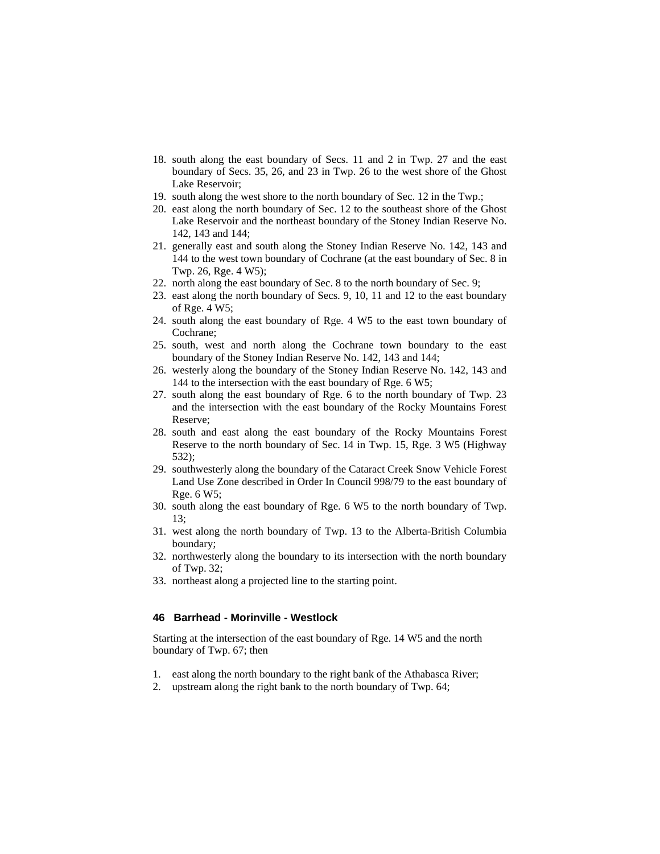- 18. south along the east boundary of Secs. 11 and 2 in Twp. 27 and the east boundary of Secs. 35, 26, and 23 in Twp. 26 to the west shore of the Ghost Lake Reservoir;
- 19. south along the west shore to the north boundary of Sec. 12 in the Twp.;
- 20. east along the north boundary of Sec. 12 to the southeast shore of the Ghost Lake Reservoir and the northeast boundary of the Stoney Indian Reserve No. 142, 143 and 144;
- 21. generally east and south along the Stoney Indian Reserve No. 142, 143 and 144 to the west town boundary of Cochrane (at the east boundary of Sec. 8 in Twp. 26, Rge. 4 W5);
- 22. north along the east boundary of Sec. 8 to the north boundary of Sec. 9;
- 23. east along the north boundary of Secs. 9, 10, 11 and 12 to the east boundary of Rge. 4 W5;
- 24. south along the east boundary of Rge. 4 W5 to the east town boundary of Cochrane;
- 25. south, west and north along the Cochrane town boundary to the east boundary of the Stoney Indian Reserve No. 142, 143 and 144;
- 26. westerly along the boundary of the Stoney Indian Reserve No. 142, 143 and 144 to the intersection with the east boundary of Rge. 6 W5;
- 27. south along the east boundary of Rge. 6 to the north boundary of Twp. 23 and the intersection with the east boundary of the Rocky Mountains Forest Reserve;
- 28. south and east along the east boundary of the Rocky Mountains Forest Reserve to the north boundary of Sec. 14 in Twp. 15, Rge. 3 W5 (Highway 532);
- 29. southwesterly along the boundary of the Cataract Creek Snow Vehicle Forest Land Use Zone described in Order In Council 998/79 to the east boundary of Rge. 6 W5;
- 30. south along the east boundary of Rge. 6 W5 to the north boundary of Twp. 13;
- 31. west along the north boundary of Twp. 13 to the Alberta-British Columbia boundary;
- 32. northwesterly along the boundary to its intersection with the north boundary of Twp. 32;
- 33. northeast along a projected line to the starting point.

#### **46 Barrhead - Morinville - Westlock**

Starting at the intersection of the east boundary of Rge. 14 W5 and the north boundary of Twp. 67; then

- 1. east along the north boundary to the right bank of the Athabasca River;
- 2. upstream along the right bank to the north boundary of Twp. 64;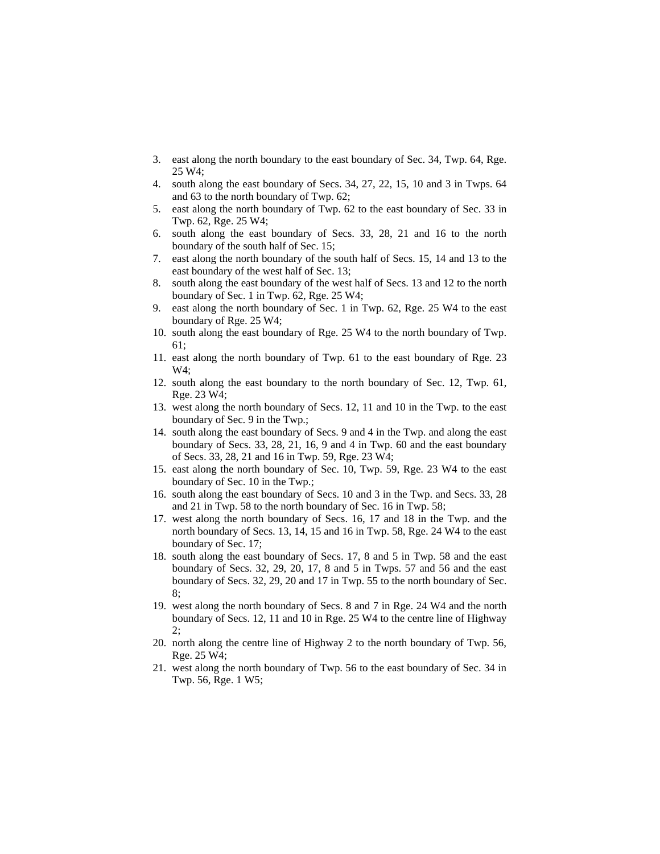- 3. east along the north boundary to the east boundary of Sec. 34, Twp. 64, Rge. 25 W4;
- 4. south along the east boundary of Secs. 34, 27, 22, 15, 10 and 3 in Twps. 64 and 63 to the north boundary of Twp. 62;
- 5. east along the north boundary of Twp. 62 to the east boundary of Sec. 33 in Twp. 62, Rge. 25 W4;
- 6. south along the east boundary of Secs. 33, 28, 21 and 16 to the north boundary of the south half of Sec. 15;
- 7. east along the north boundary of the south half of Secs. 15, 14 and 13 to the east boundary of the west half of Sec. 13;
- 8. south along the east boundary of the west half of Secs. 13 and 12 to the north boundary of Sec. 1 in Twp. 62, Rge. 25 W4;
- 9. east along the north boundary of Sec. 1 in Twp. 62, Rge. 25 W4 to the east boundary of Rge. 25 W4;
- 10. south along the east boundary of Rge. 25 W4 to the north boundary of Twp. 61;
- 11. east along the north boundary of Twp. 61 to the east boundary of Rge. 23 W4;
- 12. south along the east boundary to the north boundary of Sec. 12, Twp. 61, Rge. 23 W4;
- 13. west along the north boundary of Secs. 12, 11 and 10 in the Twp. to the east boundary of Sec. 9 in the Twp.;
- 14. south along the east boundary of Secs. 9 and 4 in the Twp. and along the east boundary of Secs. 33, 28, 21, 16, 9 and 4 in Twp. 60 and the east boundary of Secs. 33, 28, 21 and 16 in Twp. 59, Rge. 23 W4;
- 15. east along the north boundary of Sec. 10, Twp. 59, Rge. 23 W4 to the east boundary of Sec. 10 in the Twp.;
- 16. south along the east boundary of Secs. 10 and 3 in the Twp. and Secs. 33, 28 and 21 in Twp. 58 to the north boundary of Sec. 16 in Twp. 58;
- 17. west along the north boundary of Secs. 16, 17 and 18 in the Twp. and the north boundary of Secs. 13, 14, 15 and 16 in Twp. 58, Rge. 24 W4 to the east boundary of Sec. 17;
- 18. south along the east boundary of Secs. 17, 8 and 5 in Twp. 58 and the east boundary of Secs. 32, 29, 20, 17, 8 and 5 in Twps. 57 and 56 and the east boundary of Secs. 32, 29, 20 and 17 in Twp. 55 to the north boundary of Sec. 8;
- 19. west along the north boundary of Secs. 8 and 7 in Rge. 24 W4 and the north boundary of Secs. 12, 11 and 10 in Rge. 25 W4 to the centre line of Highway  $2:$
- 20. north along the centre line of Highway 2 to the north boundary of Twp. 56, Rge. 25 W4;
- 21. west along the north boundary of Twp. 56 to the east boundary of Sec. 34 in Twp. 56, Rge. 1 W5;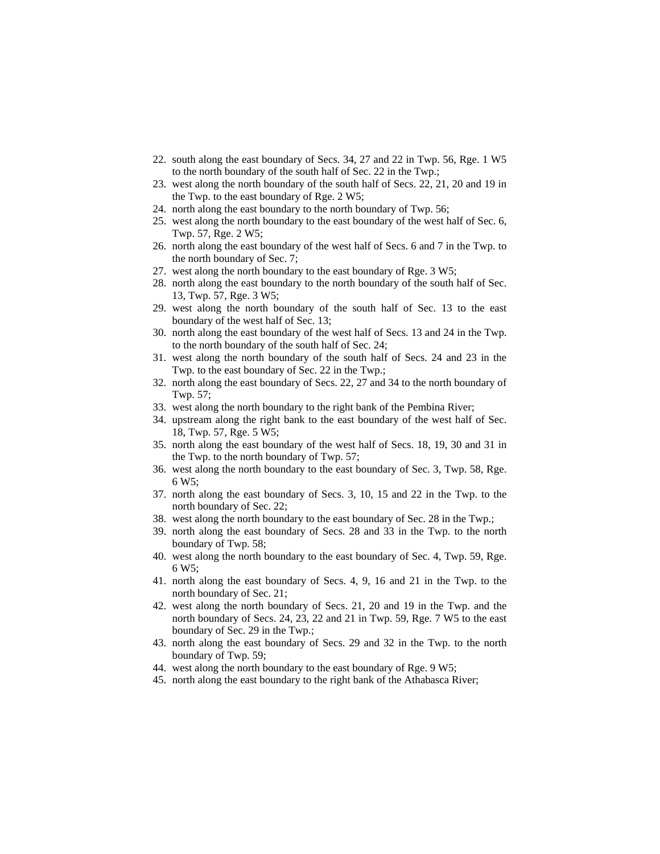- 22. south along the east boundary of Secs. 34, 27 and 22 in Twp. 56, Rge. 1 W5 to the north boundary of the south half of Sec. 22 in the Twp.;
- 23. west along the north boundary of the south half of Secs. 22, 21, 20 and 19 in the Twp. to the east boundary of Rge. 2 W5;
- 24. north along the east boundary to the north boundary of Twp. 56;
- 25. west along the north boundary to the east boundary of the west half of Sec. 6, Twp. 57, Rge. 2 W5;
- 26. north along the east boundary of the west half of Secs. 6 and 7 in the Twp. to the north boundary of Sec. 7;
- 27. west along the north boundary to the east boundary of Rge. 3 W5;
- 28. north along the east boundary to the north boundary of the south half of Sec. 13, Twp. 57, Rge. 3 W5;
- 29. west along the north boundary of the south half of Sec. 13 to the east boundary of the west half of Sec. 13;
- 30. north along the east boundary of the west half of Secs. 13 and 24 in the Twp. to the north boundary of the south half of Sec. 24;
- 31. west along the north boundary of the south half of Secs. 24 and 23 in the Twp. to the east boundary of Sec. 22 in the Twp.;
- 32. north along the east boundary of Secs. 22, 27 and 34 to the north boundary of Twp. 57;
- 33. west along the north boundary to the right bank of the Pembina River;
- 34. upstream along the right bank to the east boundary of the west half of Sec. 18, Twp. 57, Rge. 5 W5;
- 35. north along the east boundary of the west half of Secs. 18, 19, 30 and 31 in the Twp. to the north boundary of Twp. 57;
- 36. west along the north boundary to the east boundary of Sec. 3, Twp. 58, Rge. 6 W5;
- 37. north along the east boundary of Secs. 3, 10, 15 and 22 in the Twp. to the north boundary of Sec. 22;
- 38. west along the north boundary to the east boundary of Sec. 28 in the Twp.;
- 39. north along the east boundary of Secs. 28 and 33 in the Twp. to the north boundary of Twp. 58;
- 40. west along the north boundary to the east boundary of Sec. 4, Twp. 59, Rge. 6 W5;
- 41. north along the east boundary of Secs. 4, 9, 16 and 21 in the Twp. to the north boundary of Sec. 21;
- 42. west along the north boundary of Secs. 21, 20 and 19 in the Twp. and the north boundary of Secs. 24, 23, 22 and 21 in Twp. 59, Rge. 7 W5 to the east boundary of Sec. 29 in the Twp.;
- 43. north along the east boundary of Secs. 29 and 32 in the Twp. to the north boundary of Twp. 59;
- 44. west along the north boundary to the east boundary of Rge. 9 W5;
- 45. north along the east boundary to the right bank of the Athabasca River;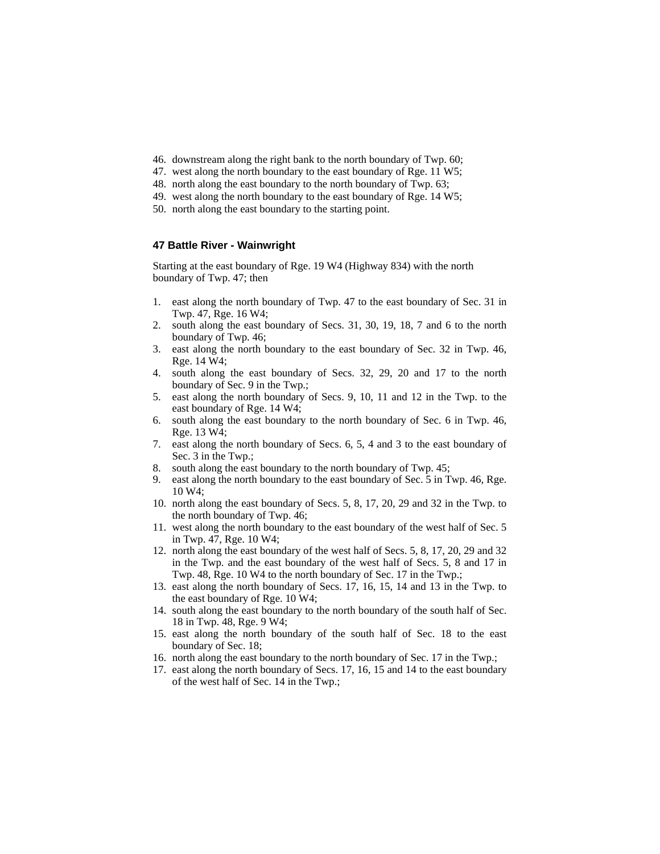- 46. downstream along the right bank to the north boundary of Twp. 60;
- 47. west along the north boundary to the east boundary of Rge. 11 W5;
- 48. north along the east boundary to the north boundary of Twp. 63;
- 49. west along the north boundary to the east boundary of Rge. 14 W5;
- 50. north along the east boundary to the starting point.

# **47 Battle River - Wainwright**

Starting at the east boundary of Rge. 19 W4 (Highway 834) with the north boundary of Twp. 47; then

- 1. east along the north boundary of Twp. 47 to the east boundary of Sec. 31 in Twp. 47, Rge. 16 W4;
- 2. south along the east boundary of Secs. 31, 30, 19, 18, 7 and 6 to the north boundary of Twp. 46;
- 3. east along the north boundary to the east boundary of Sec. 32 in Twp. 46, Rge. 14 W4;
- 4. south along the east boundary of Secs. 32, 29, 20 and 17 to the north boundary of Sec. 9 in the Twp.;
- 5. east along the north boundary of Secs. 9, 10, 11 and 12 in the Twp. to the east boundary of Rge. 14 W4;
- 6. south along the east boundary to the north boundary of Sec. 6 in Twp. 46, Rge. 13 W4;
- 7. east along the north boundary of Secs. 6, 5, 4 and 3 to the east boundary of Sec. 3 in the Twp.;
- 8. south along the east boundary to the north boundary of Twp. 45;
- 9. east along the north boundary to the east boundary of Sec. 5 in Twp. 46, Rge. 10 W4;
- 10. north along the east boundary of Secs. 5, 8, 17, 20, 29 and 32 in the Twp. to the north boundary of Twp. 46;
- 11. west along the north boundary to the east boundary of the west half of Sec. 5 in Twp. 47, Rge. 10 W4;
- 12. north along the east boundary of the west half of Secs. 5, 8, 17, 20, 29 and 32 in the Twp. and the east boundary of the west half of Secs. 5, 8 and 17 in Twp. 48, Rge. 10 W4 to the north boundary of Sec. 17 in the Twp.;
- 13. east along the north boundary of Secs. 17, 16, 15, 14 and 13 in the Twp. to the east boundary of Rge. 10 W4;
- 14. south along the east boundary to the north boundary of the south half of Sec. 18 in Twp. 48, Rge. 9 W4;
- 15. east along the north boundary of the south half of Sec. 18 to the east boundary of Sec. 18;
- 16. north along the east boundary to the north boundary of Sec. 17 in the Twp.;
- 17. east along the north boundary of Secs. 17, 16, 15 and 14 to the east boundary of the west half of Sec. 14 in the Twp.;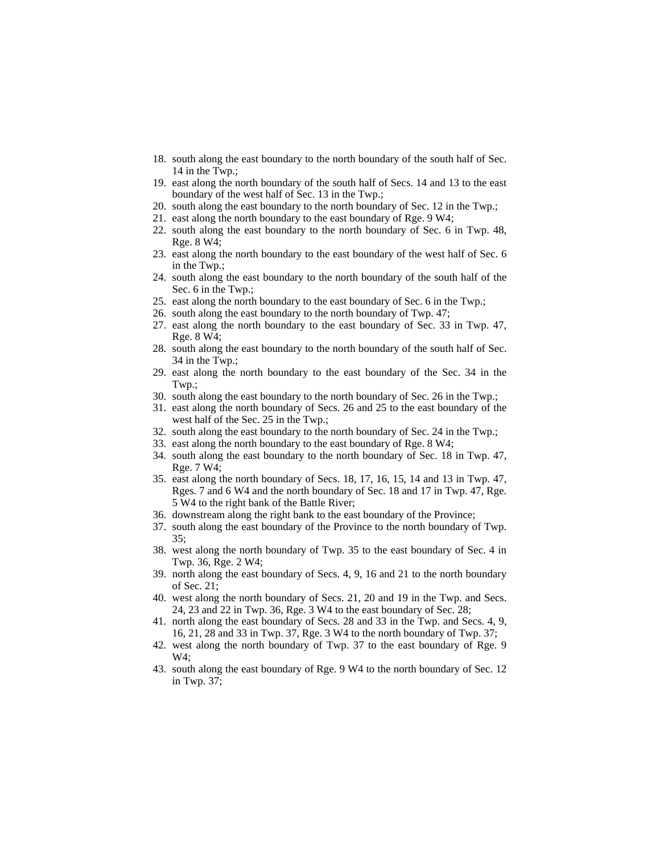- 18. south along the east boundary to the north boundary of the south half of Sec. 14 in the Twp.;
- 19. east along the north boundary of the south half of Secs. 14 and 13 to the east boundary of the west half of Sec. 13 in the Twp.;
- 20. south along the east boundary to the north boundary of Sec. 12 in the Twp.;
- 21. east along the north boundary to the east boundary of Rge. 9 W4;
- 22. south along the east boundary to the north boundary of Sec. 6 in Twp. 48, Rge. 8 W4;
- 23. east along the north boundary to the east boundary of the west half of Sec. 6 in the Twp.;
- 24. south along the east boundary to the north boundary of the south half of the Sec. 6 in the Twp.;
- 25. east along the north boundary to the east boundary of Sec. 6 in the Twp.;
- 26. south along the east boundary to the north boundary of Twp. 47;
- 27. east along the north boundary to the east boundary of Sec. 33 in Twp. 47, Rge. 8 W4;
- 28. south along the east boundary to the north boundary of the south half of Sec. 34 in the Twp.;
- 29. east along the north boundary to the east boundary of the Sec. 34 in the Twp.;
- 30. south along the east boundary to the north boundary of Sec. 26 in the Twp.;
- 31. east along the north boundary of Secs. 26 and 25 to the east boundary of the west half of the Sec. 25 in the Twp.;
- 32. south along the east boundary to the north boundary of Sec. 24 in the Twp.;
- 33. east along the north boundary to the east boundary of Rge. 8 W4;
- 34. south along the east boundary to the north boundary of Sec. 18 in Twp. 47, Rge. 7 W4;
- 35. east along the north boundary of Secs. 18, 17, 16, 15, 14 and 13 in Twp. 47, Rges. 7 and 6 W4 and the north boundary of Sec. 18 and 17 in Twp. 47, Rge. 5 W4 to the right bank of the Battle River;
- 36. downstream along the right bank to the east boundary of the Province;
- 37. south along the east boundary of the Province to the north boundary of Twp. 35;
- 38. west along the north boundary of Twp. 35 to the east boundary of Sec. 4 in Twp. 36, Rge. 2 W4;
- 39. north along the east boundary of Secs. 4, 9, 16 and 21 to the north boundary of Sec. 21;
- 40. west along the north boundary of Secs. 21, 20 and 19 in the Twp. and Secs. 24, 23 and 22 in Twp. 36, Rge. 3 W4 to the east boundary of Sec. 28;
- 41. north along the east boundary of Secs. 28 and 33 in the Twp. and Secs. 4, 9, 16, 21, 28 and 33 in Twp. 37, Rge. 3 W4 to the north boundary of Twp. 37;
- 42. west along the north boundary of Twp. 37 to the east boundary of Rge. 9 W4;
- 43. south along the east boundary of Rge. 9 W4 to the north boundary of Sec. 12 in Twp. 37;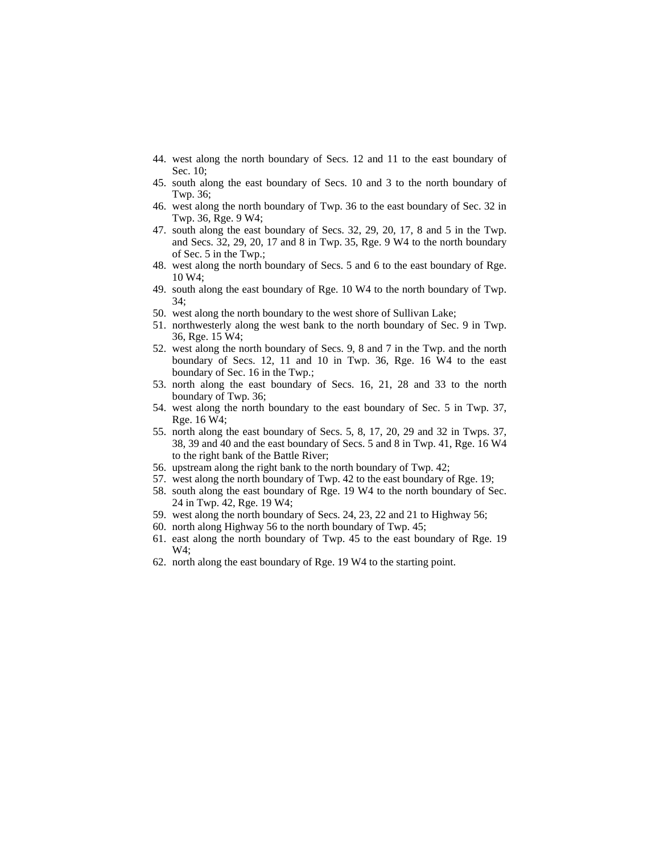- 44. west along the north boundary of Secs. 12 and 11 to the east boundary of Sec. 10;
- 45. south along the east boundary of Secs. 10 and 3 to the north boundary of Twp. 36;
- 46. west along the north boundary of Twp. 36 to the east boundary of Sec. 32 in Twp. 36, Rge. 9 W4;
- 47. south along the east boundary of Secs. 32, 29, 20, 17, 8 and 5 in the Twp. and Secs. 32, 29, 20, 17 and 8 in Twp. 35, Rge. 9 W4 to the north boundary of Sec. 5 in the Twp.;
- 48. west along the north boundary of Secs. 5 and 6 to the east boundary of Rge. 10 W4;
- 49. south along the east boundary of Rge. 10 W4 to the north boundary of Twp. 34;
- 50. west along the north boundary to the west shore of Sullivan Lake;
- 51. northwesterly along the west bank to the north boundary of Sec. 9 in Twp. 36, Rge. 15 W4;
- 52. west along the north boundary of Secs. 9, 8 and 7 in the Twp. and the north boundary of Secs. 12, 11 and 10 in Twp. 36, Rge. 16 W4 to the east boundary of Sec. 16 in the Twp.;
- 53. north along the east boundary of Secs. 16, 21, 28 and 33 to the north boundary of Twp. 36;
- 54. west along the north boundary to the east boundary of Sec. 5 in Twp. 37, Rge. 16 W4;
- 55. north along the east boundary of Secs. 5, 8, 17, 20, 29 and 32 in Twps. 37, 38, 39 and 40 and the east boundary of Secs. 5 and 8 in Twp. 41, Rge. 16 W4 to the right bank of the Battle River;
- 56. upstream along the right bank to the north boundary of Twp. 42;
- 57. west along the north boundary of Twp. 42 to the east boundary of Rge. 19;
- 58. south along the east boundary of Rge. 19 W4 to the north boundary of Sec. 24 in Twp. 42, Rge. 19 W4;
- 59. west along the north boundary of Secs. 24, 23, 22 and 21 to Highway 56;
- 60. north along Highway 56 to the north boundary of Twp. 45;
- 61. east along the north boundary of Twp. 45 to the east boundary of Rge. 19 W4;
- 62. north along the east boundary of Rge. 19 W4 to the starting point.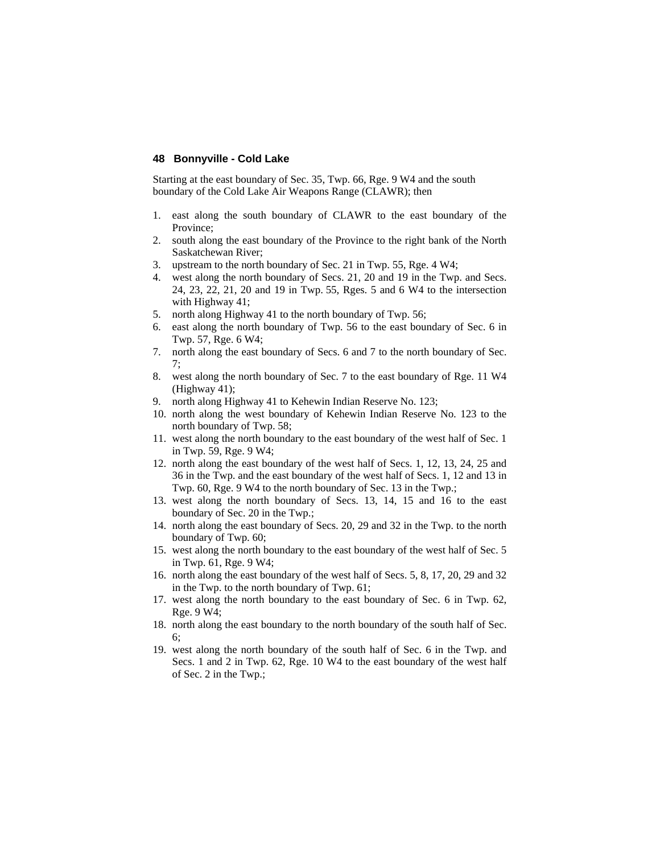### **48 Bonnyville - Cold Lake**

Starting at the east boundary of Sec. 35, Twp. 66, Rge. 9 W4 and the south boundary of the Cold Lake Air Weapons Range (CLAWR); then

- 1. east along the south boundary of CLAWR to the east boundary of the Province;
- 2. south along the east boundary of the Province to the right bank of the North Saskatchewan River;
- 3. upstream to the north boundary of Sec. 21 in Twp. 55, Rge. 4 W4;
- 4. west along the north boundary of Secs. 21, 20 and 19 in the Twp. and Secs. 24, 23, 22, 21, 20 and 19 in Twp. 55, Rges. 5 and 6 W4 to the intersection with Highway 41;
- 5. north along Highway 41 to the north boundary of Twp. 56;
- 6. east along the north boundary of Twp. 56 to the east boundary of Sec. 6 in Twp. 57, Rge. 6 W4;
- 7. north along the east boundary of Secs. 6 and 7 to the north boundary of Sec. 7;
- 8. west along the north boundary of Sec. 7 to the east boundary of Rge. 11 W4 (Highway 41);
- 9. north along Highway 41 to Kehewin Indian Reserve No. 123;
- 10. north along the west boundary of Kehewin Indian Reserve No. 123 to the north boundary of Twp. 58;
- 11. west along the north boundary to the east boundary of the west half of Sec. 1 in Twp. 59, Rge. 9 W4;
- 12. north along the east boundary of the west half of Secs. 1, 12, 13, 24, 25 and 36 in the Twp. and the east boundary of the west half of Secs. 1, 12 and 13 in Twp. 60, Rge. 9 W4 to the north boundary of Sec. 13 in the Twp.;
- 13. west along the north boundary of Secs. 13, 14, 15 and 16 to the east boundary of Sec. 20 in the Twp.;
- 14. north along the east boundary of Secs. 20, 29 and 32 in the Twp. to the north boundary of Twp. 60;
- 15. west along the north boundary to the east boundary of the west half of Sec. 5 in Twp. 61, Rge. 9 W4;
- 16. north along the east boundary of the west half of Secs. 5, 8, 17, 20, 29 and 32 in the Twp. to the north boundary of Twp. 61;
- 17. west along the north boundary to the east boundary of Sec. 6 in Twp. 62, Rge. 9 W4;
- 18. north along the east boundary to the north boundary of the south half of Sec. 6;
- 19. west along the north boundary of the south half of Sec. 6 in the Twp. and Secs. 1 and 2 in Twp. 62, Rge. 10 W4 to the east boundary of the west half of Sec. 2 in the Twp.;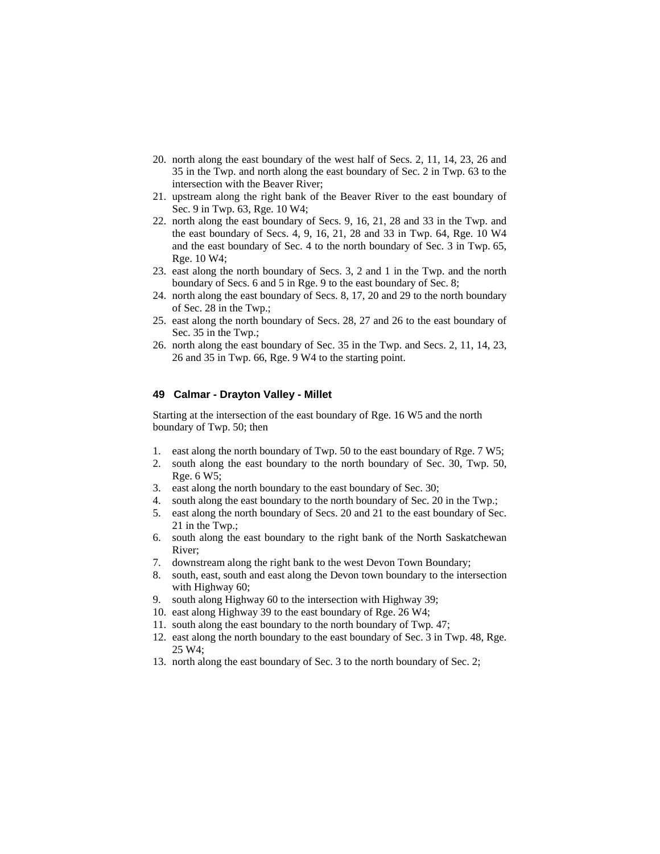- 20. north along the east boundary of the west half of Secs. 2, 11, 14, 23, 26 and 35 in the Twp. and north along the east boundary of Sec. 2 in Twp. 63 to the intersection with the Beaver River;
- 21. upstream along the right bank of the Beaver River to the east boundary of Sec. 9 in Twp. 63, Rge. 10 W4;
- 22. north along the east boundary of Secs. 9, 16, 21, 28 and 33 in the Twp. and the east boundary of Secs. 4, 9, 16, 21, 28 and 33 in Twp. 64, Rge. 10 W4 and the east boundary of Sec. 4 to the north boundary of Sec. 3 in Twp. 65, Rge. 10 W4;
- 23. east along the north boundary of Secs. 3, 2 and 1 in the Twp. and the north boundary of Secs. 6 and 5 in Rge. 9 to the east boundary of Sec. 8;
- 24. north along the east boundary of Secs. 8, 17, 20 and 29 to the north boundary of Sec. 28 in the Twp.;
- 25. east along the north boundary of Secs. 28, 27 and 26 to the east boundary of Sec. 35 in the Twp.;
- 26. north along the east boundary of Sec. 35 in the Twp. and Secs. 2, 11, 14, 23, 26 and 35 in Twp. 66, Rge. 9 W4 to the starting point.

### **49 Calmar - Drayton Valley - Millet**

Starting at the intersection of the east boundary of Rge. 16 W5 and the north boundary of Twp. 50; then

- 1. east along the north boundary of Twp. 50 to the east boundary of Rge. 7 W5;
- 2. south along the east boundary to the north boundary of Sec. 30, Twp. 50, Rge. 6 W5;
- 3. east along the north boundary to the east boundary of Sec. 30;
- 4. south along the east boundary to the north boundary of Sec. 20 in the Twp.;
- 5. east along the north boundary of Secs. 20 and 21 to the east boundary of Sec. 21 in the Twp.;
- 6. south along the east boundary to the right bank of the North Saskatchewan River;
- 7. downstream along the right bank to the west Devon Town Boundary;
- 8. south, east, south and east along the Devon town boundary to the intersection with Highway 60;
- 9. south along Highway 60 to the intersection with Highway 39;
- 10. east along Highway 39 to the east boundary of Rge. 26 W4;
- 11. south along the east boundary to the north boundary of Twp. 47;
- 12. east along the north boundary to the east boundary of Sec. 3 in Twp. 48, Rge. 25 W4;
- 13. north along the east boundary of Sec. 3 to the north boundary of Sec. 2;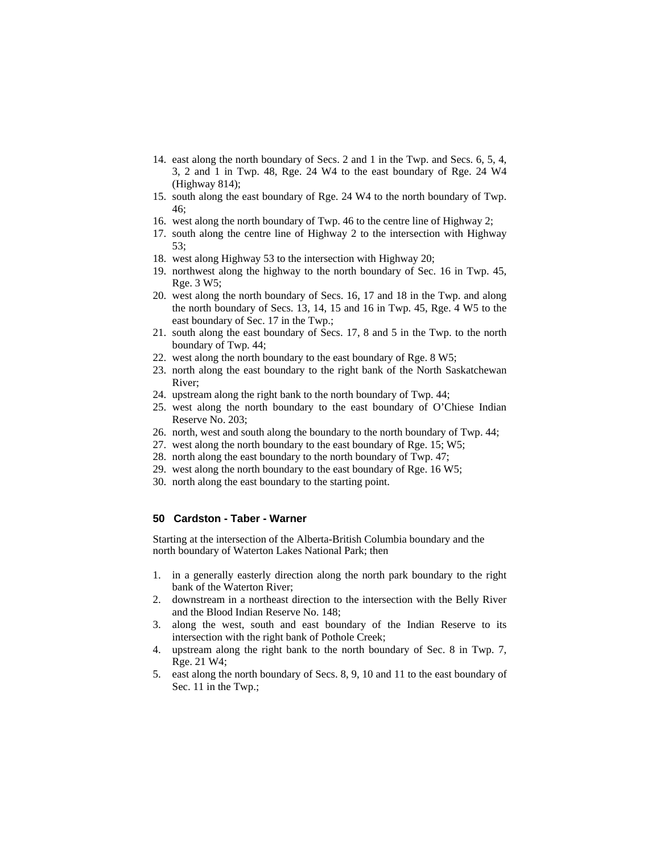- 14. east along the north boundary of Secs. 2 and 1 in the Twp. and Secs. 6, 5, 4, 3, 2 and 1 in Twp. 48, Rge. 24 W4 to the east boundary of Rge. 24 W4 (Highway 814);
- 15. south along the east boundary of Rge. 24 W4 to the north boundary of Twp. 46;
- 16. west along the north boundary of Twp. 46 to the centre line of Highway 2;
- 17. south along the centre line of Highway 2 to the intersection with Highway 53;
- 18. west along Highway 53 to the intersection with Highway 20;
- 19. northwest along the highway to the north boundary of Sec. 16 in Twp. 45, Rge. 3 W5;
- 20. west along the north boundary of Secs. 16, 17 and 18 in the Twp. and along the north boundary of Secs. 13, 14, 15 and 16 in Twp. 45, Rge. 4 W5 to the east boundary of Sec. 17 in the Twp.;
- 21. south along the east boundary of Secs. 17, 8 and 5 in the Twp. to the north boundary of Twp. 44;
- 22. west along the north boundary to the east boundary of Rge. 8 W5;
- 23. north along the east boundary to the right bank of the North Saskatchewan River;
- 24. upstream along the right bank to the north boundary of Twp. 44;
- 25. west along the north boundary to the east boundary of O'Chiese Indian Reserve No. 203;
- 26. north, west and south along the boundary to the north boundary of Twp. 44;
- 27. west along the north boundary to the east boundary of Rge. 15; W5;
- 28. north along the east boundary to the north boundary of Twp. 47;
- 29. west along the north boundary to the east boundary of Rge. 16 W5;
- 30. north along the east boundary to the starting point.

# **50 Cardston - Taber - Warner**

Starting at the intersection of the Alberta-British Columbia boundary and the north boundary of Waterton Lakes National Park; then

- 1. in a generally easterly direction along the north park boundary to the right bank of the Waterton River;
- 2. downstream in a northeast direction to the intersection with the Belly River and the Blood Indian Reserve No. 148;
- 3. along the west, south and east boundary of the Indian Reserve to its intersection with the right bank of Pothole Creek;
- 4. upstream along the right bank to the north boundary of Sec. 8 in Twp. 7, Rge. 21 W4;
- 5. east along the north boundary of Secs. 8, 9, 10 and 11 to the east boundary of Sec. 11 in the Twp.;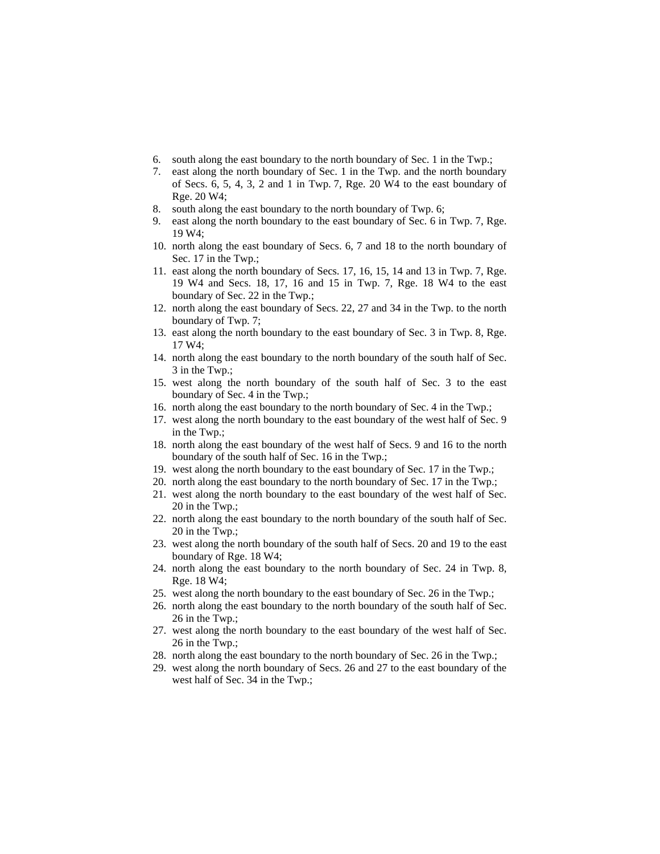- 6. south along the east boundary to the north boundary of Sec. 1 in the Twp.;
- 7. east along the north boundary of Sec. 1 in the Twp. and the north boundary of Secs. 6, 5, 4, 3, 2 and 1 in Twp. 7, Rge. 20 W4 to the east boundary of Rge. 20 W4;
- 8. south along the east boundary to the north boundary of Twp. 6;
- 9. east along the north boundary to the east boundary of Sec. 6 in Twp. 7, Rge. 19 W4;
- 10. north along the east boundary of Secs. 6, 7 and 18 to the north boundary of Sec. 17 in the Twp.;
- 11. east along the north boundary of Secs. 17, 16, 15, 14 and 13 in Twp. 7, Rge. 19 W4 and Secs. 18, 17, 16 and 15 in Twp. 7, Rge. 18 W4 to the east boundary of Sec. 22 in the Twp.;
- 12. north along the east boundary of Secs. 22, 27 and 34 in the Twp. to the north boundary of Twp. 7;
- 13. east along the north boundary to the east boundary of Sec. 3 in Twp. 8, Rge. 17 W4;
- 14. north along the east boundary to the north boundary of the south half of Sec. 3 in the Twp.;
- 15. west along the north boundary of the south half of Sec. 3 to the east boundary of Sec. 4 in the Twp.;
- 16. north along the east boundary to the north boundary of Sec. 4 in the Twp.;
- 17. west along the north boundary to the east boundary of the west half of Sec. 9 in the Twp.;
- 18. north along the east boundary of the west half of Secs. 9 and 16 to the north boundary of the south half of Sec. 16 in the Twp.;
- 19. west along the north boundary to the east boundary of Sec. 17 in the Twp.;
- 20. north along the east boundary to the north boundary of Sec. 17 in the Twp.;
- 21. west along the north boundary to the east boundary of the west half of Sec. 20 in the Twp.;
- 22. north along the east boundary to the north boundary of the south half of Sec. 20 in the Twp.;
- 23. west along the north boundary of the south half of Secs. 20 and 19 to the east boundary of Rge. 18 W4;
- 24. north along the east boundary to the north boundary of Sec. 24 in Twp. 8, Rge. 18 W4;
- 25. west along the north boundary to the east boundary of Sec. 26 in the Twp.;
- 26. north along the east boundary to the north boundary of the south half of Sec. 26 in the Twp.;
- 27. west along the north boundary to the east boundary of the west half of Sec. 26 in the Twp.;
- 28. north along the east boundary to the north boundary of Sec. 26 in the Twp.;
- 29. west along the north boundary of Secs. 26 and 27 to the east boundary of the west half of Sec. 34 in the Twp.;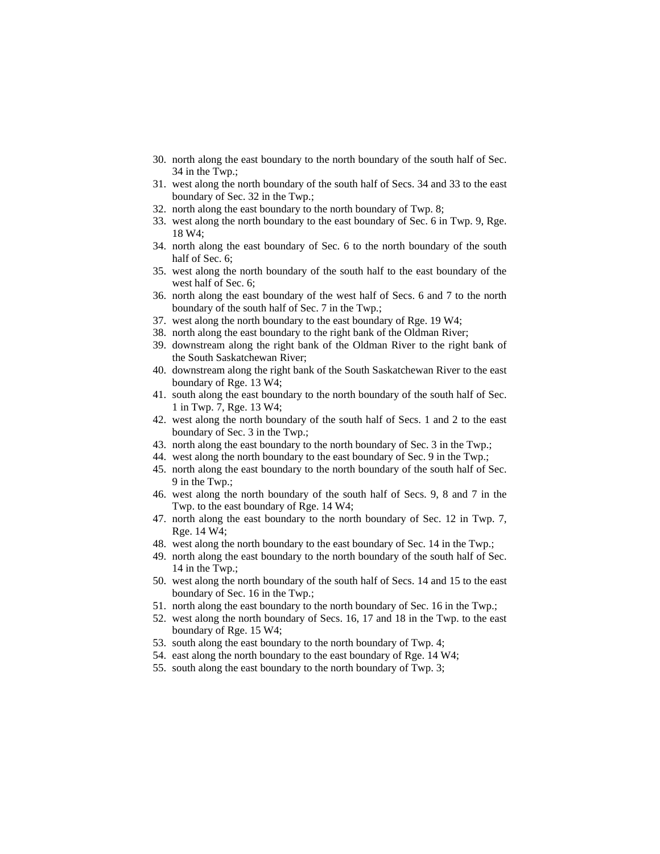- 30. north along the east boundary to the north boundary of the south half of Sec. 34 in the Twp.;
- 31. west along the north boundary of the south half of Secs. 34 and 33 to the east boundary of Sec. 32 in the Twp.;
- 32. north along the east boundary to the north boundary of Twp. 8;
- 33. west along the north boundary to the east boundary of Sec. 6 in Twp. 9, Rge. 18 W4;
- 34. north along the east boundary of Sec. 6 to the north boundary of the south half of Sec. 6;
- 35. west along the north boundary of the south half to the east boundary of the west half of Sec. 6;
- 36. north along the east boundary of the west half of Secs. 6 and 7 to the north boundary of the south half of Sec. 7 in the Twp.;
- 37. west along the north boundary to the east boundary of Rge. 19 W4;
- 38. north along the east boundary to the right bank of the Oldman River;
- 39. downstream along the right bank of the Oldman River to the right bank of the South Saskatchewan River;
- 40. downstream along the right bank of the South Saskatchewan River to the east boundary of Rge. 13 W4;
- 41. south along the east boundary to the north boundary of the south half of Sec. 1 in Twp. 7, Rge. 13 W4;
- 42. west along the north boundary of the south half of Secs. 1 and 2 to the east boundary of Sec. 3 in the Twp.;
- 43. north along the east boundary to the north boundary of Sec. 3 in the Twp.;
- 44. west along the north boundary to the east boundary of Sec. 9 in the Twp.;
- 45. north along the east boundary to the north boundary of the south half of Sec. 9 in the Twp.;
- 46. west along the north boundary of the south half of Secs. 9, 8 and 7 in the Twp. to the east boundary of Rge. 14 W4;
- 47. north along the east boundary to the north boundary of Sec. 12 in Twp. 7, Rge. 14 W4;
- 48. west along the north boundary to the east boundary of Sec. 14 in the Twp.;
- 49. north along the east boundary to the north boundary of the south half of Sec. 14 in the Twp.;
- 50. west along the north boundary of the south half of Secs. 14 and 15 to the east boundary of Sec. 16 in the Twp.;
- 51. north along the east boundary to the north boundary of Sec. 16 in the Twp.;
- 52. west along the north boundary of Secs. 16, 17 and 18 in the Twp. to the east boundary of Rge. 15 W4;
- 53. south along the east boundary to the north boundary of Twp. 4;
- 54. east along the north boundary to the east boundary of Rge. 14 W4;
- 55. south along the east boundary to the north boundary of Twp. 3;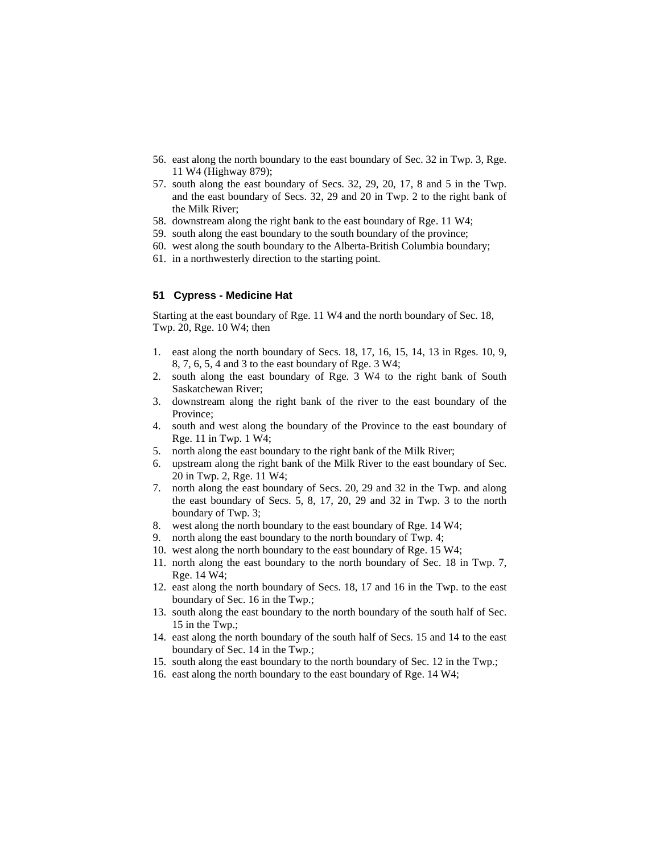- 56. east along the north boundary to the east boundary of Sec. 32 in Twp. 3, Rge. 11 W4 (Highway 879);
- 57. south along the east boundary of Secs. 32, 29, 20, 17, 8 and 5 in the Twp. and the east boundary of Secs. 32, 29 and 20 in Twp. 2 to the right bank of the Milk River;
- 58. downstream along the right bank to the east boundary of Rge. 11 W4;
- 59. south along the east boundary to the south boundary of the province;
- 60. west along the south boundary to the Alberta-British Columbia boundary;
- 61. in a northwesterly direction to the starting point.

### **51 Cypress - Medicine Hat**

Starting at the east boundary of Rge. 11 W4 and the north boundary of Sec. 18, Twp. 20, Rge. 10 W4; then

- 1. east along the north boundary of Secs. 18, 17, 16, 15, 14, 13 in Rges. 10, 9, 8, 7, 6, 5, 4 and 3 to the east boundary of Rge. 3 W4;
- 2. south along the east boundary of Rge. 3 W4 to the right bank of South Saskatchewan River;
- 3. downstream along the right bank of the river to the east boundary of the Province;
- 4. south and west along the boundary of the Province to the east boundary of Rge. 11 in Twp. 1 W4;
- 5. north along the east boundary to the right bank of the Milk River;
- 6. upstream along the right bank of the Milk River to the east boundary of Sec. 20 in Twp. 2, Rge. 11 W4;
- 7. north along the east boundary of Secs. 20, 29 and 32 in the Twp. and along the east boundary of Secs. 5, 8, 17, 20, 29 and 32 in Twp. 3 to the north boundary of Twp. 3;
- 8. west along the north boundary to the east boundary of Rge. 14 W4;
- 9. north along the east boundary to the north boundary of Twp. 4;
- 10. west along the north boundary to the east boundary of Rge. 15 W4;
- 11. north along the east boundary to the north boundary of Sec. 18 in Twp. 7, Rge. 14 W4;
- 12. east along the north boundary of Secs. 18, 17 and 16 in the Twp. to the east boundary of Sec. 16 in the Twp.;
- 13. south along the east boundary to the north boundary of the south half of Sec. 15 in the Twp.;
- 14. east along the north boundary of the south half of Secs. 15 and 14 to the east boundary of Sec. 14 in the Twp.;
- 15. south along the east boundary to the north boundary of Sec. 12 in the Twp.;
- 16. east along the north boundary to the east boundary of Rge. 14 W4;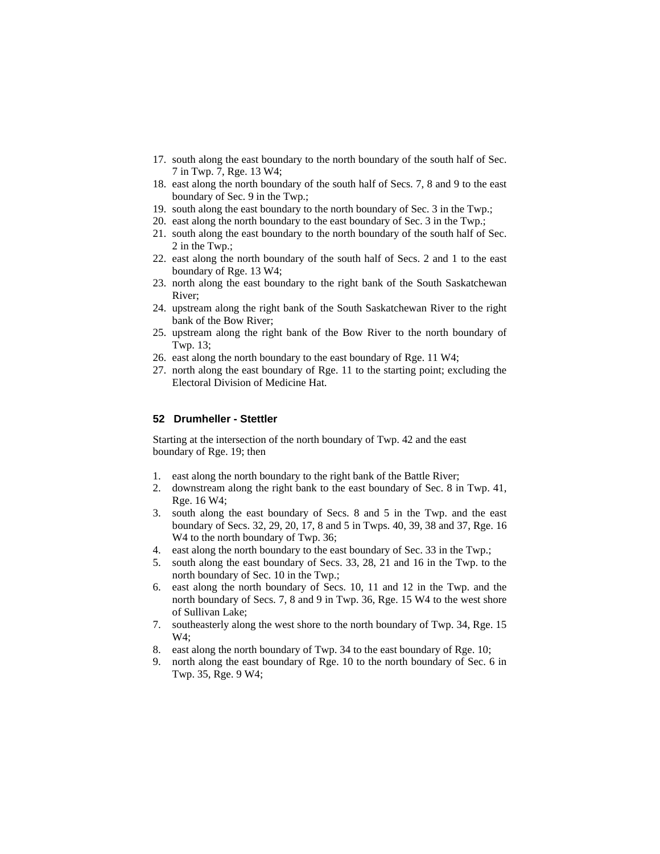- 17. south along the east boundary to the north boundary of the south half of Sec. 7 in Twp. 7, Rge. 13 W4;
- 18. east along the north boundary of the south half of Secs. 7, 8 and 9 to the east boundary of Sec. 9 in the Twp.;
- 19. south along the east boundary to the north boundary of Sec. 3 in the Twp.;
- 20. east along the north boundary to the east boundary of Sec. 3 in the Twp.;
- 21. south along the east boundary to the north boundary of the south half of Sec. 2 in the Twp.;
- 22. east along the north boundary of the south half of Secs. 2 and 1 to the east boundary of Rge. 13 W4;
- 23. north along the east boundary to the right bank of the South Saskatchewan River;
- 24. upstream along the right bank of the South Saskatchewan River to the right bank of the Bow River;
- 25. upstream along the right bank of the Bow River to the north boundary of Twp. 13;
- 26. east along the north boundary to the east boundary of Rge. 11 W4;
- 27. north along the east boundary of Rge. 11 to the starting point; excluding the Electoral Division of Medicine Hat.

#### **52 Drumheller - Stettler**

Starting at the intersection of the north boundary of Twp. 42 and the east boundary of Rge. 19; then

- 1. east along the north boundary to the right bank of the Battle River;
- 2. downstream along the right bank to the east boundary of Sec. 8 in Twp. 41, Rge. 16 W4;
- 3. south along the east boundary of Secs. 8 and 5 in the Twp. and the east boundary of Secs. 32, 29, 20, 17, 8 and 5 in Twps. 40, 39, 38 and 37, Rge. 16 W<sub>4</sub> to the north boundary of Twp. 36;
- 4. east along the north boundary to the east boundary of Sec. 33 in the Twp.;
- 5. south along the east boundary of Secs. 33, 28, 21 and 16 in the Twp. to the north boundary of Sec. 10 in the Twp.;
- 6. east along the north boundary of Secs. 10, 11 and 12 in the Twp. and the north boundary of Secs. 7, 8 and 9 in Twp. 36, Rge. 15 W4 to the west shore of Sullivan Lake;
- 7. southeasterly along the west shore to the north boundary of Twp. 34, Rge. 15 W4;
- 8. east along the north boundary of Twp. 34 to the east boundary of Rge. 10;
- 9. north along the east boundary of Rge. 10 to the north boundary of Sec. 6 in Twp. 35, Rge. 9 W4;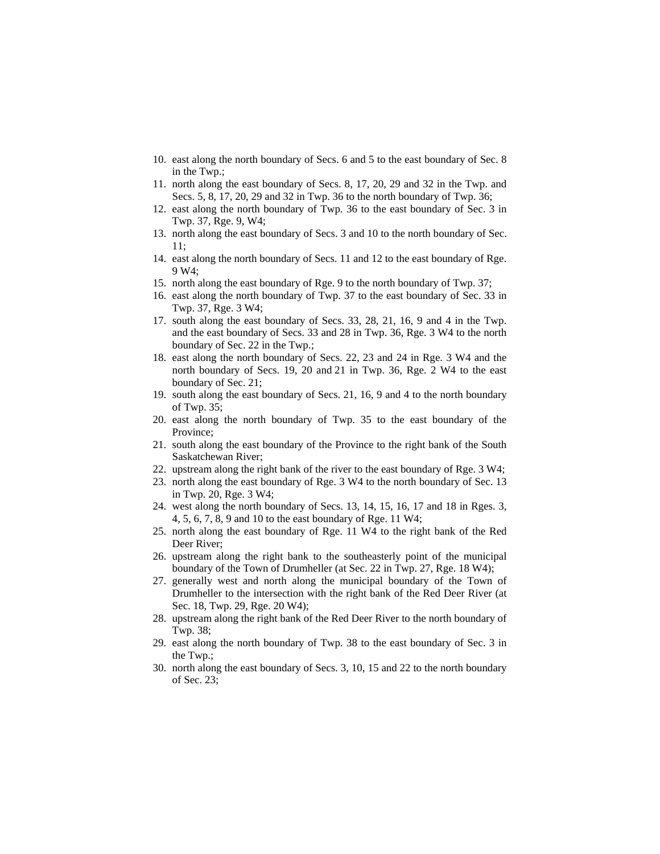- 10. east along the north boundary of Secs. 6 and 5 to the east boundary of Sec. 8 in the Twp.;
- 11. north along the east boundary of Secs. 8, 17, 20, 29 and 32 in the Twp. and Secs. 5, 8, 17, 20, 29 and 32 in Twp. 36 to the north boundary of Twp. 36;
- 12. east along the north boundary of Twp. 36 to the east boundary of Sec. 3 in Twp. 37, Rge. 9, W4;
- 13. north along the east boundary of Secs. 3 and 10 to the north boundary of Sec. 11;
- 14. east along the north boundary of Secs. 11 and 12 to the east boundary of Rge. 9 W4;
- 15. north along the east boundary of Rge. 9 to the north boundary of Twp. 37;
- 16. east along the north boundary of Twp. 37 to the east boundary of Sec. 33 in Twp. 37, Rge. 3 W4;
- 17. south along the east boundary of Secs. 33, 28, 21, 16, 9 and 4 in the Twp. and the east boundary of Secs. 33 and 28 in Twp. 36, Rge. 3 W4 to the north boundary of Sec. 22 in the Twp.;
- 18. east along the north boundary of Secs. 22, 23 and 24 in Rge. 3 W4 and the north boundary of Secs. 19, 20 and 21 in Twp. 36, Rge. 2 W4 to the east boundary of Sec. 21;
- 19. south along the east boundary of Secs. 21, 16, 9 and 4 to the north boundary of Twp. 35;
- 20. east along the north boundary of Twp. 35 to the east boundary of the Province;
- 21. south along the east boundary of the Province to the right bank of the South Saskatchewan River;
- 22. upstream along the right bank of the river to the east boundary of Rge. 3 W4;
- 23. north along the east boundary of Rge. 3 W4 to the north boundary of Sec. 13 in Twp. 20, Rge. 3 W4;
- 24. west along the north boundary of Secs. 13, 14, 15, 16, 17 and 18 in Rges. 3, 4, 5, 6, 7, 8, 9 and 10 to the east boundary of Rge. 11 W4;
- 25. north along the east boundary of Rge. 11 W4 to the right bank of the Red Deer River;
- 26. upstream along the right bank to the southeasterly point of the municipal boundary of the Town of Drumheller (at Sec. 22 in Twp. 27, Rge. 18 W4);
- 27. generally west and north along the municipal boundary of the Town of Drumheller to the intersection with the right bank of the Red Deer River (at Sec. 18, Twp. 29, Rge. 20 W4);
- 28. upstream along the right bank of the Red Deer River to the north boundary of Twp. 38;
- 29. east along the north boundary of Twp. 38 to the east boundary of Sec. 3 in the Twp.;
- 30. north along the east boundary of Secs. 3, 10, 15 and 22 to the north boundary of Sec. 23;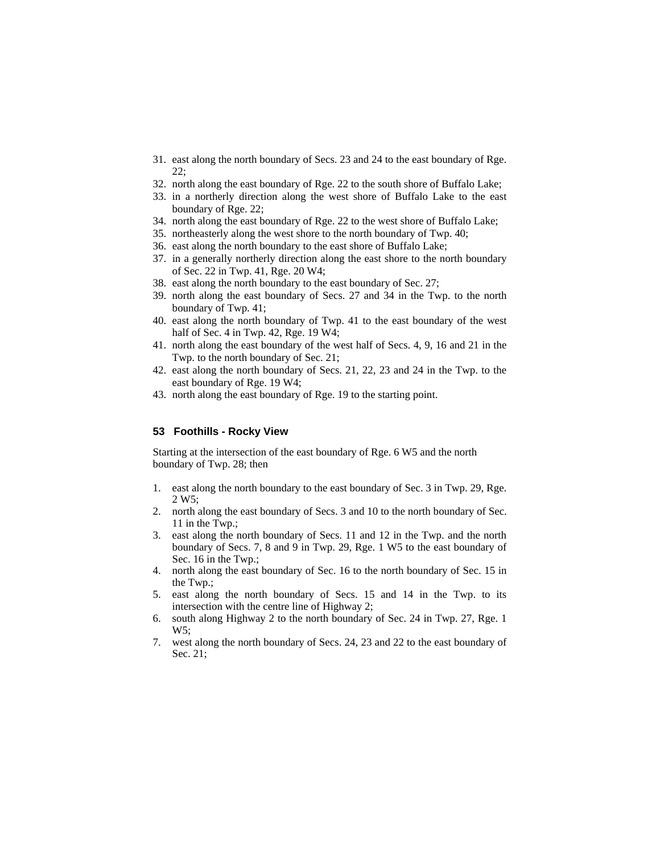- 31. east along the north boundary of Secs. 23 and 24 to the east boundary of Rge. 22;
- 32. north along the east boundary of Rge. 22 to the south shore of Buffalo Lake;
- 33. in a northerly direction along the west shore of Buffalo Lake to the east boundary of Rge. 22;
- 34. north along the east boundary of Rge. 22 to the west shore of Buffalo Lake;
- 35. northeasterly along the west shore to the north boundary of Twp. 40;
- 36. east along the north boundary to the east shore of Buffalo Lake;
- 37. in a generally northerly direction along the east shore to the north boundary of Sec. 22 in Twp. 41, Rge. 20 W4;
- 38. east along the north boundary to the east boundary of Sec. 27;
- 39. north along the east boundary of Secs. 27 and 34 in the Twp. to the north boundary of Twp. 41;
- 40. east along the north boundary of Twp. 41 to the east boundary of the west half of Sec. 4 in Twp. 42, Rge. 19 W4;
- 41. north along the east boundary of the west half of Secs. 4, 9, 16 and 21 in the Twp. to the north boundary of Sec. 21;
- 42. east along the north boundary of Secs. 21, 22, 23 and 24 in the Twp. to the east boundary of Rge. 19 W4;
- 43. north along the east boundary of Rge. 19 to the starting point.

#### **53 Foothills - Rocky View**

Starting at the intersection of the east boundary of Rge. 6 W5 and the north boundary of Twp. 28; then

- 1. east along the north boundary to the east boundary of Sec. 3 in Twp. 29, Rge. 2 W5;
- 2. north along the east boundary of Secs. 3 and 10 to the north boundary of Sec. 11 in the Twp.;
- 3. east along the north boundary of Secs. 11 and 12 in the Twp. and the north boundary of Secs. 7, 8 and 9 in Twp. 29, Rge. 1 W5 to the east boundary of Sec. 16 in the Twp.;
- 4. north along the east boundary of Sec. 16 to the north boundary of Sec. 15 in the Twp.;
- 5. east along the north boundary of Secs. 15 and 14 in the Twp. to its intersection with the centre line of Highway 2;
- 6. south along Highway 2 to the north boundary of Sec. 24 in Twp. 27, Rge. 1 W5;
- 7. west along the north boundary of Secs. 24, 23 and 22 to the east boundary of Sec. 21;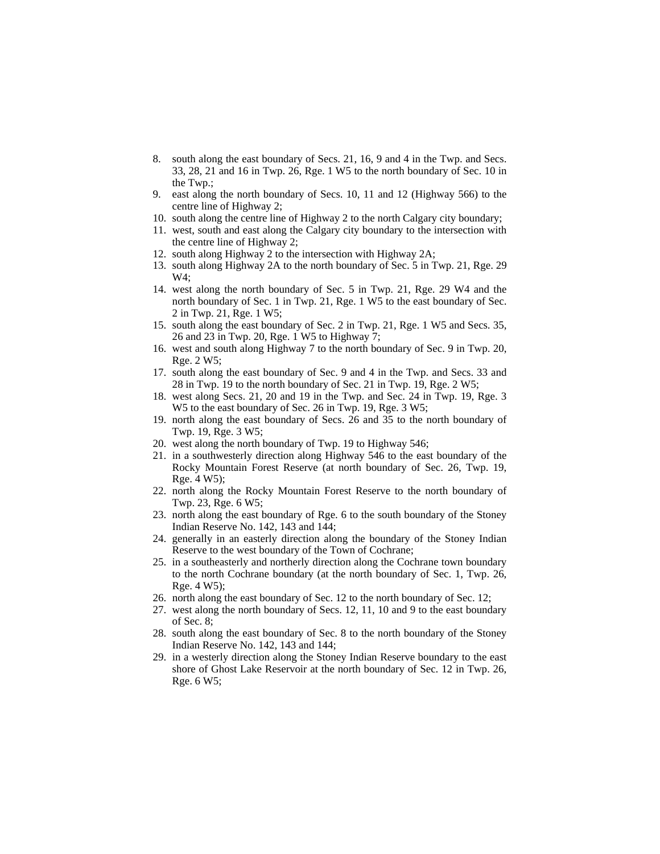- 8. south along the east boundary of Secs. 21, 16, 9 and 4 in the Twp. and Secs. 33, 28, 21 and 16 in Twp. 26, Rge. 1 W5 to the north boundary of Sec. 10 in the Twp.;
- 9. east along the north boundary of Secs. 10, 11 and 12 (Highway 566) to the centre line of Highway 2;
- 10. south along the centre line of Highway 2 to the north Calgary city boundary;
- 11. west, south and east along the Calgary city boundary to the intersection with the centre line of Highway 2;
- 12. south along Highway 2 to the intersection with Highway 2A;
- 13. south along Highway 2A to the north boundary of Sec. 5 in Twp. 21, Rge. 29 W4;
- 14. west along the north boundary of Sec. 5 in Twp. 21, Rge. 29 W4 and the north boundary of Sec. 1 in Twp. 21, Rge. 1 W5 to the east boundary of Sec. 2 in Twp. 21, Rge. 1 W5;
- 15. south along the east boundary of Sec. 2 in Twp. 21, Rge. 1 W5 and Secs. 35, 26 and 23 in Twp. 20, Rge. 1 W5 to Highway 7;
- 16. west and south along Highway 7 to the north boundary of Sec. 9 in Twp. 20, Rge. 2 W5;
- 17. south along the east boundary of Sec. 9 and 4 in the Twp. and Secs. 33 and 28 in Twp. 19 to the north boundary of Sec. 21 in Twp. 19, Rge. 2 W5;
- 18. west along Secs. 21, 20 and 19 in the Twp. and Sec. 24 in Twp. 19, Rge. 3 W5 to the east boundary of Sec. 26 in Twp. 19, Rge. 3 W5;
- 19. north along the east boundary of Secs. 26 and 35 to the north boundary of Twp. 19, Rge. 3 W5;
- 20. west along the north boundary of Twp. 19 to Highway 546;
- 21. in a southwesterly direction along Highway 546 to the east boundary of the Rocky Mountain Forest Reserve (at north boundary of Sec. 26, Twp. 19, Rge. 4 W5);
- 22. north along the Rocky Mountain Forest Reserve to the north boundary of Twp. 23, Rge. 6 W5;
- 23. north along the east boundary of Rge. 6 to the south boundary of the Stoney Indian Reserve No. 142, 143 and 144;
- 24. generally in an easterly direction along the boundary of the Stoney Indian Reserve to the west boundary of the Town of Cochrane;
- 25. in a southeasterly and northerly direction along the Cochrane town boundary to the north Cochrane boundary (at the north boundary of Sec. 1, Twp. 26, Rge. 4 W5);
- 26. north along the east boundary of Sec. 12 to the north boundary of Sec. 12;
- 27. west along the north boundary of Secs. 12, 11, 10 and 9 to the east boundary of Sec. 8;
- 28. south along the east boundary of Sec. 8 to the north boundary of the Stoney Indian Reserve No. 142, 143 and 144;
- 29. in a westerly direction along the Stoney Indian Reserve boundary to the east shore of Ghost Lake Reservoir at the north boundary of Sec. 12 in Twp. 26, Rge. 6 W5;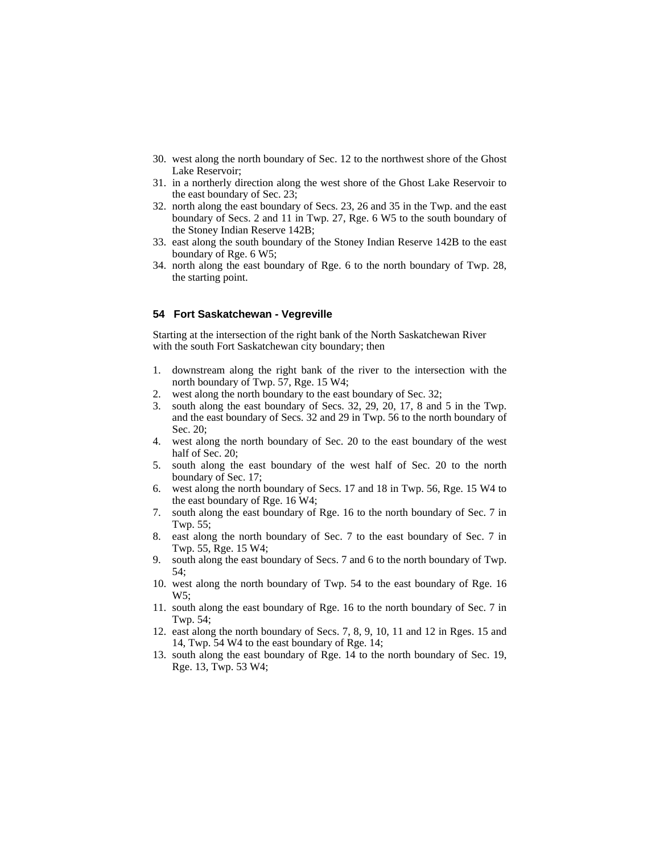- 30. west along the north boundary of Sec. 12 to the northwest shore of the Ghost Lake Reservoir;
- 31. in a northerly direction along the west shore of the Ghost Lake Reservoir to the east boundary of Sec. 23;
- 32. north along the east boundary of Secs. 23, 26 and 35 in the Twp. and the east boundary of Secs. 2 and 11 in Twp. 27, Rge. 6 W5 to the south boundary of the Stoney Indian Reserve 142B;
- 33. east along the south boundary of the Stoney Indian Reserve 142B to the east boundary of Rge. 6 W5;
- 34. north along the east boundary of Rge. 6 to the north boundary of Twp. 28, the starting point.

## **54 Fort Saskatchewan - Vegreville**

Starting at the intersection of the right bank of the North Saskatchewan River with the south Fort Saskatchewan city boundary; then

- 1. downstream along the right bank of the river to the intersection with the north boundary of Twp. 57, Rge. 15 W4;
- 2. west along the north boundary to the east boundary of Sec. 32;
- 3. south along the east boundary of Secs. 32, 29, 20, 17, 8 and 5 in the Twp. and the east boundary of Secs. 32 and 29 in Twp. 56 to the north boundary of Sec. 20;
- 4. west along the north boundary of Sec. 20 to the east boundary of the west half of Sec. 20;
- 5. south along the east boundary of the west half of Sec. 20 to the north boundary of Sec. 17;
- 6. west along the north boundary of Secs. 17 and 18 in Twp. 56, Rge. 15 W4 to the east boundary of Rge. 16 W4;
- 7. south along the east boundary of Rge. 16 to the north boundary of Sec. 7 in Twp. 55;
- 8. east along the north boundary of Sec. 7 to the east boundary of Sec. 7 in Twp. 55, Rge. 15 W4;
- 9. south along the east boundary of Secs. 7 and 6 to the north boundary of Twp. 54;
- 10. west along the north boundary of Twp. 54 to the east boundary of Rge. 16  $W5:$
- 11. south along the east boundary of Rge. 16 to the north boundary of Sec. 7 in Twp. 54;
- 12. east along the north boundary of Secs. 7, 8, 9, 10, 11 and 12 in Rges. 15 and 14, Twp. 54 W4 to the east boundary of Rge. 14;
- 13. south along the east boundary of Rge. 14 to the north boundary of Sec. 19, Rge. 13, Twp. 53 W4;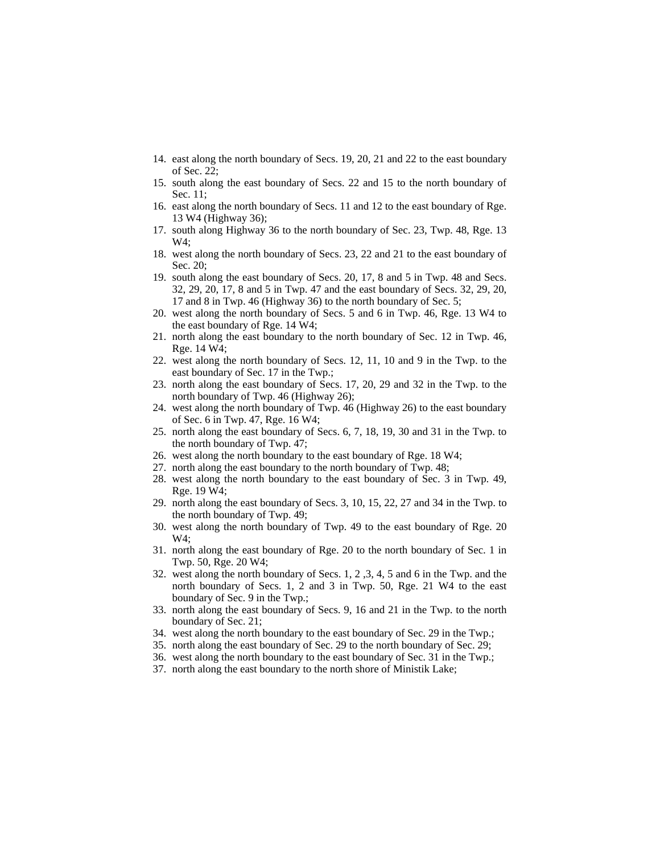- 14. east along the north boundary of Secs. 19, 20, 21 and 22 to the east boundary of Sec. 22;
- 15. south along the east boundary of Secs. 22 and 15 to the north boundary of Sec. 11;
- 16. east along the north boundary of Secs. 11 and 12 to the east boundary of Rge. 13 W4 (Highway 36);
- 17. south along Highway 36 to the north boundary of Sec. 23, Twp. 48, Rge. 13 W4;
- 18. west along the north boundary of Secs. 23, 22 and 21 to the east boundary of Sec. 20;
- 19. south along the east boundary of Secs. 20, 17, 8 and 5 in Twp. 48 and Secs. 32, 29, 20, 17, 8 and 5 in Twp. 47 and the east boundary of Secs. 32, 29, 20, 17 and 8 in Twp. 46 (Highway 36) to the north boundary of Sec. 5;
- 20. west along the north boundary of Secs. 5 and 6 in Twp. 46, Rge. 13 W4 to the east boundary of Rge. 14 W4;
- 21. north along the east boundary to the north boundary of Sec. 12 in Twp. 46, Rge. 14 W4;
- 22. west along the north boundary of Secs. 12, 11, 10 and 9 in the Twp. to the east boundary of Sec. 17 in the Twp.;
- 23. north along the east boundary of Secs. 17, 20, 29 and 32 in the Twp. to the north boundary of Twp. 46 (Highway 26);
- 24. west along the north boundary of Twp. 46 (Highway 26) to the east boundary of Sec. 6 in Twp. 47, Rge. 16 W4;
- 25. north along the east boundary of Secs. 6, 7, 18, 19, 30 and 31 in the Twp. to the north boundary of Twp. 47;
- 26. west along the north boundary to the east boundary of Rge. 18 W4;
- 27. north along the east boundary to the north boundary of Twp. 48;
- 28. west along the north boundary to the east boundary of Sec. 3 in Twp. 49, Rge. 19 W4;
- 29. north along the east boundary of Secs. 3, 10, 15, 22, 27 and 34 in the Twp. to the north boundary of Twp. 49;
- 30. west along the north boundary of Twp. 49 to the east boundary of Rge. 20 W4;
- 31. north along the east boundary of Rge. 20 to the north boundary of Sec. 1 in Twp. 50, Rge. 20 W4;
- 32. west along the north boundary of Secs. 1, 2 ,3, 4, 5 and 6 in the Twp. and the north boundary of Secs. 1, 2 and 3 in Twp. 50, Rge. 21 W4 to the east boundary of Sec. 9 in the Twp.;
- 33. north along the east boundary of Secs. 9, 16 and 21 in the Twp. to the north boundary of Sec. 21;
- 34. west along the north boundary to the east boundary of Sec. 29 in the Twp.;
- 35. north along the east boundary of Sec. 29 to the north boundary of Sec. 29;
- 36. west along the north boundary to the east boundary of Sec. 31 in the Twp.;
- 37. north along the east boundary to the north shore of Ministik Lake;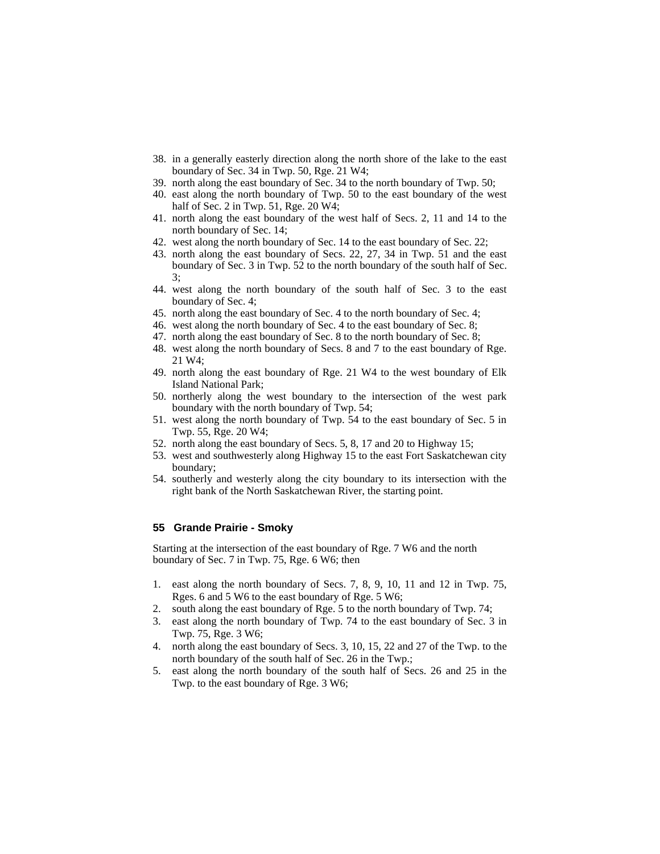- 38. in a generally easterly direction along the north shore of the lake to the east boundary of Sec. 34 in Twp. 50, Rge. 21 W4;
- 39. north along the east boundary of Sec. 34 to the north boundary of Twp. 50;
- 40. east along the north boundary of Twp. 50 to the east boundary of the west half of Sec. 2 in Twp. 51, Rge. 20 W4;
- 41. north along the east boundary of the west half of Secs. 2, 11 and 14 to the north boundary of Sec. 14;
- 42. west along the north boundary of Sec. 14 to the east boundary of Sec. 22;
- 43. north along the east boundary of Secs. 22, 27, 34 in Twp. 51 and the east boundary of Sec. 3 in Twp. 52 to the north boundary of the south half of Sec. 3;
- 44. west along the north boundary of the south half of Sec. 3 to the east boundary of Sec. 4;
- 45. north along the east boundary of Sec. 4 to the north boundary of Sec. 4;
- 46. west along the north boundary of Sec. 4 to the east boundary of Sec. 8;
- 47. north along the east boundary of Sec. 8 to the north boundary of Sec. 8;
- 48. west along the north boundary of Secs. 8 and 7 to the east boundary of Rge. 21 W4;
- 49. north along the east boundary of Rge. 21 W4 to the west boundary of Elk Island National Park;
- 50. northerly along the west boundary to the intersection of the west park boundary with the north boundary of Twp. 54;
- 51. west along the north boundary of Twp. 54 to the east boundary of Sec. 5 in Twp. 55, Rge. 20 W4;
- 52. north along the east boundary of Secs. 5, 8, 17 and 20 to Highway 15;
- 53. west and southwesterly along Highway 15 to the east Fort Saskatchewan city boundary;
- 54. southerly and westerly along the city boundary to its intersection with the right bank of the North Saskatchewan River, the starting point.

## **55 Grande Prairie - Smoky**

Starting at the intersection of the east boundary of Rge. 7 W6 and the north boundary of Sec. 7 in Twp. 75, Rge. 6 W6; then

- 1. east along the north boundary of Secs. 7, 8, 9, 10, 11 and 12 in Twp. 75, Rges. 6 and 5 W6 to the east boundary of Rge. 5 W6;
- 2. south along the east boundary of Rge. 5 to the north boundary of Twp. 74;
- 3. east along the north boundary of Twp. 74 to the east boundary of Sec. 3 in Twp. 75, Rge. 3 W6;
- 4. north along the east boundary of Secs. 3, 10, 15, 22 and 27 of the Twp. to the north boundary of the south half of Sec. 26 in the Twp.;
- 5. east along the north boundary of the south half of Secs. 26 and 25 in the Twp. to the east boundary of Rge. 3 W6;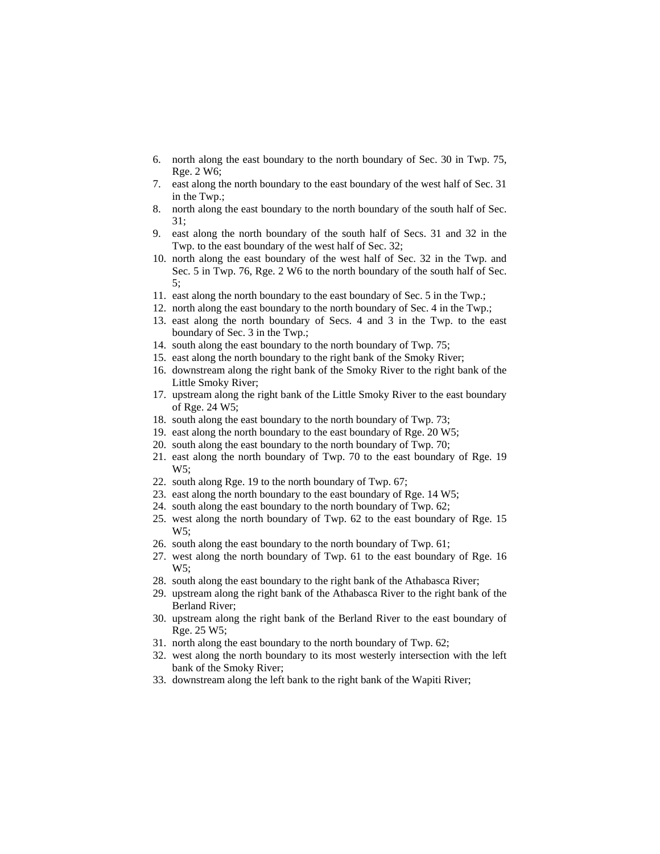- 6. north along the east boundary to the north boundary of Sec. 30 in Twp. 75, Rge. 2 W6;
- 7. east along the north boundary to the east boundary of the west half of Sec. 31 in the Twp.;
- 8. north along the east boundary to the north boundary of the south half of Sec. 31;
- 9. east along the north boundary of the south half of Secs. 31 and 32 in the Twp. to the east boundary of the west half of Sec. 32;
- 10. north along the east boundary of the west half of Sec. 32 in the Twp. and Sec. 5 in Twp. 76, Rge. 2 W6 to the north boundary of the south half of Sec. 5;
- 11. east along the north boundary to the east boundary of Sec. 5 in the Twp.;
- 12. north along the east boundary to the north boundary of Sec. 4 in the Twp.;
- 13. east along the north boundary of Secs. 4 and 3 in the Twp. to the east boundary of Sec. 3 in the Twp.;
- 14. south along the east boundary to the north boundary of Twp. 75;
- 15. east along the north boundary to the right bank of the Smoky River;
- 16. downstream along the right bank of the Smoky River to the right bank of the Little Smoky River;
- 17. upstream along the right bank of the Little Smoky River to the east boundary of Rge. 24 W5;
- 18. south along the east boundary to the north boundary of Twp. 73;
- 19. east along the north boundary to the east boundary of Rge. 20 W5;
- 20. south along the east boundary to the north boundary of Twp. 70;
- 21. east along the north boundary of Twp. 70 to the east boundary of Rge. 19 W5;
- 22. south along Rge. 19 to the north boundary of Twp. 67;
- 23. east along the north boundary to the east boundary of Rge. 14 W5;
- 24. south along the east boundary to the north boundary of Twp. 62;
- 25. west along the north boundary of Twp. 62 to the east boundary of Rge. 15 W5;
- 26. south along the east boundary to the north boundary of Twp. 61;
- 27. west along the north boundary of Twp. 61 to the east boundary of Rge. 16 W5;
- 28. south along the east boundary to the right bank of the Athabasca River;
- 29. upstream along the right bank of the Athabasca River to the right bank of the Berland River;
- 30. upstream along the right bank of the Berland River to the east boundary of Rge. 25 W5;
- 31. north along the east boundary to the north boundary of Twp. 62;
- 32. west along the north boundary to its most westerly intersection with the left bank of the Smoky River;
- 33. downstream along the left bank to the right bank of the Wapiti River;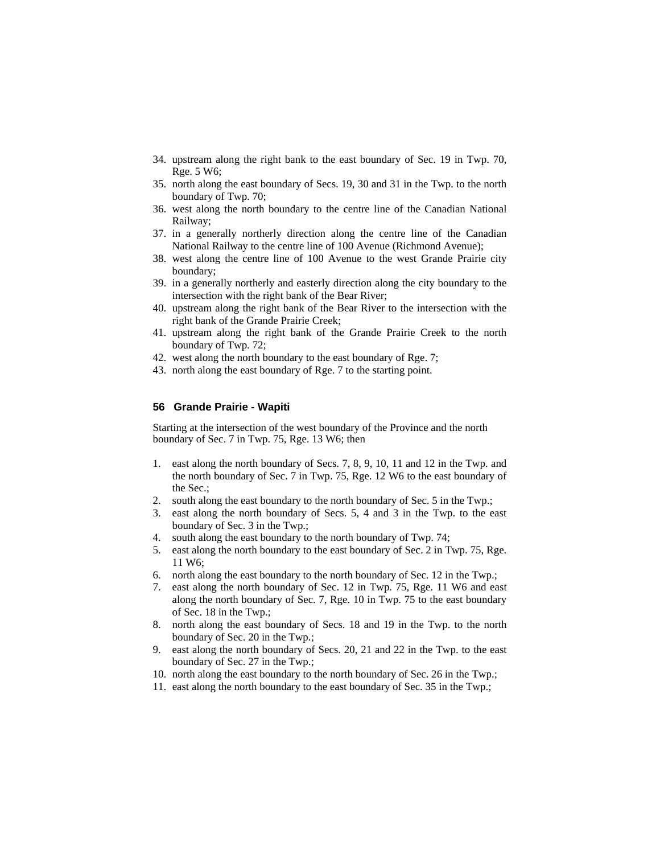- 34. upstream along the right bank to the east boundary of Sec. 19 in Twp. 70, Rge. 5 W6;
- 35. north along the east boundary of Secs. 19, 30 and 31 in the Twp. to the north boundary of Twp. 70;
- 36. west along the north boundary to the centre line of the Canadian National Railway;
- 37. in a generally northerly direction along the centre line of the Canadian National Railway to the centre line of 100 Avenue (Richmond Avenue);
- 38. west along the centre line of 100 Avenue to the west Grande Prairie city boundary;
- 39. in a generally northerly and easterly direction along the city boundary to the intersection with the right bank of the Bear River;
- 40. upstream along the right bank of the Bear River to the intersection with the right bank of the Grande Prairie Creek;
- 41. upstream along the right bank of the Grande Prairie Creek to the north boundary of Twp. 72;
- 42. west along the north boundary to the east boundary of Rge. 7;
- 43. north along the east boundary of Rge. 7 to the starting point.

## **56 Grande Prairie - Wapiti**

Starting at the intersection of the west boundary of the Province and the north boundary of Sec. 7 in Twp. 75, Rge. 13 W6; then

- 1. east along the north boundary of Secs. 7, 8, 9, 10, 11 and 12 in the Twp. and the north boundary of Sec. 7 in Twp. 75, Rge. 12 W6 to the east boundary of the Sec.;
- 2. south along the east boundary to the north boundary of Sec. 5 in the Twp.;
- 3. east along the north boundary of Secs. 5, 4 and 3 in the Twp. to the east boundary of Sec. 3 in the Twp.;
- 4. south along the east boundary to the north boundary of Twp. 74;
- 5. east along the north boundary to the east boundary of Sec. 2 in Twp. 75, Rge. 11 W6;
- 6. north along the east boundary to the north boundary of Sec. 12 in the Twp.;
- 7. east along the north boundary of Sec. 12 in Twp. 75, Rge. 11 W6 and east along the north boundary of Sec. 7, Rge. 10 in Twp. 75 to the east boundary of Sec. 18 in the Twp.;
- 8. north along the east boundary of Secs. 18 and 19 in the Twp. to the north boundary of Sec. 20 in the Twp.;
- 9. east along the north boundary of Secs. 20, 21 and 22 in the Twp. to the east boundary of Sec. 27 in the Twp.;
- 10. north along the east boundary to the north boundary of Sec. 26 in the Twp.;
- 11. east along the north boundary to the east boundary of Sec. 35 in the Twp.;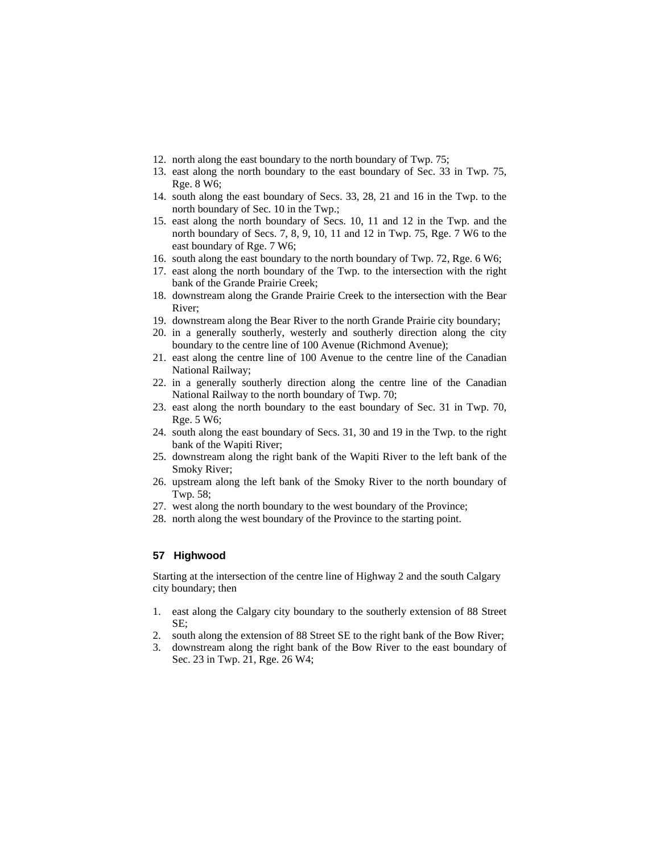- 12. north along the east boundary to the north boundary of Twp. 75;
- 13. east along the north boundary to the east boundary of Sec. 33 in Twp. 75, Rge. 8 W6;
- 14. south along the east boundary of Secs. 33, 28, 21 and 16 in the Twp. to the north boundary of Sec. 10 in the Twp.;
- 15. east along the north boundary of Secs. 10, 11 and 12 in the Twp. and the north boundary of Secs. 7, 8, 9, 10, 11 and 12 in Twp. 75, Rge. 7 W6 to the east boundary of Rge. 7 W6;
- 16. south along the east boundary to the north boundary of Twp. 72, Rge. 6 W6;
- 17. east along the north boundary of the Twp. to the intersection with the right bank of the Grande Prairie Creek;
- 18. downstream along the Grande Prairie Creek to the intersection with the Bear River;
- 19. downstream along the Bear River to the north Grande Prairie city boundary;
- 20. in a generally southerly, westerly and southerly direction along the city boundary to the centre line of 100 Avenue (Richmond Avenue);
- 21. east along the centre line of 100 Avenue to the centre line of the Canadian National Railway;
- 22. in a generally southerly direction along the centre line of the Canadian National Railway to the north boundary of Twp. 70;
- 23. east along the north boundary to the east boundary of Sec. 31 in Twp. 70, Rge. 5 W6;
- 24. south along the east boundary of Secs. 31, 30 and 19 in the Twp. to the right bank of the Wapiti River;
- 25. downstream along the right bank of the Wapiti River to the left bank of the Smoky River;
- 26. upstream along the left bank of the Smoky River to the north boundary of Twp. 58;
- 27. west along the north boundary to the west boundary of the Province;
- 28. north along the west boundary of the Province to the starting point.

#### **57 Highwood**

Starting at the intersection of the centre line of Highway 2 and the south Calgary city boundary; then

- 1. east along the Calgary city boundary to the southerly extension of 88 Street SE;
- 2. south along the extension of 88 Street SE to the right bank of the Bow River;
- 3. downstream along the right bank of the Bow River to the east boundary of Sec. 23 in Twp. 21, Rge. 26 W4;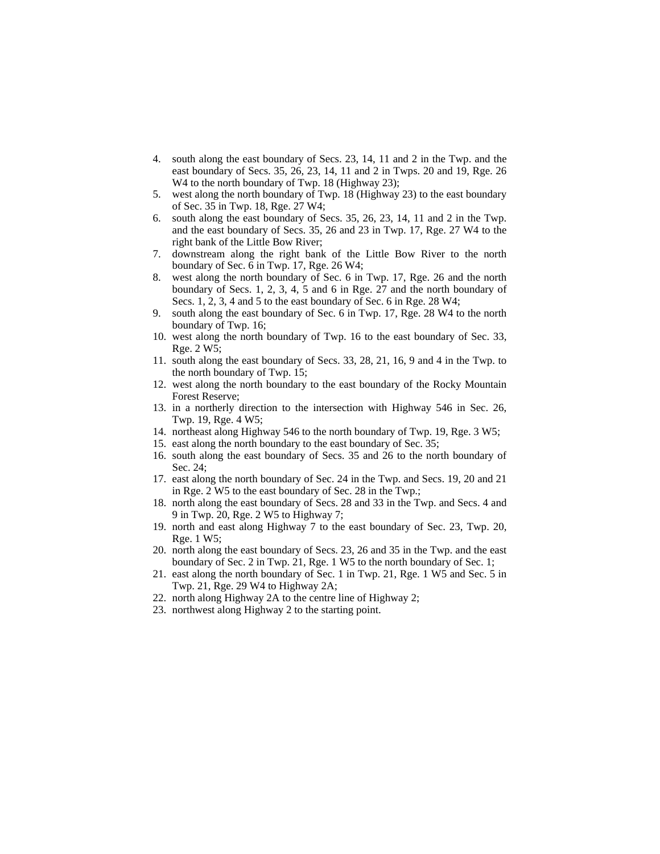- 4. south along the east boundary of Secs. 23, 14, 11 and 2 in the Twp. and the east boundary of Secs. 35, 26, 23, 14, 11 and 2 in Twps. 20 and 19, Rge. 26 W<sub>4</sub> to the north boundary of Twp. 18 (Highway 23);
- 5. west along the north boundary of Twp. 18 (Highway 23) to the east boundary of Sec. 35 in Twp. 18, Rge. 27 W4;
- 6. south along the east boundary of Secs. 35, 26, 23, 14, 11 and 2 in the Twp. and the east boundary of Secs. 35, 26 and 23 in Twp. 17, Rge. 27 W4 to the right bank of the Little Bow River;
- 7. downstream along the right bank of the Little Bow River to the north boundary of Sec. 6 in Twp. 17, Rge. 26 W4;
- 8. west along the north boundary of Sec. 6 in Twp. 17, Rge. 26 and the north boundary of Secs. 1, 2, 3, 4, 5 and 6 in Rge. 27 and the north boundary of Secs. 1, 2, 3, 4 and 5 to the east boundary of Sec. 6 in Rge. 28 W4;
- 9. south along the east boundary of Sec. 6 in Twp. 17, Rge. 28 W4 to the north boundary of Twp. 16;
- 10. west along the north boundary of Twp. 16 to the east boundary of Sec. 33, Rge. 2 W5;
- 11. south along the east boundary of Secs. 33, 28, 21, 16, 9 and 4 in the Twp. to the north boundary of Twp. 15;
- 12. west along the north boundary to the east boundary of the Rocky Mountain Forest Reserve;
- 13. in a northerly direction to the intersection with Highway 546 in Sec. 26, Twp. 19, Rge. 4 W5;
- 14. northeast along Highway 546 to the north boundary of Twp. 19, Rge. 3 W5;
- 15. east along the north boundary to the east boundary of Sec. 35;
- 16. south along the east boundary of Secs. 35 and 26 to the north boundary of Sec. 24;
- 17. east along the north boundary of Sec. 24 in the Twp. and Secs. 19, 20 and 21 in Rge. 2 W5 to the east boundary of Sec. 28 in the Twp.;
- 18. north along the east boundary of Secs. 28 and 33 in the Twp. and Secs. 4 and 9 in Twp. 20, Rge. 2 W5 to Highway 7;
- 19. north and east along Highway 7 to the east boundary of Sec. 23, Twp. 20, Rge. 1 W5;
- 20. north along the east boundary of Secs. 23, 26 and 35 in the Twp. and the east boundary of Sec. 2 in Twp. 21, Rge. 1 W5 to the north boundary of Sec. 1;
- 21. east along the north boundary of Sec. 1 in Twp. 21, Rge. 1 W5 and Sec. 5 in Twp. 21, Rge. 29 W4 to Highway 2A;
- 22. north along Highway 2A to the centre line of Highway 2;
- 23. northwest along Highway 2 to the starting point.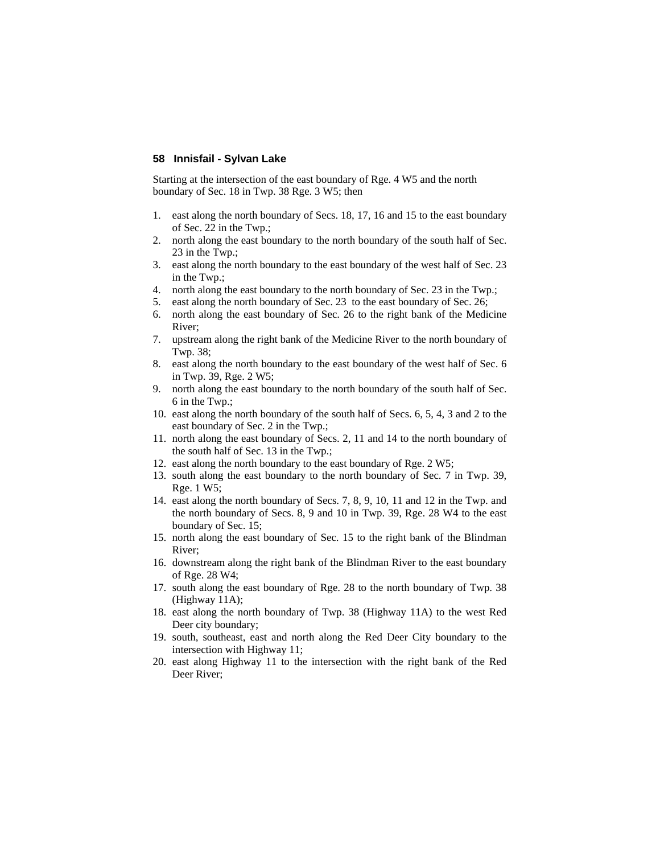## **58 Innisfail - Sylvan Lake**

Starting at the intersection of the east boundary of Rge. 4 W5 and the north boundary of Sec. 18 in Twp. 38 Rge. 3 W5; then

- 1. east along the north boundary of Secs. 18, 17, 16 and 15 to the east boundary of Sec. 22 in the Twp.;
- 2. north along the east boundary to the north boundary of the south half of Sec. 23 in the Twp.;
- 3. east along the north boundary to the east boundary of the west half of Sec. 23 in the Twp.;
- 4. north along the east boundary to the north boundary of Sec. 23 in the Twp.;
- 5. east along the north boundary of Sec. 23 to the east boundary of Sec. 26;
- 6. north along the east boundary of Sec. 26 to the right bank of the Medicine River;
- 7. upstream along the right bank of the Medicine River to the north boundary of Twp. 38;
- 8. east along the north boundary to the east boundary of the west half of Sec. 6 in Twp. 39, Rge. 2 W5;
- 9. north along the east boundary to the north boundary of the south half of Sec. 6 in the Twp.;
- 10. east along the north boundary of the south half of Secs. 6, 5, 4, 3 and 2 to the east boundary of Sec. 2 in the Twp.;
- 11. north along the east boundary of Secs. 2, 11 and 14 to the north boundary of the south half of Sec. 13 in the Twp.;
- 12. east along the north boundary to the east boundary of Rge. 2 W5;
- 13. south along the east boundary to the north boundary of Sec. 7 in Twp. 39, Rge. 1 W5;
- 14. east along the north boundary of Secs. 7, 8, 9, 10, 11 and 12 in the Twp. and the north boundary of Secs. 8, 9 and 10 in Twp. 39, Rge. 28 W4 to the east boundary of Sec. 15;
- 15. north along the east boundary of Sec. 15 to the right bank of the Blindman River;
- 16. downstream along the right bank of the Blindman River to the east boundary of Rge. 28 W4;
- 17. south along the east boundary of Rge. 28 to the north boundary of Twp. 38 (Highway 11A);
- 18. east along the north boundary of Twp. 38 (Highway 11A) to the west Red Deer city boundary;
- 19. south, southeast, east and north along the Red Deer City boundary to the intersection with Highway 11;
- 20. east along Highway 11 to the intersection with the right bank of the Red Deer River;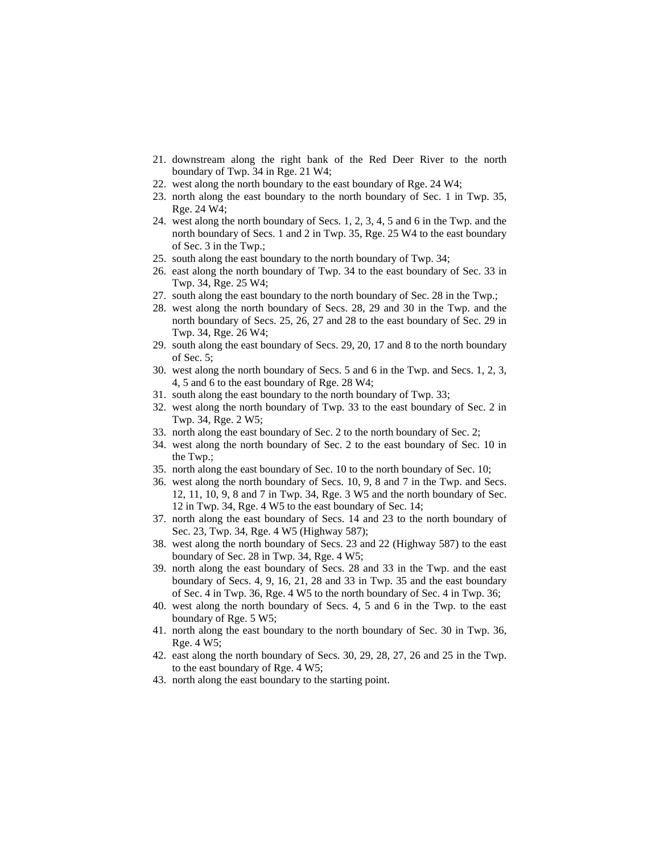- 21. downstream along the right bank of the Red Deer River to the north boundary of Twp. 34 in Rge. 21 W4;
- 22. west along the north boundary to the east boundary of Rge. 24 W4;
- 23. north along the east boundary to the north boundary of Sec. 1 in Twp. 35, Rge. 24 W4;
- 24. west along the north boundary of Secs. 1, 2, 3, 4, 5 and 6 in the Twp. and the north boundary of Secs. 1 and 2 in Twp. 35, Rge. 25 W4 to the east boundary of Sec. 3 in the Twp.;
- 25. south along the east boundary to the north boundary of Twp. 34;
- 26. east along the north boundary of Twp. 34 to the east boundary of Sec. 33 in Twp. 34, Rge. 25 W4;
- 27. south along the east boundary to the north boundary of Sec. 28 in the Twp.;
- 28. west along the north boundary of Secs. 28, 29 and 30 in the Twp. and the north boundary of Secs. 25, 26, 27 and 28 to the east boundary of Sec. 29 in Twp. 34, Rge. 26 W4;
- 29. south along the east boundary of Secs. 29, 20, 17 and 8 to the north boundary of Sec. 5;
- 30. west along the north boundary of Secs. 5 and 6 in the Twp. and Secs. 1, 2, 3, 4, 5 and 6 to the east boundary of Rge. 28 W4;
- 31. south along the east boundary to the north boundary of Twp. 33;
- 32. west along the north boundary of Twp. 33 to the east boundary of Sec. 2 in Twp. 34, Rge. 2 W5;
- 33. north along the east boundary of Sec. 2 to the north boundary of Sec. 2;
- 34. west along the north boundary of Sec. 2 to the east boundary of Sec. 10 in the Twp.;
- 35. north along the east boundary of Sec. 10 to the north boundary of Sec. 10;
- 36. west along the north boundary of Secs. 10, 9, 8 and 7 in the Twp. and Secs. 12, 11, 10, 9, 8 and 7 in Twp. 34, Rge. 3 W5 and the north boundary of Sec. 12 in Twp. 34, Rge. 4 W5 to the east boundary of Sec. 14;
- 37. north along the east boundary of Secs. 14 and 23 to the north boundary of Sec. 23, Twp. 34, Rge. 4 W5 (Highway 587);
- 38. west along the north boundary of Secs. 23 and 22 (Highway 587) to the east boundary of Sec. 28 in Twp. 34, Rge. 4 W5;
- 39. north along the east boundary of Secs. 28 and 33 in the Twp. and the east boundary of Secs. 4, 9, 16, 21, 28 and 33 in Twp. 35 and the east boundary of Sec. 4 in Twp. 36, Rge. 4 W5 to the north boundary of Sec. 4 in Twp. 36;
- 40. west along the north boundary of Secs. 4, 5 and 6 in the Twp. to the east boundary of Rge. 5 W5;
- 41. north along the east boundary to the north boundary of Sec. 30 in Twp. 36, Rge. 4 W5;
- 42. east along the north boundary of Secs. 30, 29, 28, 27, 26 and 25 in the Twp. to the east boundary of Rge. 4 W5;
- 43. north along the east boundary to the starting point.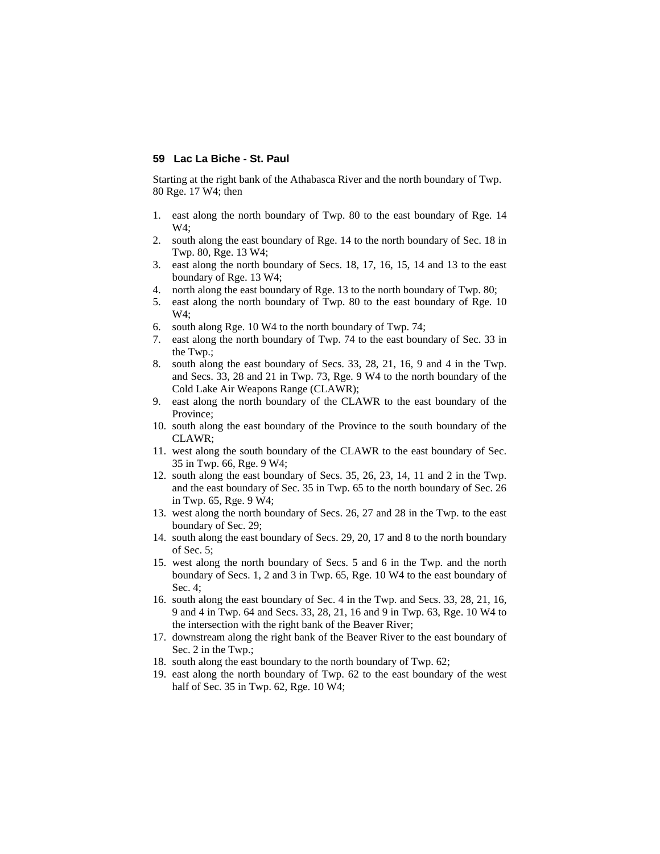## **59 Lac La Biche - St. Paul**

Starting at the right bank of the Athabasca River and the north boundary of Twp. 80 Rge. 17 W4; then

- 1. east along the north boundary of Twp. 80 to the east boundary of Rge. 14  $W4:$
- 2. south along the east boundary of Rge. 14 to the north boundary of Sec. 18 in Twp. 80, Rge. 13 W4;
- 3. east along the north boundary of Secs. 18, 17, 16, 15, 14 and 13 to the east boundary of Rge. 13 W4;
- 4. north along the east boundary of Rge. 13 to the north boundary of Twp. 80;
- 5. east along the north boundary of Twp. 80 to the east boundary of Rge. 10 W4;
- 6. south along Rge. 10 W4 to the north boundary of Twp. 74;
- 7. east along the north boundary of Twp. 74 to the east boundary of Sec. 33 in the Twp.;
- 8. south along the east boundary of Secs. 33, 28, 21, 16, 9 and 4 in the Twp. and Secs. 33, 28 and 21 in Twp. 73, Rge. 9 W4 to the north boundary of the Cold Lake Air Weapons Range (CLAWR);
- 9. east along the north boundary of the CLAWR to the east boundary of the Province;
- 10. south along the east boundary of the Province to the south boundary of the CLAWR;
- 11. west along the south boundary of the CLAWR to the east boundary of Sec. 35 in Twp. 66, Rge. 9 W4;
- 12. south along the east boundary of Secs. 35, 26, 23, 14, 11 and 2 in the Twp. and the east boundary of Sec. 35 in Twp. 65 to the north boundary of Sec. 26 in Twp. 65, Rge. 9 W4;
- 13. west along the north boundary of Secs. 26, 27 and 28 in the Twp. to the east boundary of Sec. 29;
- 14. south along the east boundary of Secs. 29, 20, 17 and 8 to the north boundary of Sec. 5;
- 15. west along the north boundary of Secs. 5 and 6 in the Twp. and the north boundary of Secs. 1, 2 and 3 in Twp. 65, Rge. 10 W4 to the east boundary of Sec. 4;
- 16. south along the east boundary of Sec. 4 in the Twp. and Secs. 33, 28, 21, 16, 9 and 4 in Twp. 64 and Secs. 33, 28, 21, 16 and 9 in Twp. 63, Rge. 10 W4 to the intersection with the right bank of the Beaver River;
- 17. downstream along the right bank of the Beaver River to the east boundary of Sec. 2 in the Twp.;
- 18. south along the east boundary to the north boundary of Twp. 62;
- 19. east along the north boundary of Twp. 62 to the east boundary of the west half of Sec. 35 in Twp. 62, Rge. 10 W4;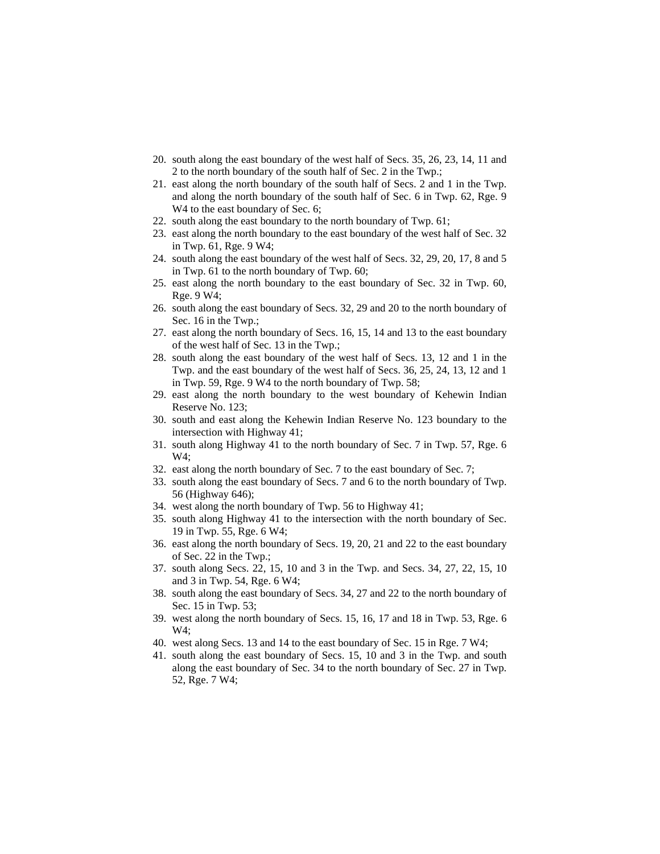- 20. south along the east boundary of the west half of Secs. 35, 26, 23, 14, 11 and 2 to the north boundary of the south half of Sec. 2 in the Twp.;
- 21. east along the north boundary of the south half of Secs. 2 and 1 in the Twp. and along the north boundary of the south half of Sec. 6 in Twp. 62, Rge. 9 W<sub>4</sub> to the east boundary of Sec. 6;
- 22. south along the east boundary to the north boundary of Twp. 61;
- 23. east along the north boundary to the east boundary of the west half of Sec. 32 in Twp. 61, Rge. 9 W4;
- 24. south along the east boundary of the west half of Secs. 32, 29, 20, 17, 8 and 5 in Twp. 61 to the north boundary of Twp. 60;
- 25. east along the north boundary to the east boundary of Sec. 32 in Twp. 60, Rge. 9 W4;
- 26. south along the east boundary of Secs. 32, 29 and 20 to the north boundary of Sec. 16 in the Twp.;
- 27. east along the north boundary of Secs. 16, 15, 14 and 13 to the east boundary of the west half of Sec. 13 in the Twp.;
- 28. south along the east boundary of the west half of Secs. 13, 12 and 1 in the Twp. and the east boundary of the west half of Secs. 36, 25, 24, 13, 12 and 1 in Twp. 59, Rge. 9 W4 to the north boundary of Twp. 58;
- 29. east along the north boundary to the west boundary of Kehewin Indian Reserve No. 123;
- 30. south and east along the Kehewin Indian Reserve No. 123 boundary to the intersection with Highway 41;
- 31. south along Highway 41 to the north boundary of Sec. 7 in Twp. 57, Rge. 6 W4;
- 32. east along the north boundary of Sec. 7 to the east boundary of Sec. 7;
- 33. south along the east boundary of Secs. 7 and 6 to the north boundary of Twp. 56 (Highway 646);
- 34. west along the north boundary of Twp. 56 to Highway 41;
- 35. south along Highway 41 to the intersection with the north boundary of Sec. 19 in Twp. 55, Rge. 6 W4;
- 36. east along the north boundary of Secs. 19, 20, 21 and 22 to the east boundary of Sec. 22 in the Twp.;
- 37. south along Secs. 22, 15, 10 and 3 in the Twp. and Secs. 34, 27, 22, 15, 10 and 3 in Twp. 54, Rge. 6 W4;
- 38. south along the east boundary of Secs. 34, 27 and 22 to the north boundary of Sec. 15 in Twp. 53;
- 39. west along the north boundary of Secs. 15, 16, 17 and 18 in Twp. 53, Rge. 6 W4;
- 40. west along Secs. 13 and 14 to the east boundary of Sec. 15 in Rge. 7 W4;
- 41. south along the east boundary of Secs. 15, 10 and 3 in the Twp. and south along the east boundary of Sec. 34 to the north boundary of Sec. 27 in Twp. 52, Rge. 7 W4;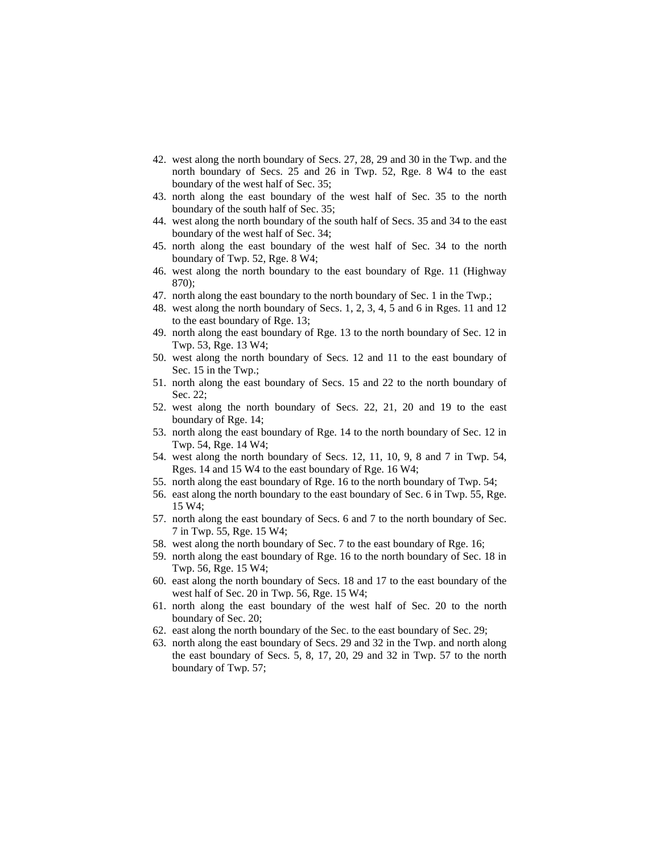- 42. west along the north boundary of Secs. 27, 28, 29 and 30 in the Twp. and the north boundary of Secs. 25 and 26 in Twp. 52, Rge. 8 W4 to the east boundary of the west half of Sec. 35;
- 43. north along the east boundary of the west half of Sec. 35 to the north boundary of the south half of Sec. 35;
- 44. west along the north boundary of the south half of Secs. 35 and 34 to the east boundary of the west half of Sec. 34;
- 45. north along the east boundary of the west half of Sec. 34 to the north boundary of Twp. 52, Rge. 8 W4;
- 46. west along the north boundary to the east boundary of Rge. 11 (Highway 870);
- 47. north along the east boundary to the north boundary of Sec. 1 in the Twp.;
- 48. west along the north boundary of Secs. 1, 2, 3, 4, 5 and 6 in Rges. 11 and 12 to the east boundary of Rge. 13;
- 49. north along the east boundary of Rge. 13 to the north boundary of Sec. 12 in Twp. 53, Rge. 13 W4;
- 50. west along the north boundary of Secs. 12 and 11 to the east boundary of Sec. 15 in the Twp.;
- 51. north along the east boundary of Secs. 15 and 22 to the north boundary of Sec. 22;
- 52. west along the north boundary of Secs. 22, 21, 20 and 19 to the east boundary of Rge. 14;
- 53. north along the east boundary of Rge. 14 to the north boundary of Sec. 12 in Twp. 54, Rge. 14 W4;
- 54. west along the north boundary of Secs. 12, 11, 10, 9, 8 and 7 in Twp. 54, Rges. 14 and 15 W4 to the east boundary of Rge. 16 W4;
- 55. north along the east boundary of Rge. 16 to the north boundary of Twp. 54;
- 56. east along the north boundary to the east boundary of Sec. 6 in Twp. 55, Rge. 15 W4;
- 57. north along the east boundary of Secs. 6 and 7 to the north boundary of Sec. 7 in Twp. 55, Rge. 15 W4;
- 58. west along the north boundary of Sec. 7 to the east boundary of Rge. 16;
- 59. north along the east boundary of Rge. 16 to the north boundary of Sec. 18 in Twp. 56, Rge. 15 W4;
- 60. east along the north boundary of Secs. 18 and 17 to the east boundary of the west half of Sec. 20 in Twp. 56, Rge. 15 W4;
- 61. north along the east boundary of the west half of Sec. 20 to the north boundary of Sec. 20;
- 62. east along the north boundary of the Sec. to the east boundary of Sec. 29;
- 63. north along the east boundary of Secs. 29 and 32 in the Twp. and north along the east boundary of Secs. 5, 8, 17, 20, 29 and 32 in Twp. 57 to the north boundary of Twp. 57;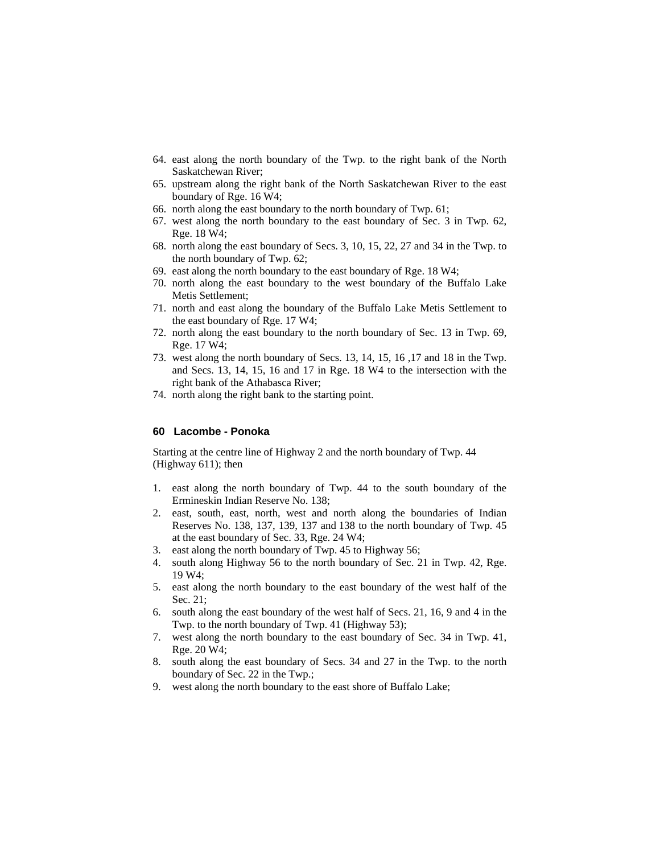- 64. east along the north boundary of the Twp. to the right bank of the North Saskatchewan River;
- 65. upstream along the right bank of the North Saskatchewan River to the east boundary of Rge. 16 W4;
- 66. north along the east boundary to the north boundary of Twp. 61;
- 67. west along the north boundary to the east boundary of Sec. 3 in Twp. 62, Rge. 18 W4;
- 68. north along the east boundary of Secs. 3, 10, 15, 22, 27 and 34 in the Twp. to the north boundary of Twp. 62;
- 69. east along the north boundary to the east boundary of Rge. 18 W4;
- 70. north along the east boundary to the west boundary of the Buffalo Lake Metis Settlement;
- 71. north and east along the boundary of the Buffalo Lake Metis Settlement to the east boundary of Rge. 17 W4;
- 72. north along the east boundary to the north boundary of Sec. 13 in Twp. 69, Rge. 17 W4;
- 73. west along the north boundary of Secs. 13, 14, 15, 16 ,17 and 18 in the Twp. and Secs. 13, 14, 15, 16 and 17 in Rge. 18 W4 to the intersection with the right bank of the Athabasca River;
- 74. north along the right bank to the starting point.

#### **60 Lacombe - Ponoka**

Starting at the centre line of Highway 2 and the north boundary of Twp. 44 (Highway 611); then

- 1. east along the north boundary of Twp. 44 to the south boundary of the Ermineskin Indian Reserve No. 138;
- 2. east, south, east, north, west and north along the boundaries of Indian Reserves No. 138, 137, 139, 137 and 138 to the north boundary of Twp. 45 at the east boundary of Sec. 33, Rge. 24 W4;
- 3. east along the north boundary of Twp. 45 to Highway 56;
- 4. south along Highway 56 to the north boundary of Sec. 21 in Twp. 42, Rge. 19 W4;
- 5. east along the north boundary to the east boundary of the west half of the Sec. 21;
- 6. south along the east boundary of the west half of Secs. 21, 16, 9 and 4 in the Twp. to the north boundary of Twp. 41 (Highway 53);
- 7. west along the north boundary to the east boundary of Sec. 34 in Twp. 41, Rge. 20 W4;
- 8. south along the east boundary of Secs. 34 and 27 in the Twp. to the north boundary of Sec. 22 in the Twp.;
- 9. west along the north boundary to the east shore of Buffalo Lake;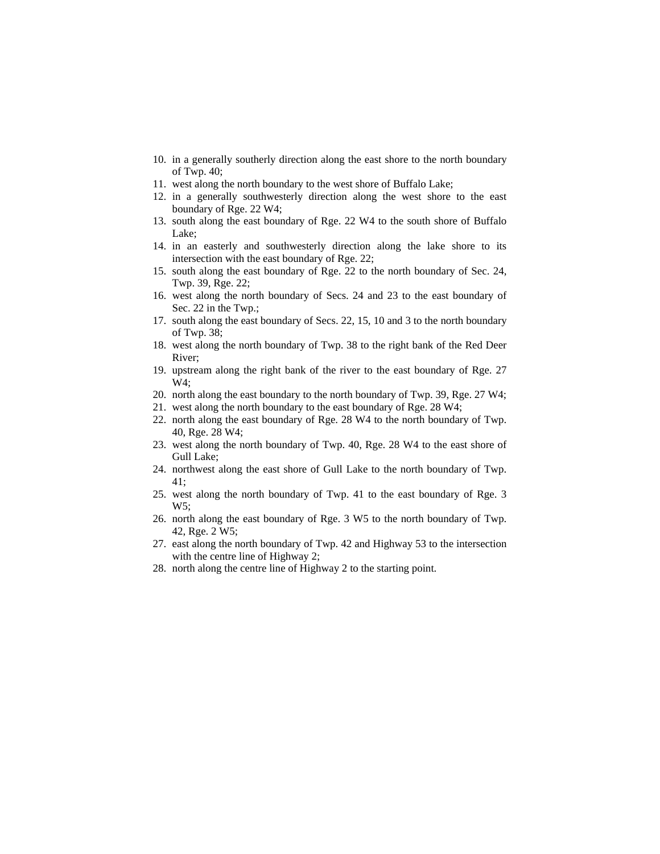- 10. in a generally southerly direction along the east shore to the north boundary of Twp. 40;
- 11. west along the north boundary to the west shore of Buffalo Lake;
- 12. in a generally southwesterly direction along the west shore to the east boundary of Rge. 22 W4;
- 13. south along the east boundary of Rge. 22 W4 to the south shore of Buffalo Lake;
- 14. in an easterly and southwesterly direction along the lake shore to its intersection with the east boundary of Rge. 22;
- 15. south along the east boundary of Rge. 22 to the north boundary of Sec. 24, Twp. 39, Rge. 22;
- 16. west along the north boundary of Secs. 24 and 23 to the east boundary of Sec. 22 in the Twp.;
- 17. south along the east boundary of Secs. 22, 15, 10 and 3 to the north boundary of Twp. 38;
- 18. west along the north boundary of Twp. 38 to the right bank of the Red Deer River;
- 19. upstream along the right bank of the river to the east boundary of Rge. 27 W4;
- 20. north along the east boundary to the north boundary of Twp. 39, Rge. 27 W4;
- 21. west along the north boundary to the east boundary of Rge. 28 W4;
- 22. north along the east boundary of Rge. 28 W4 to the north boundary of Twp. 40, Rge. 28 W4;
- 23. west along the north boundary of Twp. 40, Rge. 28 W4 to the east shore of Gull Lake;
- 24. northwest along the east shore of Gull Lake to the north boundary of Twp. 41;
- 25. west along the north boundary of Twp. 41 to the east boundary of Rge. 3 W5;
- 26. north along the east boundary of Rge. 3 W5 to the north boundary of Twp. 42, Rge. 2 W5;
- 27. east along the north boundary of Twp. 42 and Highway 53 to the intersection with the centre line of Highway 2;
- 28. north along the centre line of Highway 2 to the starting point.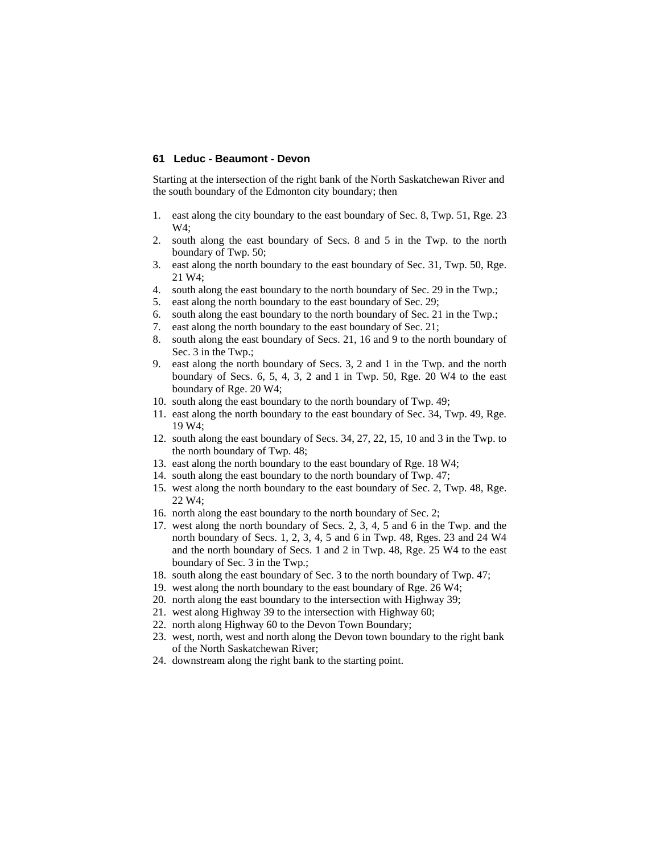## **61 Leduc - Beaumont - Devon**

Starting at the intersection of the right bank of the North Saskatchewan River and the south boundary of the Edmonton city boundary; then

- 1. east along the city boundary to the east boundary of Sec. 8, Twp. 51, Rge. 23  $W4:$
- 2. south along the east boundary of Secs. 8 and 5 in the Twp. to the north boundary of Twp. 50;
- 3. east along the north boundary to the east boundary of Sec. 31, Twp. 50, Rge. 21 W4;
- 4. south along the east boundary to the north boundary of Sec. 29 in the Twp.;
- 5. east along the north boundary to the east boundary of Sec. 29;
- 6. south along the east boundary to the north boundary of Sec. 21 in the Twp.;
- 7. east along the north boundary to the east boundary of Sec. 21;
- 8. south along the east boundary of Secs. 21, 16 and 9 to the north boundary of Sec. 3 in the Twp.;
- 9. east along the north boundary of Secs. 3, 2 and 1 in the Twp. and the north boundary of Secs. 6, 5, 4, 3, 2 and 1 in Twp. 50, Rge. 20 W4 to the east boundary of Rge. 20 W4;
- 10. south along the east boundary to the north boundary of Twp. 49;
- 11. east along the north boundary to the east boundary of Sec. 34, Twp. 49, Rge. 19 W4;
- 12. south along the east boundary of Secs. 34, 27, 22, 15, 10 and 3 in the Twp. to the north boundary of Twp. 48;
- 13. east along the north boundary to the east boundary of Rge. 18 W4;
- 14. south along the east boundary to the north boundary of Twp. 47;
- 15. west along the north boundary to the east boundary of Sec. 2, Twp. 48, Rge. 22 W4;
- 16. north along the east boundary to the north boundary of Sec. 2;
- 17. west along the north boundary of Secs. 2, 3, 4, 5 and 6 in the Twp. and the north boundary of Secs. 1, 2, 3, 4, 5 and 6 in Twp. 48, Rges. 23 and 24 W4 and the north boundary of Secs. 1 and 2 in Twp. 48, Rge. 25 W4 to the east boundary of Sec. 3 in the Twp.;
- 18. south along the east boundary of Sec. 3 to the north boundary of Twp. 47;
- 19. west along the north boundary to the east boundary of Rge. 26 W4;
- 20. north along the east boundary to the intersection with Highway 39;
- 21. west along Highway 39 to the intersection with Highway 60;
- 22. north along Highway 60 to the Devon Town Boundary;
- 23. west, north, west and north along the Devon town boundary to the right bank of the North Saskatchewan River;
- 24. downstream along the right bank to the starting point.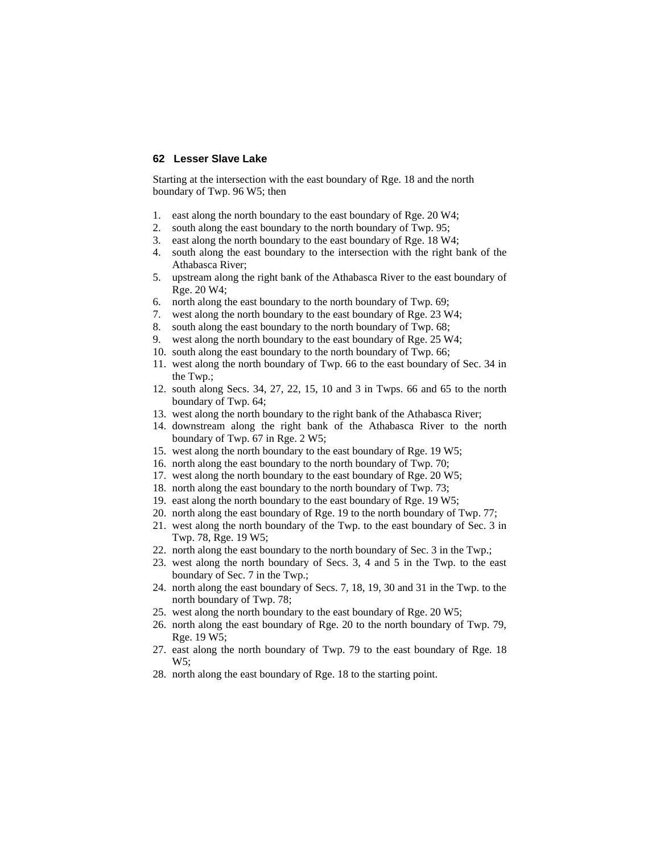### **62 Lesser Slave Lake**

Starting at the intersection with the east boundary of Rge. 18 and the north boundary of Twp. 96 W5; then

- 1. east along the north boundary to the east boundary of Rge. 20 W4;
- 2. south along the east boundary to the north boundary of Twp. 95;
- 3. east along the north boundary to the east boundary of Rge. 18 W4;
- 4. south along the east boundary to the intersection with the right bank of the Athabasca River;
- 5. upstream along the right bank of the Athabasca River to the east boundary of Rge. 20 W4;
- 6. north along the east boundary to the north boundary of Twp. 69;
- 7. west along the north boundary to the east boundary of Rge. 23 W4;
- 8. south along the east boundary to the north boundary of Twp. 68;
- 9. west along the north boundary to the east boundary of Rge. 25 W4;
- 10. south along the east boundary to the north boundary of Twp. 66;
- 11. west along the north boundary of Twp. 66 to the east boundary of Sec. 34 in the Twp.;
- 12. south along Secs. 34, 27, 22, 15, 10 and 3 in Twps. 66 and 65 to the north boundary of Twp. 64;
- 13. west along the north boundary to the right bank of the Athabasca River;
- 14. downstream along the right bank of the Athabasca River to the north boundary of Twp. 67 in Rge. 2 W5;
- 15. west along the north boundary to the east boundary of Rge. 19 W5;
- 16. north along the east boundary to the north boundary of Twp. 70;
- 17. west along the north boundary to the east boundary of Rge. 20 W5;
- 18. north along the east boundary to the north boundary of Twp. 73;
- 19. east along the north boundary to the east boundary of Rge. 19 W5;
- 20. north along the east boundary of Rge. 19 to the north boundary of Twp. 77;
- 21. west along the north boundary of the Twp. to the east boundary of Sec. 3 in Twp. 78, Rge. 19 W5;
- 22. north along the east boundary to the north boundary of Sec. 3 in the Twp.;
- 23. west along the north boundary of Secs. 3, 4 and 5 in the Twp. to the east boundary of Sec. 7 in the Twp.;
- 24. north along the east boundary of Secs. 7, 18, 19, 30 and 31 in the Twp. to the north boundary of Twp. 78;
- 25. west along the north boundary to the east boundary of Rge. 20 W5;
- 26. north along the east boundary of Rge. 20 to the north boundary of Twp. 79, Rge. 19 W5;
- 27. east along the north boundary of Twp. 79 to the east boundary of Rge. 18 W5;
- 28. north along the east boundary of Rge. 18 to the starting point.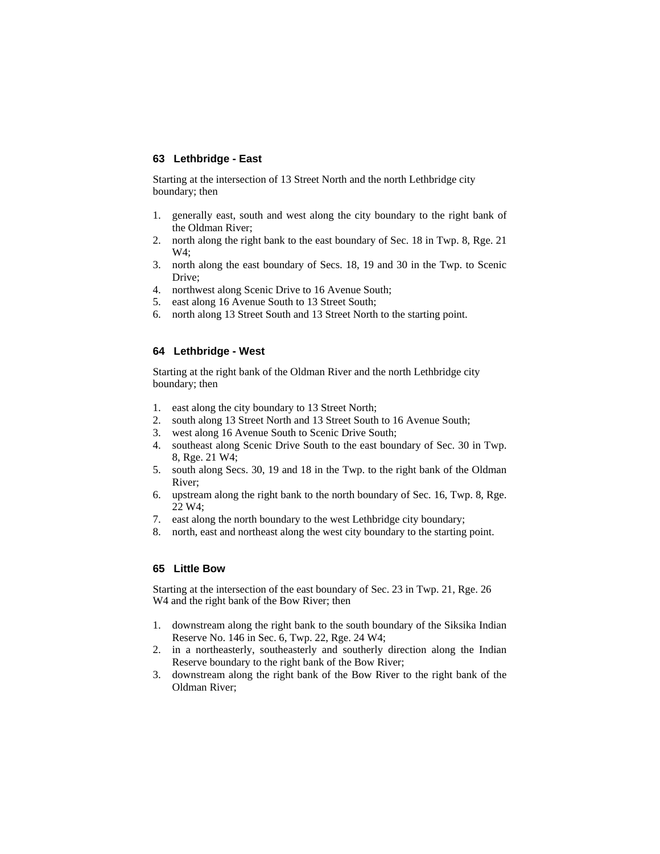## **63 Lethbridge - East**

Starting at the intersection of 13 Street North and the north Lethbridge city boundary; then

- 1. generally east, south and west along the city boundary to the right bank of the Oldman River;
- 2. north along the right bank to the east boundary of Sec. 18 in Twp. 8, Rge. 21 W4;
- 3. north along the east boundary of Secs. 18, 19 and 30 in the Twp. to Scenic Drive;
- 4. northwest along Scenic Drive to 16 Avenue South;
- 5. east along 16 Avenue South to 13 Street South;
- 6. north along 13 Street South and 13 Street North to the starting point.

# **64 Lethbridge - West**

Starting at the right bank of the Oldman River and the north Lethbridge city boundary; then

- 1. east along the city boundary to 13 Street North;
- 2. south along 13 Street North and 13 Street South to 16 Avenue South;
- 3. west along 16 Avenue South to Scenic Drive South;
- 4. southeast along Scenic Drive South to the east boundary of Sec. 30 in Twp. 8, Rge. 21 W4;
- 5. south along Secs. 30, 19 and 18 in the Twp. to the right bank of the Oldman River;
- 6. upstream along the right bank to the north boundary of Sec. 16, Twp. 8, Rge. 22 W4;
- 7. east along the north boundary to the west Lethbridge city boundary;
- 8. north, east and northeast along the west city boundary to the starting point.

### **65 Little Bow**

Starting at the intersection of the east boundary of Sec. 23 in Twp. 21, Rge. 26 W<sub>4</sub> and the right bank of the Bow River; then

- 1. downstream along the right bank to the south boundary of the Siksika Indian Reserve No. 146 in Sec. 6, Twp. 22, Rge. 24 W4;
- 2. in a northeasterly, southeasterly and southerly direction along the Indian Reserve boundary to the right bank of the Bow River;
- 3. downstream along the right bank of the Bow River to the right bank of the Oldman River;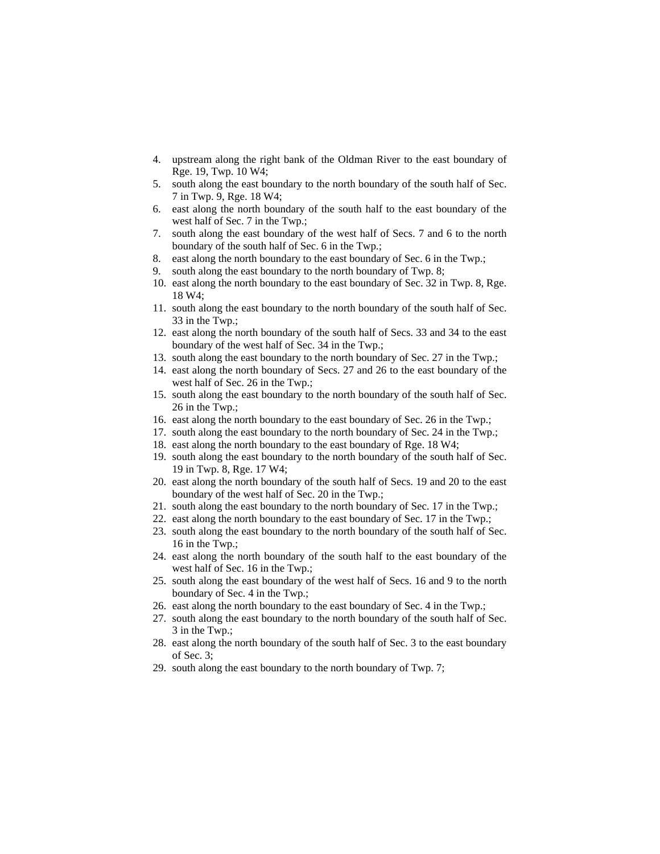- 4. upstream along the right bank of the Oldman River to the east boundary of Rge. 19, Twp. 10 W4;
- 5. south along the east boundary to the north boundary of the south half of Sec. 7 in Twp. 9, Rge. 18 W4;
- 6. east along the north boundary of the south half to the east boundary of the west half of Sec. 7 in the Twp.;
- 7. south along the east boundary of the west half of Secs. 7 and 6 to the north boundary of the south half of Sec. 6 in the Twp.;
- 8. east along the north boundary to the east boundary of Sec. 6 in the Twp.;
- 9. south along the east boundary to the north boundary of Twp. 8;
- 10. east along the north boundary to the east boundary of Sec. 32 in Twp. 8, Rge. 18 W4;
- 11. south along the east boundary to the north boundary of the south half of Sec. 33 in the Twp.;
- 12. east along the north boundary of the south half of Secs. 33 and 34 to the east boundary of the west half of Sec. 34 in the Twp.;
- 13. south along the east boundary to the north boundary of Sec. 27 in the Twp.;
- 14. east along the north boundary of Secs. 27 and 26 to the east boundary of the west half of Sec. 26 in the Twp.;
- 15. south along the east boundary to the north boundary of the south half of Sec. 26 in the Twp.;
- 16. east along the north boundary to the east boundary of Sec. 26 in the Twp.;
- 17. south along the east boundary to the north boundary of Sec. 24 in the Twp.;
- 18. east along the north boundary to the east boundary of Rge. 18 W4;
- 19. south along the east boundary to the north boundary of the south half of Sec. 19 in Twp. 8, Rge. 17 W4;
- 20. east along the north boundary of the south half of Secs. 19 and 20 to the east boundary of the west half of Sec. 20 in the Twp.;
- 21. south along the east boundary to the north boundary of Sec. 17 in the Twp.;
- 22. east along the north boundary to the east boundary of Sec. 17 in the Twp.;
- 23. south along the east boundary to the north boundary of the south half of Sec. 16 in the Twp.;
- 24. east along the north boundary of the south half to the east boundary of the west half of Sec. 16 in the Twp.;
- 25. south along the east boundary of the west half of Secs. 16 and 9 to the north boundary of Sec. 4 in the Twp.;
- 26. east along the north boundary to the east boundary of Sec. 4 in the Twp.;
- 27. south along the east boundary to the north boundary of the south half of Sec. 3 in the Twp.;
- 28. east along the north boundary of the south half of Sec. 3 to the east boundary of Sec. 3;
- 29. south along the east boundary to the north boundary of Twp. 7;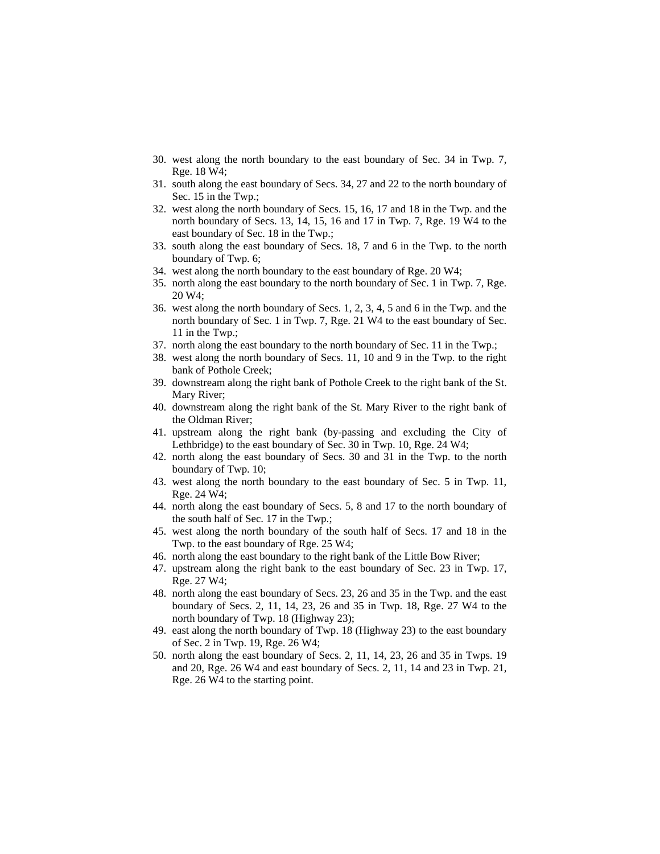- 30. west along the north boundary to the east boundary of Sec. 34 in Twp. 7, Rge. 18 W4;
- 31. south along the east boundary of Secs. 34, 27 and 22 to the north boundary of Sec. 15 in the Twp.;
- 32. west along the north boundary of Secs. 15, 16, 17 and 18 in the Twp. and the north boundary of Secs. 13, 14, 15, 16 and 17 in Twp. 7, Rge. 19 W4 to the east boundary of Sec. 18 in the Twp.;
- 33. south along the east boundary of Secs. 18, 7 and 6 in the Twp. to the north boundary of Twp. 6;
- 34. west along the north boundary to the east boundary of Rge. 20 W4;
- 35. north along the east boundary to the north boundary of Sec. 1 in Twp. 7, Rge. 20 W4;
- 36. west along the north boundary of Secs. 1, 2, 3, 4, 5 and 6 in the Twp. and the north boundary of Sec. 1 in Twp. 7, Rge. 21 W4 to the east boundary of Sec. 11 in the Twp.;
- 37. north along the east boundary to the north boundary of Sec. 11 in the Twp.;
- 38. west along the north boundary of Secs. 11, 10 and 9 in the Twp. to the right bank of Pothole Creek;
- 39. downstream along the right bank of Pothole Creek to the right bank of the St. Mary River;
- 40. downstream along the right bank of the St. Mary River to the right bank of the Oldman River;
- 41. upstream along the right bank (by-passing and excluding the City of Lethbridge) to the east boundary of Sec. 30 in Twp. 10, Rge. 24 W4;
- 42. north along the east boundary of Secs. 30 and 31 in the Twp. to the north boundary of Twp. 10;
- 43. west along the north boundary to the east boundary of Sec. 5 in Twp. 11, Rge. 24 W4;
- 44. north along the east boundary of Secs. 5, 8 and 17 to the north boundary of the south half of Sec. 17 in the Twp.;
- 45. west along the north boundary of the south half of Secs. 17 and 18 in the Twp. to the east boundary of Rge. 25 W4;
- 46. north along the east boundary to the right bank of the Little Bow River;
- 47. upstream along the right bank to the east boundary of Sec. 23 in Twp. 17, Rge. 27 W4;
- 48. north along the east boundary of Secs. 23, 26 and 35 in the Twp. and the east boundary of Secs. 2, 11, 14, 23, 26 and 35 in Twp. 18, Rge. 27 W4 to the north boundary of Twp. 18 (Highway 23);
- 49. east along the north boundary of Twp. 18 (Highway 23) to the east boundary of Sec. 2 in Twp. 19, Rge. 26 W4;
- 50. north along the east boundary of Secs. 2, 11, 14, 23, 26 and 35 in Twps. 19 and 20, Rge. 26 W4 and east boundary of Secs. 2, 11, 14 and 23 in Twp. 21, Rge. 26 W4 to the starting point.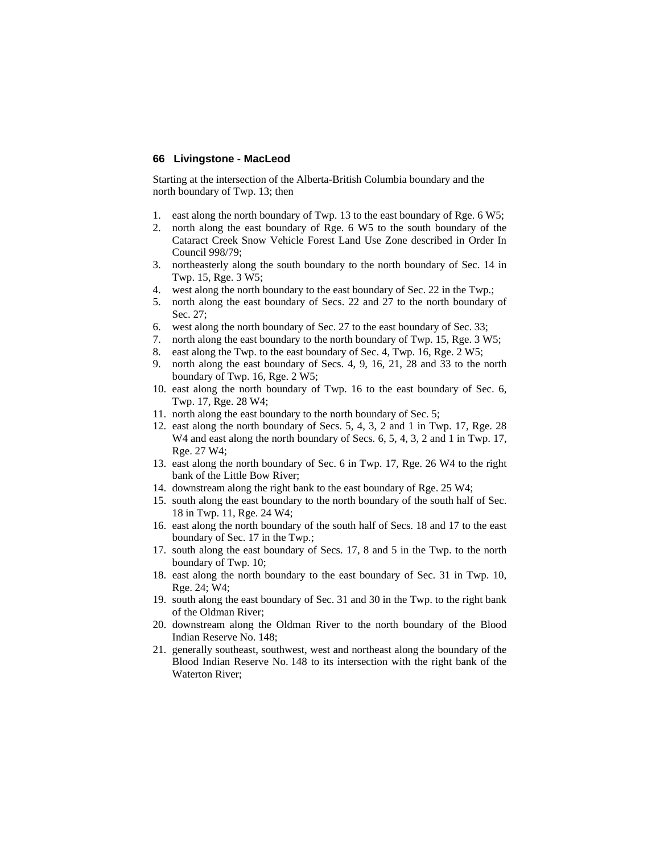### **66 Livingstone - MacLeod**

Starting at the intersection of the Alberta-British Columbia boundary and the north boundary of Twp. 13; then

- 1. east along the north boundary of Twp. 13 to the east boundary of Rge. 6 W5;
- 2. north along the east boundary of Rge. 6 W5 to the south boundary of the Cataract Creek Snow Vehicle Forest Land Use Zone described in Order In Council 998/79;
- 3. northeasterly along the south boundary to the north boundary of Sec. 14 in Twp. 15, Rge. 3 W5;
- 4. west along the north boundary to the east boundary of Sec. 22 in the Twp.;
- 5. north along the east boundary of Secs. 22 and 27 to the north boundary of Sec. 27;
- 6. west along the north boundary of Sec. 27 to the east boundary of Sec. 33;
- 7. north along the east boundary to the north boundary of Twp. 15, Rge. 3 W5;
- 8. east along the Twp. to the east boundary of Sec. 4, Twp. 16, Rge. 2 W5;
- 9. north along the east boundary of Secs. 4, 9, 16, 21, 28 and 33 to the north boundary of Twp. 16, Rge. 2 W5;
- 10. east along the north boundary of Twp. 16 to the east boundary of Sec. 6, Twp. 17, Rge. 28 W4;
- 11. north along the east boundary to the north boundary of Sec. 5;
- 12. east along the north boundary of Secs. 5, 4, 3, 2 and 1 in Twp. 17, Rge. 28 W<sub>4</sub> and east along the north boundary of Secs. 6, 5, 4, 3, 2 and 1 in Twp. 17, Rge. 27 W4;
- 13. east along the north boundary of Sec. 6 in Twp. 17, Rge. 26 W4 to the right bank of the Little Bow River;
- 14. downstream along the right bank to the east boundary of Rge. 25 W4;
- 15. south along the east boundary to the north boundary of the south half of Sec. 18 in Twp. 11, Rge. 24 W4;
- 16. east along the north boundary of the south half of Secs. 18 and 17 to the east boundary of Sec. 17 in the Twp.;
- 17. south along the east boundary of Secs. 17, 8 and 5 in the Twp. to the north boundary of Twp. 10;
- 18. east along the north boundary to the east boundary of Sec. 31 in Twp. 10, Rge. 24; W4;
- 19. south along the east boundary of Sec. 31 and 30 in the Twp. to the right bank of the Oldman River;
- 20. downstream along the Oldman River to the north boundary of the Blood Indian Reserve No. 148;
- 21. generally southeast, southwest, west and northeast along the boundary of the Blood Indian Reserve No. 148 to its intersection with the right bank of the Waterton River;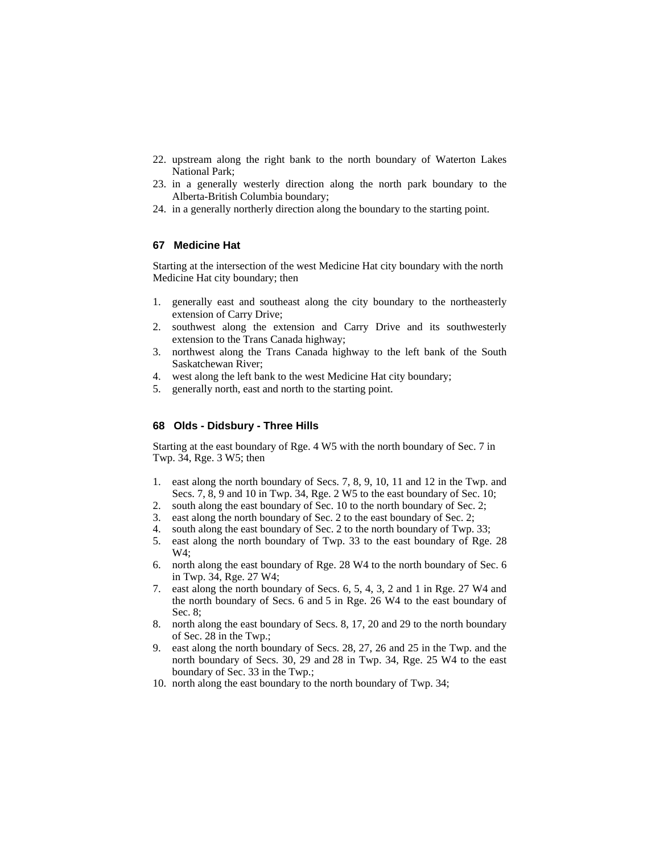- 22. upstream along the right bank to the north boundary of Waterton Lakes National Park;
- 23. in a generally westerly direction along the north park boundary to the Alberta-British Columbia boundary;
- 24. in a generally northerly direction along the boundary to the starting point.

# **67 Medicine Hat**

Starting at the intersection of the west Medicine Hat city boundary with the north Medicine Hat city boundary; then

- 1. generally east and southeast along the city boundary to the northeasterly extension of Carry Drive;
- 2. southwest along the extension and Carry Drive and its southwesterly extension to the Trans Canada highway;
- 3. northwest along the Trans Canada highway to the left bank of the South Saskatchewan River;
- 4. west along the left bank to the west Medicine Hat city boundary;
- 5. generally north, east and north to the starting point.

### **68 Olds - Didsbury - Three Hills**

Starting at the east boundary of Rge. 4 W5 with the north boundary of Sec. 7 in Twp. 34, Rge. 3 W5; then

- 1. east along the north boundary of Secs. 7, 8, 9, 10, 11 and 12 in the Twp. and Secs. 7, 8, 9 and 10 in Twp. 34, Rge. 2 W5 to the east boundary of Sec. 10;
- 2. south along the east boundary of Sec. 10 to the north boundary of Sec. 2;
- 3. east along the north boundary of Sec. 2 to the east boundary of Sec. 2;
- 4. south along the east boundary of Sec. 2 to the north boundary of Twp. 33;
- 5. east along the north boundary of Twp. 33 to the east boundary of Rge. 28 W4;
- 6. north along the east boundary of Rge. 28 W4 to the north boundary of Sec. 6 in Twp. 34, Rge. 27 W4;
- 7. east along the north boundary of Secs. 6, 5, 4, 3, 2 and 1 in Rge. 27 W4 and the north boundary of Secs. 6 and 5 in Rge. 26 W4 to the east boundary of Sec. 8;
- 8. north along the east boundary of Secs. 8, 17, 20 and 29 to the north boundary of Sec. 28 in the Twp.;
- 9. east along the north boundary of Secs. 28, 27, 26 and 25 in the Twp. and the north boundary of Secs. 30, 29 and 28 in Twp. 34, Rge. 25 W4 to the east boundary of Sec. 33 in the Twp.;
- 10. north along the east boundary to the north boundary of Twp. 34;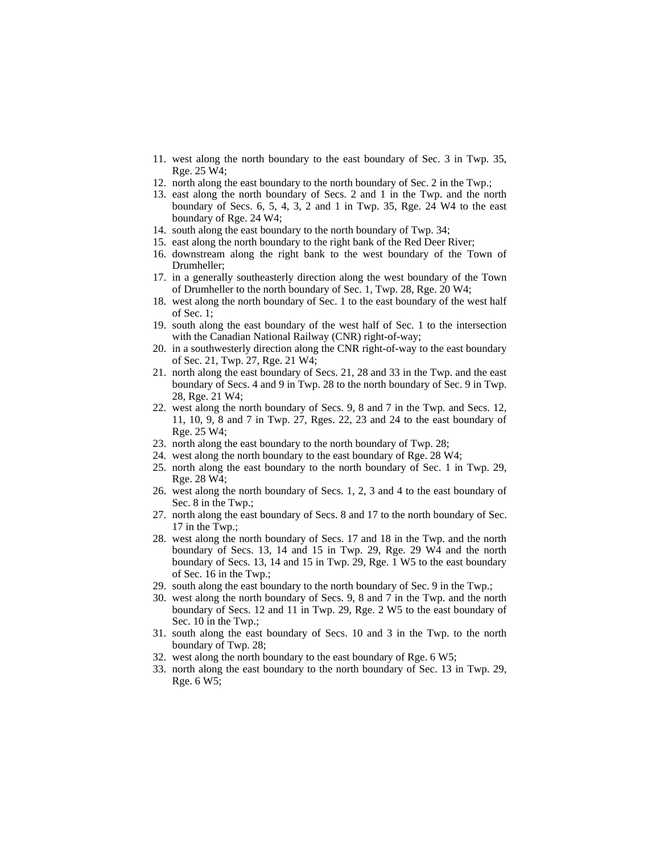- 11. west along the north boundary to the east boundary of Sec. 3 in Twp. 35, Rge. 25 W4;
- 12. north along the east boundary to the north boundary of Sec. 2 in the Twp.;
- 13. east along the north boundary of Secs. 2 and 1 in the Twp. and the north boundary of Secs. 6, 5, 4, 3, 2 and 1 in Twp. 35, Rge. 24 W4 to the east boundary of Rge. 24 W4;
- 14. south along the east boundary to the north boundary of Twp. 34;
- 15. east along the north boundary to the right bank of the Red Deer River;
- 16. downstream along the right bank to the west boundary of the Town of Drumheller;
- 17. in a generally southeasterly direction along the west boundary of the Town of Drumheller to the north boundary of Sec. 1, Twp. 28, Rge. 20 W4;
- 18. west along the north boundary of Sec. 1 to the east boundary of the west half of Sec. 1;
- 19. south along the east boundary of the west half of Sec. 1 to the intersection with the Canadian National Railway (CNR) right-of-way;
- 20. in a southwesterly direction along the CNR right-of-way to the east boundary of Sec. 21, Twp. 27, Rge. 21 W4;
- 21. north along the east boundary of Secs. 21, 28 and 33 in the Twp. and the east boundary of Secs. 4 and 9 in Twp. 28 to the north boundary of Sec. 9 in Twp. 28, Rge. 21 W4;
- 22. west along the north boundary of Secs. 9, 8 and 7 in the Twp. and Secs. 12, 11, 10, 9, 8 and 7 in Twp. 27, Rges. 22, 23 and 24 to the east boundary of Rge. 25 W4;
- 23. north along the east boundary to the north boundary of Twp. 28;
- 24. west along the north boundary to the east boundary of Rge. 28 W4;
- 25. north along the east boundary to the north boundary of Sec. 1 in Twp. 29, Rge. 28 W4;
- 26. west along the north boundary of Secs. 1, 2, 3 and 4 to the east boundary of Sec. 8 in the Twp.;
- 27. north along the east boundary of Secs. 8 and 17 to the north boundary of Sec. 17 in the Twp.;
- 28. west along the north boundary of Secs. 17 and 18 in the Twp. and the north boundary of Secs. 13, 14 and 15 in Twp. 29, Rge. 29 W4 and the north boundary of Secs. 13, 14 and 15 in Twp. 29, Rge. 1 W5 to the east boundary of Sec. 16 in the Twp.;
- 29. south along the east boundary to the north boundary of Sec. 9 in the Twp.;
- 30. west along the north boundary of Secs. 9, 8 and 7 in the Twp. and the north boundary of Secs. 12 and 11 in Twp. 29, Rge. 2 W5 to the east boundary of Sec. 10 in the Twp.;
- 31. south along the east boundary of Secs. 10 and 3 in the Twp. to the north boundary of Twp. 28;
- 32. west along the north boundary to the east boundary of Rge. 6 W5;
- 33. north along the east boundary to the north boundary of Sec. 13 in Twp. 29, Rge. 6 W5;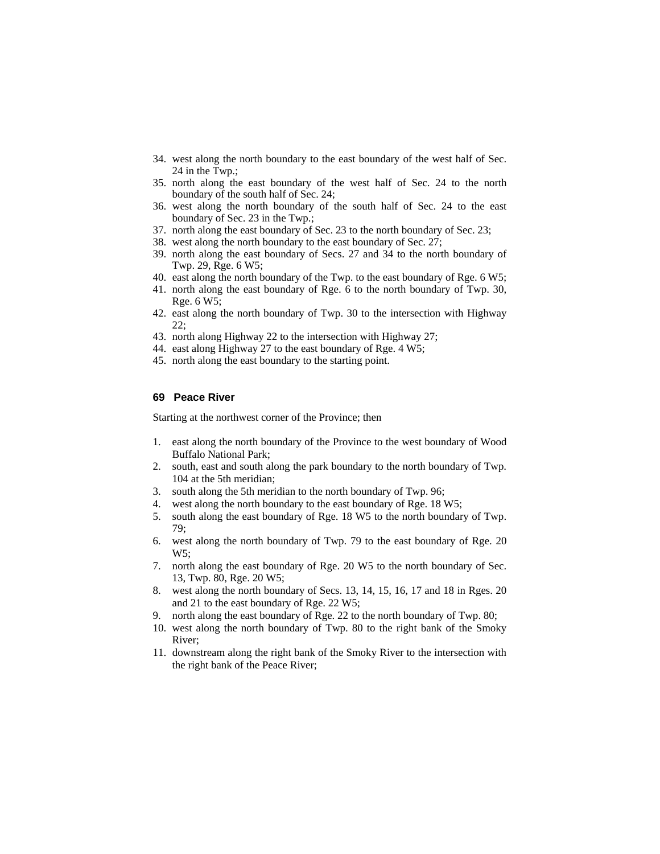- 34. west along the north boundary to the east boundary of the west half of Sec. 24 in the Twp.;
- 35. north along the east boundary of the west half of Sec. 24 to the north boundary of the south half of Sec. 24;
- 36. west along the north boundary of the south half of Sec. 24 to the east boundary of Sec. 23 in the Twp.;
- 37. north along the east boundary of Sec. 23 to the north boundary of Sec. 23;
- 38. west along the north boundary to the east boundary of Sec. 27;
- 39. north along the east boundary of Secs. 27 and 34 to the north boundary of Twp. 29, Rge. 6 W5;
- 40. east along the north boundary of the Twp. to the east boundary of Rge. 6 W5;
- 41. north along the east boundary of Rge. 6 to the north boundary of Twp. 30, Rge. 6 W5;
- 42. east along the north boundary of Twp. 30 to the intersection with Highway 22;
- 43. north along Highway 22 to the intersection with Highway 27;
- 44. east along Highway 27 to the east boundary of Rge. 4 W5;
- 45. north along the east boundary to the starting point.

### **69 Peace River**

Starting at the northwest corner of the Province; then

- 1. east along the north boundary of the Province to the west boundary of Wood Buffalo National Park;
- 2. south, east and south along the park boundary to the north boundary of Twp. 104 at the 5th meridian;
- 3. south along the 5th meridian to the north boundary of Twp. 96;
- 4. west along the north boundary to the east boundary of Rge. 18 W5;
- 5. south along the east boundary of Rge. 18 W5 to the north boundary of Twp. 79;
- 6. west along the north boundary of Twp. 79 to the east boundary of Rge. 20 W5;
- 7. north along the east boundary of Rge. 20 W5 to the north boundary of Sec. 13, Twp. 80, Rge. 20 W5;
- 8. west along the north boundary of Secs. 13, 14, 15, 16, 17 and 18 in Rges. 20 and 21 to the east boundary of Rge. 22 W5;
- 9. north along the east boundary of Rge. 22 to the north boundary of Twp. 80;
- 10. west along the north boundary of Twp. 80 to the right bank of the Smoky River;
- 11. downstream along the right bank of the Smoky River to the intersection with the right bank of the Peace River;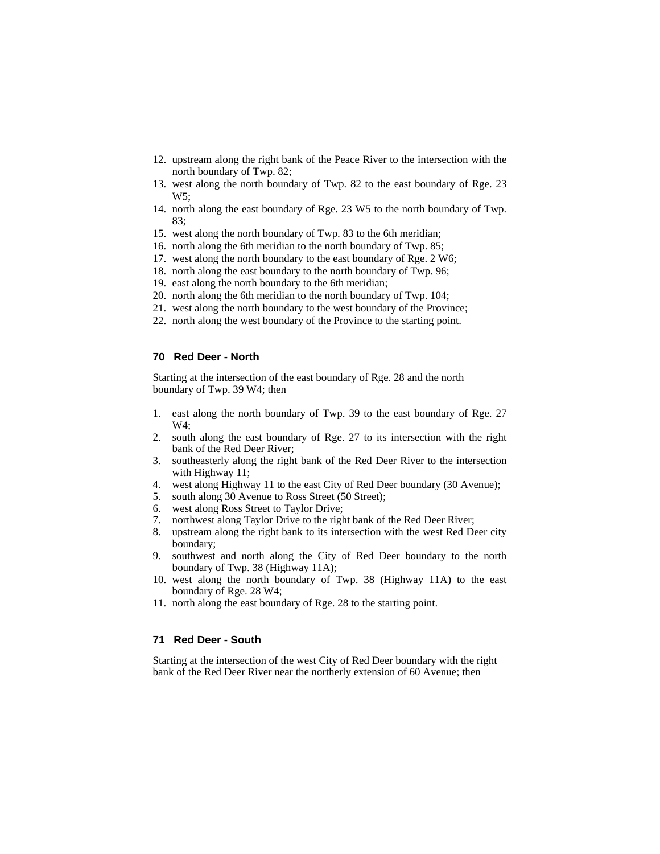- 12. upstream along the right bank of the Peace River to the intersection with the north boundary of Twp. 82;
- 13. west along the north boundary of Twp. 82 to the east boundary of Rge. 23 W5;
- 14. north along the east boundary of Rge. 23 W5 to the north boundary of Twp. 83;
- 15. west along the north boundary of Twp. 83 to the 6th meridian;
- 16. north along the 6th meridian to the north boundary of Twp. 85;
- 17. west along the north boundary to the east boundary of Rge. 2 W6;
- 18. north along the east boundary to the north boundary of Twp. 96;
- 19. east along the north boundary to the 6th meridian;
- 20. north along the 6th meridian to the north boundary of Twp. 104;
- 21. west along the north boundary to the west boundary of the Province;
- 22. north along the west boundary of the Province to the starting point.

#### **70 Red Deer - North**

Starting at the intersection of the east boundary of Rge. 28 and the north boundary of Twp. 39 W4; then

- 1. east along the north boundary of Twp. 39 to the east boundary of Rge. 27 W4;
- 2. south along the east boundary of Rge. 27 to its intersection with the right bank of the Red Deer River;
- 3. southeasterly along the right bank of the Red Deer River to the intersection with Highway 11;
- 4. west along Highway 11 to the east City of Red Deer boundary (30 Avenue);
- 5. south along 30 Avenue to Ross Street (50 Street);
- 6. west along Ross Street to Taylor Drive;
- 7. northwest along Taylor Drive to the right bank of the Red Deer River;
- 8. upstream along the right bank to its intersection with the west Red Deer city boundary;
- 9. southwest and north along the City of Red Deer boundary to the north boundary of Twp. 38 (Highway 11A);
- 10. west along the north boundary of Twp. 38 (Highway 11A) to the east boundary of Rge. 28 W4;
- 11. north along the east boundary of Rge. 28 to the starting point.

### **71 Red Deer - South**

Starting at the intersection of the west City of Red Deer boundary with the right bank of the Red Deer River near the northerly extension of 60 Avenue; then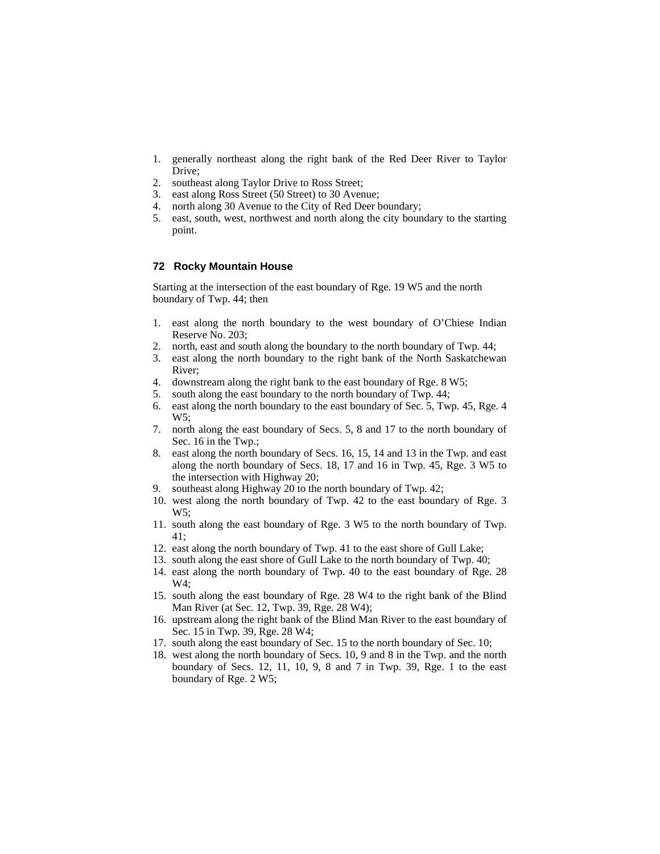- 1. generally northeast along the right bank of the Red Deer River to Taylor Drive;
- 2. southeast along Taylor Drive to Ross Street;
- 3. east along Ross Street (50 Street) to 30 Avenue;
- 4. north along 30 Avenue to the City of Red Deer boundary;
- 5. east, south, west, northwest and north along the city boundary to the starting point.

# **72 Rocky Mountain House**

Starting at the intersection of the east boundary of Rge. 19 W5 and the north boundary of Twp. 44; then

- 1. east along the north boundary to the west boundary of O'Chiese Indian Reserve No. 203;
- 2. north, east and south along the boundary to the north boundary of Twp. 44;
- 3. east along the north boundary to the right bank of the North Saskatchewan River;
- 4. downstream along the right bank to the east boundary of Rge. 8 W5;
- 5. south along the east boundary to the north boundary of Twp. 44;
- 6. east along the north boundary to the east boundary of Sec. 5, Twp. 45, Rge. 4 W5;
- 7. north along the east boundary of Secs. 5, 8 and 17 to the north boundary of Sec. 16 in the Twp.;
- 8. east along the north boundary of Secs. 16, 15, 14 and 13 in the Twp. and east along the north boundary of Secs. 18, 17 and 16 in Twp. 45, Rge. 3 W5 to the intersection with Highway 20;
- 9. southeast along Highway 20 to the north boundary of Twp. 42;
- 10. west along the north boundary of Twp. 42 to the east boundary of Rge. 3 W5;
- 11. south along the east boundary of Rge. 3 W5 to the north boundary of Twp. 41;
- 12. east along the north boundary of Twp. 41 to the east shore of Gull Lake;
- 13. south along the east shore of Gull Lake to the north boundary of Twp. 40;
- 14. east along the north boundary of Twp. 40 to the east boundary of Rge. 28 W4;
- 15. south along the east boundary of Rge. 28 W4 to the right bank of the Blind Man River (at Sec. 12, Twp. 39, Rge. 28 W4);
- 16. upstream along the right bank of the Blind Man River to the east boundary of Sec. 15 in Twp. 39, Rge. 28 W4;
- 17. south along the east boundary of Sec. 15 to the north boundary of Sec. 10;
- 18. west along the north boundary of Secs. 10, 9 and 8 in the Twp. and the north boundary of Secs. 12, 11, 10, 9, 8 and 7 in Twp. 39, Rge. 1 to the east boundary of Rge. 2 W5;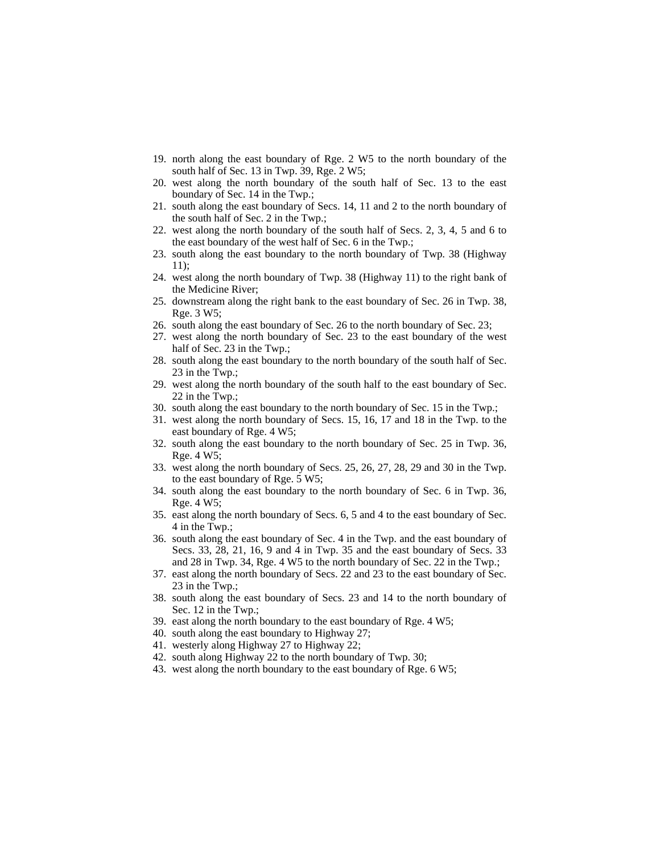- 19. north along the east boundary of Rge. 2 W5 to the north boundary of the south half of Sec. 13 in Twp. 39, Rge. 2 W5;
- 20. west along the north boundary of the south half of Sec. 13 to the east boundary of Sec. 14 in the Twp.;
- 21. south along the east boundary of Secs. 14, 11 and 2 to the north boundary of the south half of Sec. 2 in the Twp.;
- 22. west along the north boundary of the south half of Secs. 2, 3, 4, 5 and 6 to the east boundary of the west half of Sec. 6 in the Twp.;
- 23. south along the east boundary to the north boundary of Twp. 38 (Highway 11);
- 24. west along the north boundary of Twp. 38 (Highway 11) to the right bank of the Medicine River;
- 25. downstream along the right bank to the east boundary of Sec. 26 in Twp. 38, Rge. 3 W5;
- 26. south along the east boundary of Sec. 26 to the north boundary of Sec. 23;
- 27. west along the north boundary of Sec. 23 to the east boundary of the west half of Sec. 23 in the Twp.;
- 28. south along the east boundary to the north boundary of the south half of Sec. 23 in the Twp.;
- 29. west along the north boundary of the south half to the east boundary of Sec. 22 in the Twp.;
- 30. south along the east boundary to the north boundary of Sec. 15 in the Twp.;
- 31. west along the north boundary of Secs. 15, 16, 17 and 18 in the Twp. to the east boundary of Rge. 4 W5;
- 32. south along the east boundary to the north boundary of Sec. 25 in Twp. 36, Rge. 4 W5;
- 33. west along the north boundary of Secs. 25, 26, 27, 28, 29 and 30 in the Twp. to the east boundary of Rge. 5 W5;
- 34. south along the east boundary to the north boundary of Sec. 6 in Twp. 36, Rge. 4 W5;
- 35. east along the north boundary of Secs. 6, 5 and 4 to the east boundary of Sec. 4 in the Twp.;
- 36. south along the east boundary of Sec. 4 in the Twp. and the east boundary of Secs. 33, 28, 21, 16, 9 and 4 in Twp. 35 and the east boundary of Secs. 33 and 28 in Twp. 34, Rge. 4 W5 to the north boundary of Sec. 22 in the Twp.;
- 37. east along the north boundary of Secs. 22 and 23 to the east boundary of Sec. 23 in the Twp.;
- 38. south along the east boundary of Secs. 23 and 14 to the north boundary of Sec. 12 in the Twp.;
- 39. east along the north boundary to the east boundary of Rge. 4 W5;
- 40. south along the east boundary to Highway 27;
- 41. westerly along Highway 27 to Highway 22;
- 42. south along Highway 22 to the north boundary of Twp. 30;
- 43. west along the north boundary to the east boundary of Rge. 6 W5;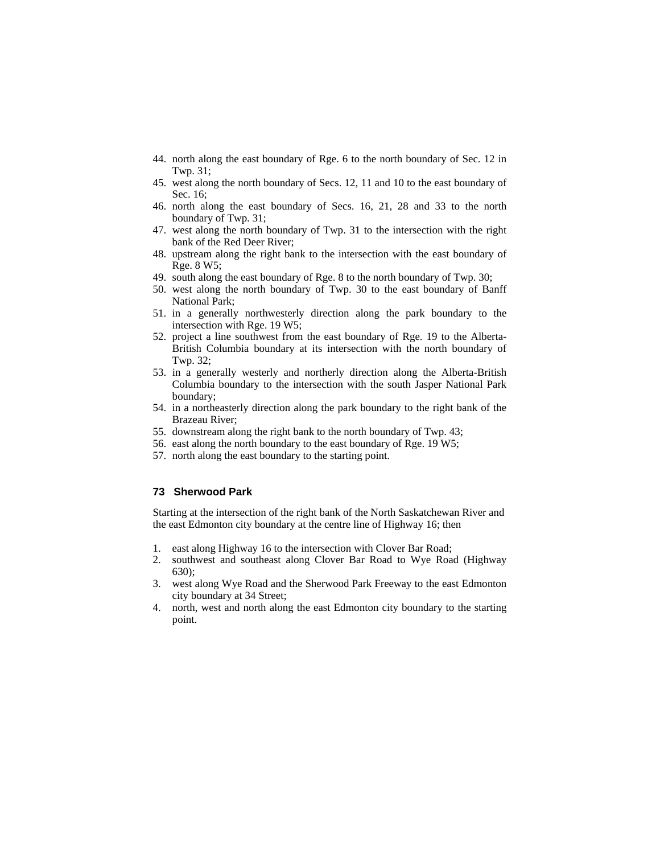- 44. north along the east boundary of Rge. 6 to the north boundary of Sec. 12 in Twp. 31;
- 45. west along the north boundary of Secs. 12, 11 and 10 to the east boundary of Sec. 16;
- 46. north along the east boundary of Secs. 16, 21, 28 and 33 to the north boundary of Twp. 31;
- 47. west along the north boundary of Twp. 31 to the intersection with the right bank of the Red Deer River;
- 48. upstream along the right bank to the intersection with the east boundary of Rge. 8 W5;
- 49. south along the east boundary of Rge. 8 to the north boundary of Twp. 30;
- 50. west along the north boundary of Twp. 30 to the east boundary of Banff National Park;
- 51. in a generally northwesterly direction along the park boundary to the intersection with Rge. 19 W5;
- 52. project a line southwest from the east boundary of Rge. 19 to the Alberta-British Columbia boundary at its intersection with the north boundary of Twp. 32;
- 53. in a generally westerly and northerly direction along the Alberta-British Columbia boundary to the intersection with the south Jasper National Park boundary;
- 54. in a northeasterly direction along the park boundary to the right bank of the Brazeau River;
- 55. downstream along the right bank to the north boundary of Twp. 43;
- 56. east along the north boundary to the east boundary of Rge. 19 W5;
- 57. north along the east boundary to the starting point.

### **73 Sherwood Park**

Starting at the intersection of the right bank of the North Saskatchewan River and the east Edmonton city boundary at the centre line of Highway 16; then

- 1. east along Highway 16 to the intersection with Clover Bar Road;
- 2. southwest and southeast along Clover Bar Road to Wye Road (Highway 630);
- 3. west along Wye Road and the Sherwood Park Freeway to the east Edmonton city boundary at 34 Street;
- 4. north, west and north along the east Edmonton city boundary to the starting point.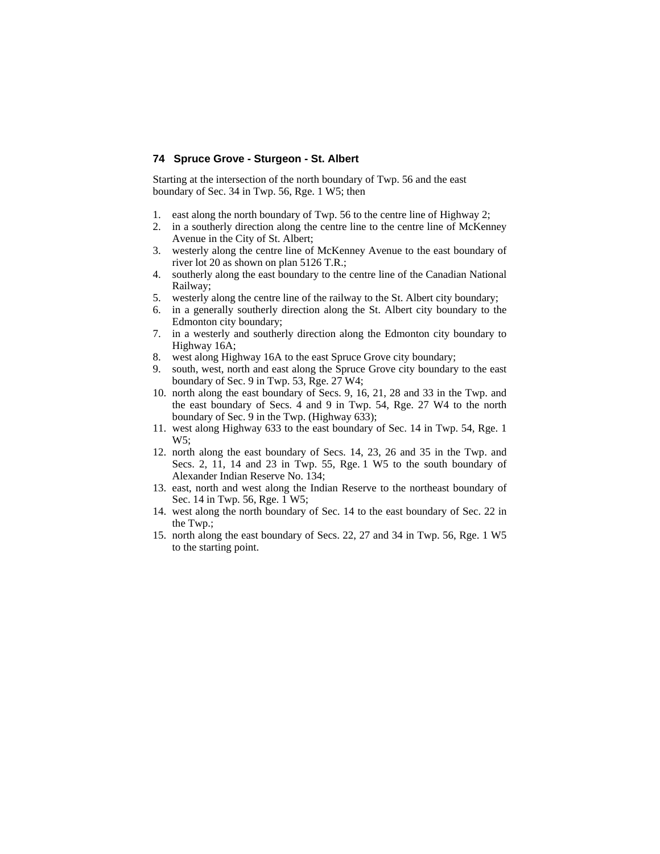### **74 Spruce Grove - Sturgeon - St. Albert**

Starting at the intersection of the north boundary of Twp. 56 and the east boundary of Sec. 34 in Twp. 56, Rge. 1 W5; then

- 1. east along the north boundary of Twp. 56 to the centre line of Highway 2;
- 2. in a southerly direction along the centre line to the centre line of McKenney Avenue in the City of St. Albert;
- 3. westerly along the centre line of McKenney Avenue to the east boundary of river lot 20 as shown on plan 5126 T.R.;
- 4. southerly along the east boundary to the centre line of the Canadian National Railway;
- 5. westerly along the centre line of the railway to the St. Albert city boundary;
- 6. in a generally southerly direction along the St. Albert city boundary to the Edmonton city boundary;
- 7. in a westerly and southerly direction along the Edmonton city boundary to Highway 16A;
- 8. west along Highway 16A to the east Spruce Grove city boundary;
- 9. south, west, north and east along the Spruce Grove city boundary to the east boundary of Sec. 9 in Twp. 53, Rge. 27 W4;
- 10. north along the east boundary of Secs. 9, 16, 21, 28 and 33 in the Twp. and the east boundary of Secs. 4 and 9 in Twp. 54, Rge. 27 W4 to the north boundary of Sec. 9 in the Twp. (Highway 633);
- 11. west along Highway 633 to the east boundary of Sec. 14 in Twp. 54, Rge. 1 W5;
- 12. north along the east boundary of Secs. 14, 23, 26 and 35 in the Twp. and Secs. 2, 11, 14 and 23 in Twp. 55, Rge. 1 W5 to the south boundary of Alexander Indian Reserve No. 134;
- 13. east, north and west along the Indian Reserve to the northeast boundary of Sec. 14 in Twp. 56, Rge. 1 W5;
- 14. west along the north boundary of Sec. 14 to the east boundary of Sec. 22 in the Twp.;
- 15. north along the east boundary of Secs. 22, 27 and 34 in Twp. 56, Rge. 1 W5 to the starting point.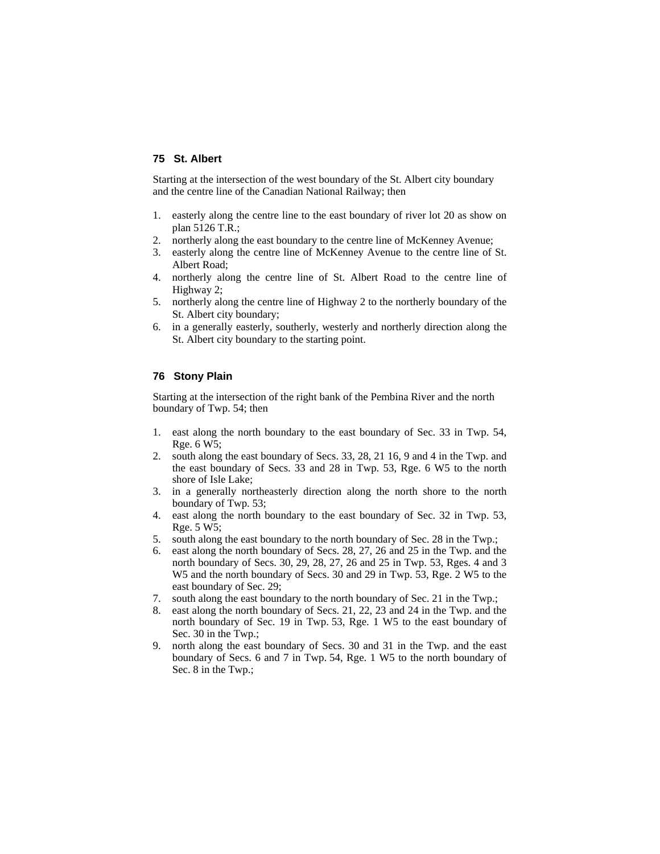### **75 St. Albert**

Starting at the intersection of the west boundary of the St. Albert city boundary and the centre line of the Canadian National Railway; then

- 1. easterly along the centre line to the east boundary of river lot 20 as show on plan 5126 T.R.;
- 2. northerly along the east boundary to the centre line of McKenney Avenue;
- 3. easterly along the centre line of McKenney Avenue to the centre line of St. Albert Road;
- 4. northerly along the centre line of St. Albert Road to the centre line of Highway 2;
- 5. northerly along the centre line of Highway 2 to the northerly boundary of the St. Albert city boundary;
- 6. in a generally easterly, southerly, westerly and northerly direction along the St. Albert city boundary to the starting point.

### **76 Stony Plain**

Starting at the intersection of the right bank of the Pembina River and the north boundary of Twp. 54; then

- 1. east along the north boundary to the east boundary of Sec. 33 in Twp. 54, Rge. 6 W5;
- 2. south along the east boundary of Secs. 33, 28, 21 16, 9 and 4 in the Twp. and the east boundary of Secs. 33 and 28 in Twp. 53, Rge. 6 W5 to the north shore of Isle Lake;
- 3. in a generally northeasterly direction along the north shore to the north boundary of Twp. 53;
- 4. east along the north boundary to the east boundary of Sec. 32 in Twp. 53, Rge. 5 W5;
- 5. south along the east boundary to the north boundary of Sec. 28 in the Twp.;
- 6. east along the north boundary of Secs. 28, 27, 26 and 25 in the Twp. and the north boundary of Secs. 30, 29, 28, 27, 26 and 25 in Twp. 53, Rges. 4 and 3 W5 and the north boundary of Secs. 30 and 29 in Twp. 53, Rge. 2 W5 to the east boundary of Sec. 29;
- 7. south along the east boundary to the north boundary of Sec. 21 in the Twp.;
- 8. east along the north boundary of Secs. 21, 22, 23 and 24 in the Twp. and the north boundary of Sec. 19 in Twp. 53, Rge. 1 W5 to the east boundary of Sec. 30 in the Twp.;
- 9. north along the east boundary of Secs. 30 and 31 in the Twp. and the east boundary of Secs. 6 and 7 in Twp. 54, Rge. 1 W5 to the north boundary of Sec. 8 in the Twp.;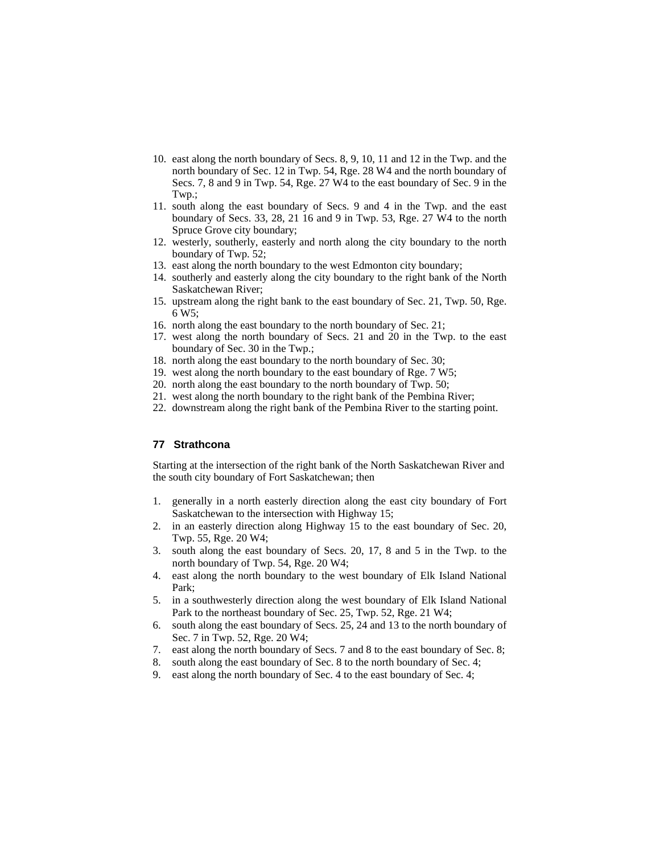- 10. east along the north boundary of Secs. 8, 9, 10, 11 and 12 in the Twp. and the north boundary of Sec. 12 in Twp. 54, Rge. 28 W4 and the north boundary of Secs. 7, 8 and 9 in Twp. 54, Rge. 27 W4 to the east boundary of Sec. 9 in the Twp.;
- 11. south along the east boundary of Secs. 9 and 4 in the Twp. and the east boundary of Secs. 33, 28, 21 16 and 9 in Twp. 53, Rge. 27 W4 to the north Spruce Grove city boundary;
- 12. westerly, southerly, easterly and north along the city boundary to the north boundary of Twp. 52;
- 13. east along the north boundary to the west Edmonton city boundary;
- 14. southerly and easterly along the city boundary to the right bank of the North Saskatchewan River;
- 15. upstream along the right bank to the east boundary of Sec. 21, Twp. 50, Rge. 6 W5;
- 16. north along the east boundary to the north boundary of Sec. 21;
- 17. west along the north boundary of Secs. 21 and 20 in the Twp. to the east boundary of Sec. 30 in the Twp.;
- 18. north along the east boundary to the north boundary of Sec. 30;
- 19. west along the north boundary to the east boundary of Rge. 7 W5;
- 20. north along the east boundary to the north boundary of Twp. 50;
- 21. west along the north boundary to the right bank of the Pembina River;
- 22. downstream along the right bank of the Pembina River to the starting point.

# **77 Strathcona**

Starting at the intersection of the right bank of the North Saskatchewan River and the south city boundary of Fort Saskatchewan; then

- 1. generally in a north easterly direction along the east city boundary of Fort Saskatchewan to the intersection with Highway 15;
- 2. in an easterly direction along Highway 15 to the east boundary of Sec. 20, Twp. 55, Rge. 20 W4;
- 3. south along the east boundary of Secs. 20, 17, 8 and 5 in the Twp. to the north boundary of Twp. 54, Rge. 20 W4;
- 4. east along the north boundary to the west boundary of Elk Island National Park;
- 5. in a southwesterly direction along the west boundary of Elk Island National Park to the northeast boundary of Sec. 25, Twp. 52, Rge. 21 W4;
- 6. south along the east boundary of Secs. 25, 24 and 13 to the north boundary of Sec. 7 in Twp. 52, Rge. 20 W4;
- 7. east along the north boundary of Secs. 7 and 8 to the east boundary of Sec. 8;
- 8. south along the east boundary of Sec. 8 to the north boundary of Sec. 4;
- 9. east along the north boundary of Sec. 4 to the east boundary of Sec. 4;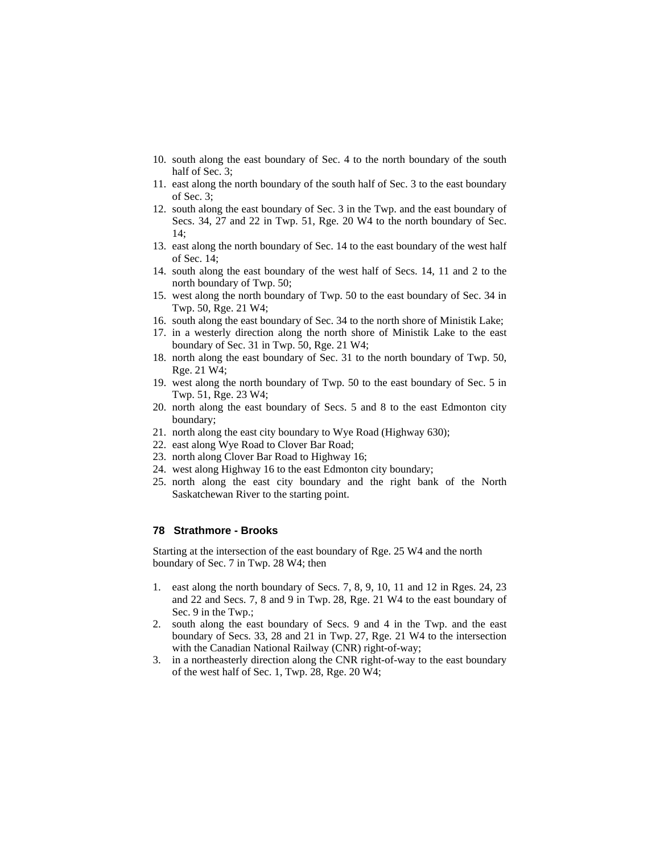- 10. south along the east boundary of Sec. 4 to the north boundary of the south half of Sec. 3;
- 11. east along the north boundary of the south half of Sec. 3 to the east boundary of Sec. 3;
- 12. south along the east boundary of Sec. 3 in the Twp. and the east boundary of Secs. 34, 27 and 22 in Twp. 51, Rge. 20 W4 to the north boundary of Sec. 14;
- 13. east along the north boundary of Sec. 14 to the east boundary of the west half of Sec. 14;
- 14. south along the east boundary of the west half of Secs. 14, 11 and 2 to the north boundary of Twp. 50;
- 15. west along the north boundary of Twp. 50 to the east boundary of Sec. 34 in Twp. 50, Rge. 21 W4;
- 16. south along the east boundary of Sec. 34 to the north shore of Ministik Lake;
- 17. in a westerly direction along the north shore of Ministik Lake to the east boundary of Sec. 31 in Twp. 50, Rge. 21 W4;
- 18. north along the east boundary of Sec. 31 to the north boundary of Twp. 50, Rge. 21 W4;
- 19. west along the north boundary of Twp. 50 to the east boundary of Sec. 5 in Twp. 51, Rge. 23 W4;
- 20. north along the east boundary of Secs. 5 and 8 to the east Edmonton city boundary;
- 21. north along the east city boundary to Wye Road (Highway 630);
- 22. east along Wye Road to Clover Bar Road;
- 23. north along Clover Bar Road to Highway 16;
- 24. west along Highway 16 to the east Edmonton city boundary;
- 25. north along the east city boundary and the right bank of the North Saskatchewan River to the starting point.

# **78 Strathmore - Brooks**

Starting at the intersection of the east boundary of Rge. 25 W4 and the north boundary of Sec. 7 in Twp. 28 W4; then

- 1. east along the north boundary of Secs. 7, 8, 9, 10, 11 and 12 in Rges. 24, 23 and 22 and Secs. 7, 8 and 9 in Twp. 28, Rge. 21 W4 to the east boundary of Sec. 9 in the Twp.;
- 2. south along the east boundary of Secs. 9 and 4 in the Twp. and the east boundary of Secs. 33, 28 and 21 in Twp. 27, Rge. 21 W4 to the intersection with the Canadian National Railway (CNR) right-of-way;
- 3. in a northeasterly direction along the CNR right-of-way to the east boundary of the west half of Sec. 1, Twp. 28, Rge. 20 W4;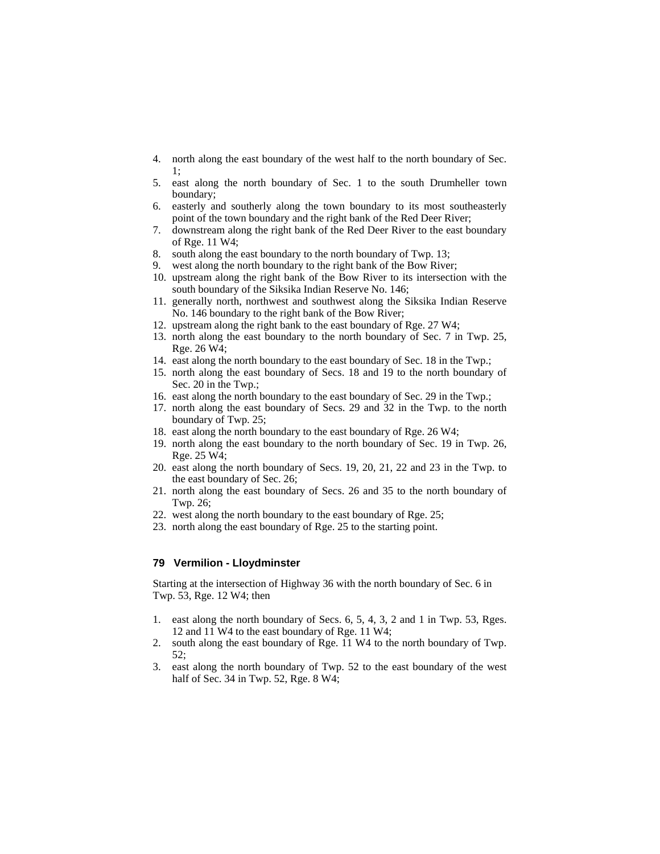- 4. north along the east boundary of the west half to the north boundary of Sec. 1;
- 5. east along the north boundary of Sec. 1 to the south Drumheller town boundary;
- 6. easterly and southerly along the town boundary to its most southeasterly point of the town boundary and the right bank of the Red Deer River;
- 7. downstream along the right bank of the Red Deer River to the east boundary of Rge. 11 W4;
- 8. south along the east boundary to the north boundary of Twp. 13;
- 9. west along the north boundary to the right bank of the Bow River;
- 10. upstream along the right bank of the Bow River to its intersection with the south boundary of the Siksika Indian Reserve No. 146;
- 11. generally north, northwest and southwest along the Siksika Indian Reserve No. 146 boundary to the right bank of the Bow River;
- 12. upstream along the right bank to the east boundary of Rge. 27 W4;
- 13. north along the east boundary to the north boundary of Sec. 7 in Twp. 25, Rge. 26 W4;
- 14. east along the north boundary to the east boundary of Sec. 18 in the Twp.;
- 15. north along the east boundary of Secs. 18 and 19 to the north boundary of Sec. 20 in the Twp.;
- 16. east along the north boundary to the east boundary of Sec. 29 in the Twp.;
- 17. north along the east boundary of Secs. 29 and 32 in the Twp. to the north boundary of Twp. 25;
- 18. east along the north boundary to the east boundary of Rge. 26 W4;
- 19. north along the east boundary to the north boundary of Sec. 19 in Twp. 26, Rge. 25 W4;
- 20. east along the north boundary of Secs. 19, 20, 21, 22 and 23 in the Twp. to the east boundary of Sec. 26;
- 21. north along the east boundary of Secs. 26 and 35 to the north boundary of Twp. 26;
- 22. west along the north boundary to the east boundary of Rge. 25;
- 23. north along the east boundary of Rge. 25 to the starting point.

### **79 Vermilion - Lloydminster**

Starting at the intersection of Highway 36 with the north boundary of Sec. 6 in Twp. 53, Rge. 12 W4; then

- 1. east along the north boundary of Secs. 6, 5, 4, 3, 2 and 1 in Twp. 53, Rges. 12 and 11 W4 to the east boundary of Rge. 11 W4;
- 2. south along the east boundary of Rge. 11 W4 to the north boundary of Twp. 52;
- 3. east along the north boundary of Twp. 52 to the east boundary of the west half of Sec. 34 in Twp. 52, Rge. 8 W4;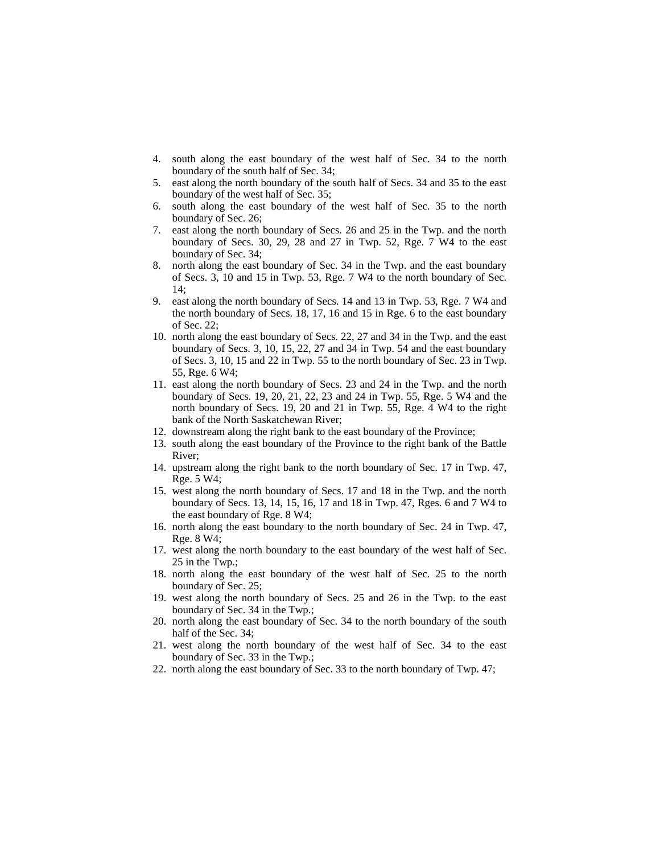- 4. south along the east boundary of the west half of Sec. 34 to the north boundary of the south half of Sec. 34;
- 5. east along the north boundary of the south half of Secs. 34 and 35 to the east boundary of the west half of Sec. 35;
- 6. south along the east boundary of the west half of Sec. 35 to the north boundary of Sec. 26;
- 7. east along the north boundary of Secs. 26 and 25 in the Twp. and the north boundary of Secs. 30, 29, 28 and 27 in Twp. 52, Rge. 7 W4 to the east boundary of Sec. 34;
- 8. north along the east boundary of Sec. 34 in the Twp. and the east boundary of Secs. 3, 10 and 15 in Twp. 53, Rge. 7 W4 to the north boundary of Sec.  $14$
- 9. east along the north boundary of Secs. 14 and 13 in Twp. 53, Rge. 7 W4 and the north boundary of Secs. 18, 17, 16 and 15 in Rge. 6 to the east boundary of Sec. 22;
- 10. north along the east boundary of Secs. 22, 27 and 34 in the Twp. and the east boundary of Secs. 3, 10, 15, 22, 27 and 34 in Twp. 54 and the east boundary of Secs. 3, 10, 15 and 22 in Twp. 55 to the north boundary of Sec. 23 in Twp. 55, Rge. 6 W4;
- 11. east along the north boundary of Secs. 23 and 24 in the Twp. and the north boundary of Secs. 19, 20, 21, 22, 23 and 24 in Twp. 55, Rge. 5 W4 and the north boundary of Secs. 19, 20 and 21 in Twp. 55, Rge. 4 W4 to the right bank of the North Saskatchewan River;
- 12. downstream along the right bank to the east boundary of the Province;
- 13. south along the east boundary of the Province to the right bank of the Battle River;
- 14. upstream along the right bank to the north boundary of Sec. 17 in Twp. 47, Rge. 5 W4;
- 15. west along the north boundary of Secs. 17 and 18 in the Twp. and the north boundary of Secs. 13, 14, 15, 16, 17 and 18 in Twp. 47, Rges. 6 and 7 W4 to the east boundary of Rge. 8 W4;
- 16. north along the east boundary to the north boundary of Sec. 24 in Twp. 47, Rge. 8 W4;
- 17. west along the north boundary to the east boundary of the west half of Sec. 25 in the Twp.;
- 18. north along the east boundary of the west half of Sec. 25 to the north boundary of Sec. 25;
- 19. west along the north boundary of Secs. 25 and 26 in the Twp. to the east boundary of Sec. 34 in the Twp.;
- 20. north along the east boundary of Sec. 34 to the north boundary of the south half of the Sec. 34;
- 21. west along the north boundary of the west half of Sec. 34 to the east boundary of Sec. 33 in the Twp.;
- 22. north along the east boundary of Sec. 33 to the north boundary of Twp. 47;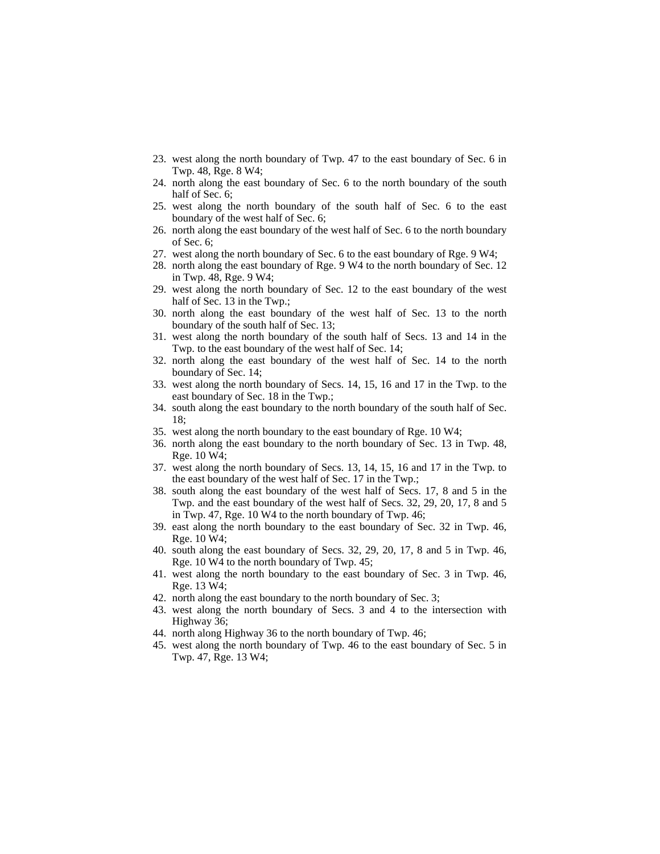- 23. west along the north boundary of Twp. 47 to the east boundary of Sec. 6 in Twp. 48, Rge. 8 W4;
- 24. north along the east boundary of Sec. 6 to the north boundary of the south half of Sec. 6;
- 25. west along the north boundary of the south half of Sec. 6 to the east boundary of the west half of Sec. 6;
- 26. north along the east boundary of the west half of Sec. 6 to the north boundary of Sec. 6;
- 27. west along the north boundary of Sec. 6 to the east boundary of Rge. 9 W4;
- 28. north along the east boundary of Rge. 9 W4 to the north boundary of Sec. 12 in Twp. 48, Rge. 9 W4;
- 29. west along the north boundary of Sec. 12 to the east boundary of the west half of Sec. 13 in the Twp.;
- 30. north along the east boundary of the west half of Sec. 13 to the north boundary of the south half of Sec. 13;
- 31. west along the north boundary of the south half of Secs. 13 and 14 in the Twp. to the east boundary of the west half of Sec. 14;
- 32. north along the east boundary of the west half of Sec. 14 to the north boundary of Sec. 14;
- 33. west along the north boundary of Secs. 14, 15, 16 and 17 in the Twp. to the east boundary of Sec. 18 in the Twp.;
- 34. south along the east boundary to the north boundary of the south half of Sec. 18;
- 35. west along the north boundary to the east boundary of Rge. 10 W4;
- 36. north along the east boundary to the north boundary of Sec. 13 in Twp. 48, Rge. 10 W4;
- 37. west along the north boundary of Secs. 13, 14, 15, 16 and 17 in the Twp. to the east boundary of the west half of Sec. 17 in the Twp.;
- 38. south along the east boundary of the west half of Secs. 17, 8 and 5 in the Twp. and the east boundary of the west half of Secs. 32, 29, 20, 17, 8 and 5 in Twp. 47, Rge. 10 W4 to the north boundary of Twp. 46;
- 39. east along the north boundary to the east boundary of Sec. 32 in Twp. 46, Rge. 10 W4;
- 40. south along the east boundary of Secs. 32, 29, 20, 17, 8 and 5 in Twp. 46, Rge. 10 W4 to the north boundary of Twp. 45;
- 41. west along the north boundary to the east boundary of Sec. 3 in Twp. 46, Rge. 13 W4;
- 42. north along the east boundary to the north boundary of Sec. 3;
- 43. west along the north boundary of Secs. 3 and 4 to the intersection with Highway 36;
- 44. north along Highway 36 to the north boundary of Twp. 46;
- 45. west along the north boundary of Twp. 46 to the east boundary of Sec. 5 in Twp. 47, Rge. 13 W4;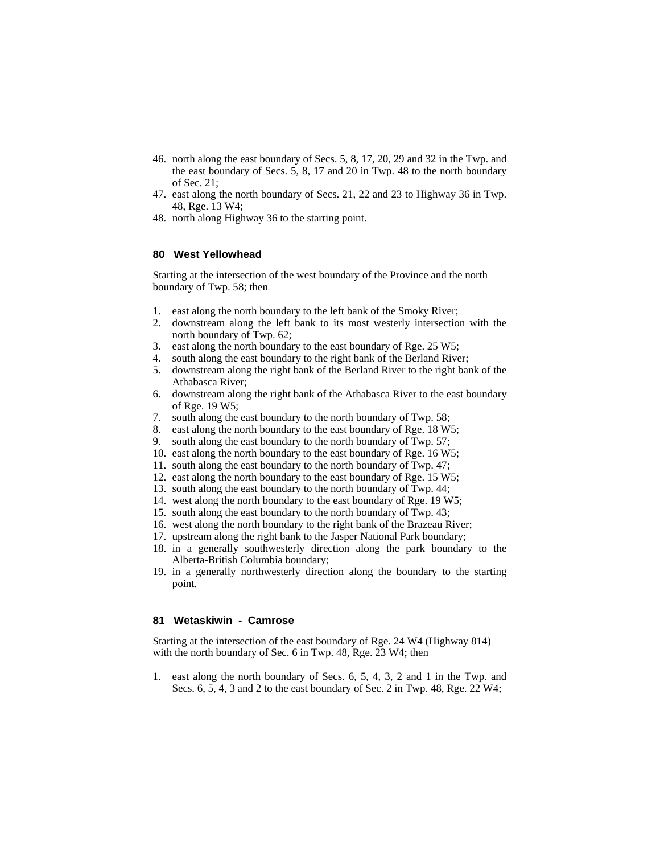- 46. north along the east boundary of Secs. 5, 8, 17, 20, 29 and 32 in the Twp. and the east boundary of Secs. 5, 8, 17 and 20 in Twp. 48 to the north boundary of Sec. 21;
- 47. east along the north boundary of Secs. 21, 22 and 23 to Highway 36 in Twp. 48, Rge. 13 W4;
- 48. north along Highway 36 to the starting point.

# **80 West Yellowhead**

Starting at the intersection of the west boundary of the Province and the north boundary of Twp. 58; then

- 1. east along the north boundary to the left bank of the Smoky River;
- 2. downstream along the left bank to its most westerly intersection with the north boundary of Twp. 62;
- 3. east along the north boundary to the east boundary of Rge. 25 W5;
- 4. south along the east boundary to the right bank of the Berland River;<br>5. downstream along the right bank of the Berland River to the right bank
- 5. downstream along the right bank of the Berland River to the right bank of the Athabasca River;
- 6. downstream along the right bank of the Athabasca River to the east boundary of Rge. 19 W5;
- 7. south along the east boundary to the north boundary of Twp. 58;
- 8. east along the north boundary to the east boundary of Rge. 18 W5;
- 9. south along the east boundary to the north boundary of Twp. 57;
- 10. east along the north boundary to the east boundary of Rge. 16 W5;
- 11. south along the east boundary to the north boundary of Twp. 47;
- 12. east along the north boundary to the east boundary of Rge. 15 W5;
- 13. south along the east boundary to the north boundary of Twp. 44;
- 14. west along the north boundary to the east boundary of Rge. 19 W5;
- 15. south along the east boundary to the north boundary of Twp. 43;
- 16. west along the north boundary to the right bank of the Brazeau River;
- 17. upstream along the right bank to the Jasper National Park boundary;
- 18. in a generally southwesterly direction along the park boundary to the Alberta-British Columbia boundary;
- 19. in a generally northwesterly direction along the boundary to the starting point.

#### **81 Wetaskiwin - Camrose**

Starting at the intersection of the east boundary of Rge. 24 W4 (Highway 814) with the north boundary of Sec. 6 in Twp. 48, Rge. 23 W4; then

1. east along the north boundary of Secs. 6, 5, 4, 3, 2 and 1 in the Twp. and Secs. 6, 5, 4, 3 and 2 to the east boundary of Sec. 2 in Twp. 48, Rge. 22 W4;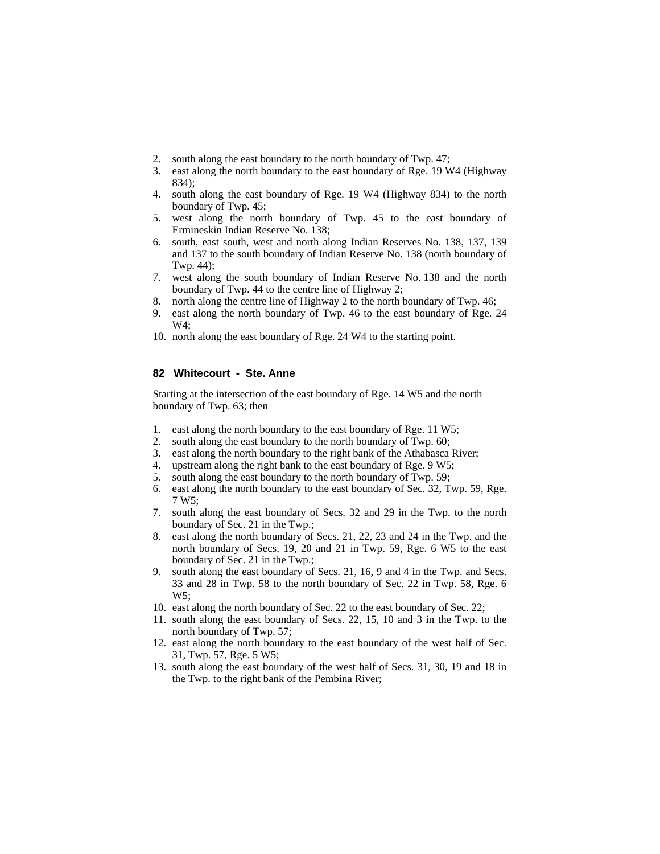- 2. south along the east boundary to the north boundary of Twp. 47;
- 3. east along the north boundary to the east boundary of Rge. 19 W4 (Highway 834);
- 4. south along the east boundary of Rge. 19 W4 (Highway 834) to the north boundary of Twp. 45;
- 5. west along the north boundary of Twp. 45 to the east boundary of Ermineskin Indian Reserve No. 138;
- 6. south, east south, west and north along Indian Reserves No. 138, 137, 139 and 137 to the south boundary of Indian Reserve No. 138 (north boundary of Twp. 44);
- 7. west along the south boundary of Indian Reserve No. 138 and the north boundary of Twp. 44 to the centre line of Highway 2;
- 8. north along the centre line of Highway 2 to the north boundary of Twp. 46;
- 9. east along the north boundary of Twp. 46 to the east boundary of Rge. 24 W4;
- 10. north along the east boundary of Rge. 24 W4 to the starting point.

# **82 Whitecourt - Ste. Anne**

Starting at the intersection of the east boundary of Rge. 14 W5 and the north boundary of Twp. 63; then

- 1. east along the north boundary to the east boundary of Rge. 11 W5;
- 2. south along the east boundary to the north boundary of Twp. 60;
- 3. east along the north boundary to the right bank of the Athabasca River;
- 4. upstream along the right bank to the east boundary of Rge. 9 W5;
- 5. south along the east boundary to the north boundary of Twp. 59;
- 6. east along the north boundary to the east boundary of Sec. 32, Twp. 59, Rge. 7 W5;
- 7. south along the east boundary of Secs. 32 and 29 in the Twp. to the north boundary of Sec. 21 in the Twp.;
- 8. east along the north boundary of Secs. 21, 22, 23 and 24 in the Twp. and the north boundary of Secs. 19, 20 and 21 in Twp. 59, Rge. 6 W5 to the east boundary of Sec. 21 in the Twp.;
- 9. south along the east boundary of Secs. 21, 16, 9 and 4 in the Twp. and Secs. 33 and 28 in Twp. 58 to the north boundary of Sec. 22 in Twp. 58, Rge. 6 W5;
- 10. east along the north boundary of Sec. 22 to the east boundary of Sec. 22;
- 11. south along the east boundary of Secs. 22, 15, 10 and 3 in the Twp. to the north boundary of Twp. 57;
- 12. east along the north boundary to the east boundary of the west half of Sec. 31, Twp. 57, Rge. 5 W5;
- 13. south along the east boundary of the west half of Secs. 31, 30, 19 and 18 in the Twp. to the right bank of the Pembina River;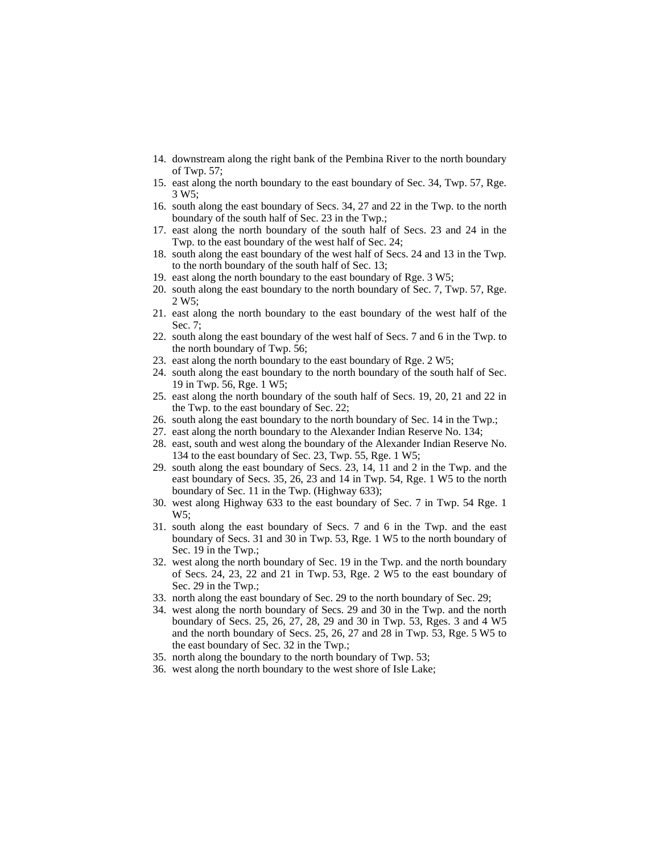- 14. downstream along the right bank of the Pembina River to the north boundary of Twp. 57;
- 15. east along the north boundary to the east boundary of Sec. 34, Twp. 57, Rge. 3 W5;
- 16. south along the east boundary of Secs. 34, 27 and 22 in the Twp. to the north boundary of the south half of Sec. 23 in the Twp.;
- 17. east along the north boundary of the south half of Secs. 23 and 24 in the Twp. to the east boundary of the west half of Sec. 24;
- 18. south along the east boundary of the west half of Secs. 24 and 13 in the Twp. to the north boundary of the south half of Sec. 13;
- 19. east along the north boundary to the east boundary of Rge. 3 W5;
- 20. south along the east boundary to the north boundary of Sec. 7, Twp. 57, Rge. 2 W5;
- 21. east along the north boundary to the east boundary of the west half of the Sec. 7;
- 22. south along the east boundary of the west half of Secs. 7 and 6 in the Twp. to the north boundary of Twp. 56;
- 23. east along the north boundary to the east boundary of Rge. 2 W5;
- 24. south along the east boundary to the north boundary of the south half of Sec. 19 in Twp. 56, Rge. 1 W5;
- 25. east along the north boundary of the south half of Secs. 19, 20, 21 and 22 in the Twp. to the east boundary of Sec. 22;
- 26. south along the east boundary to the north boundary of Sec. 14 in the Twp.;
- 27. east along the north boundary to the Alexander Indian Reserve No. 134;
- 28. east, south and west along the boundary of the Alexander Indian Reserve No. 134 to the east boundary of Sec. 23, Twp. 55, Rge. 1 W5;
- 29. south along the east boundary of Secs. 23, 14, 11 and 2 in the Twp. and the east boundary of Secs. 35, 26, 23 and 14 in Twp. 54, Rge. 1 W5 to the north boundary of Sec. 11 in the Twp. (Highway 633);
- 30. west along Highway 633 to the east boundary of Sec. 7 in Twp. 54 Rge. 1  $W5:$
- 31. south along the east boundary of Secs. 7 and 6 in the Twp. and the east boundary of Secs. 31 and 30 in Twp. 53, Rge. 1 W5 to the north boundary of Sec. 19 in the Twp.;
- 32. west along the north boundary of Sec. 19 in the Twp. and the north boundary of Secs. 24, 23, 22 and 21 in Twp. 53, Rge. 2 W5 to the east boundary of Sec. 29 in the Twp.;
- 33. north along the east boundary of Sec. 29 to the north boundary of Sec. 29;
- 34. west along the north boundary of Secs. 29 and 30 in the Twp. and the north boundary of Secs. 25, 26, 27, 28, 29 and 30 in Twp. 53, Rges. 3 and 4 W5 and the north boundary of Secs. 25, 26, 27 and 28 in Twp. 53, Rge. 5 W5 to the east boundary of Sec. 32 in the Twp.;
- 35. north along the boundary to the north boundary of Twp. 53;
- 36. west along the north boundary to the west shore of Isle Lake;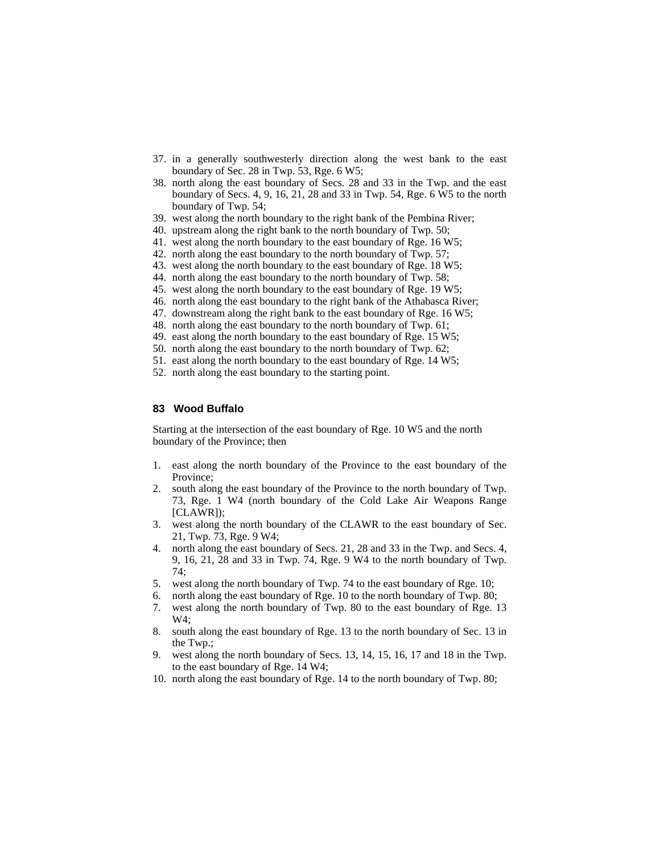- 37. in a generally southwesterly direction along the west bank to the east boundary of Sec. 28 in Twp. 53, Rge. 6 W5;
- 38. north along the east boundary of Secs. 28 and 33 in the Twp. and the east boundary of Secs. 4, 9, 16, 21, 28 and 33 in Twp. 54, Rge. 6 W5 to the north boundary of Twp. 54;
- 39. west along the north boundary to the right bank of the Pembina River;
- 40. upstream along the right bank to the north boundary of Twp. 50;
- 41. west along the north boundary to the east boundary of Rge. 16 W5;
- 42. north along the east boundary to the north boundary of Twp. 57;
- 43. west along the north boundary to the east boundary of Rge. 18 W5;
- 44. north along the east boundary to the north boundary of Twp. 58;
- 45. west along the north boundary to the east boundary of Rge. 19 W5;
- 46. north along the east boundary to the right bank of the Athabasca River;
- 47. downstream along the right bank to the east boundary of Rge. 16 W5;
- 48. north along the east boundary to the north boundary of Twp. 61;
- 49. east along the north boundary to the east boundary of Rge. 15 W5;
- 50. north along the east boundary to the north boundary of Twp. 62;
- 51. east along the north boundary to the east boundary of Rge. 14 W5;
- 52. north along the east boundary to the starting point.

### **83 Wood Buffalo**

Starting at the intersection of the east boundary of Rge. 10 W5 and the north boundary of the Province; then

- 1. east along the north boundary of the Province to the east boundary of the Province;
- 2. south along the east boundary of the Province to the north boundary of Twp. 73, Rge. 1 W4 (north boundary of the Cold Lake Air Weapons Range [CLAWR]);
- 3. west along the north boundary of the CLAWR to the east boundary of Sec. 21, Twp. 73, Rge. 9 W4;
- 4. north along the east boundary of Secs. 21, 28 and 33 in the Twp. and Secs. 4, 9, 16, 21, 28 and 33 in Twp. 74, Rge. 9 W4 to the north boundary of Twp. 74;
- 5. west along the north boundary of Twp. 74 to the east boundary of Rge. 10;
- 6. north along the east boundary of Rge. 10 to the north boundary of Twp. 80;
- 7. west along the north boundary of Twp. 80 to the east boundary of Rge. 13 W4;
- 8. south along the east boundary of Rge. 13 to the north boundary of Sec. 13 in the Twp.;
- 9. west along the north boundary of Secs. 13, 14, 15, 16, 17 and 18 in the Twp. to the east boundary of Rge. 14 W4;
- 10. north along the east boundary of Rge. 14 to the north boundary of Twp. 80;